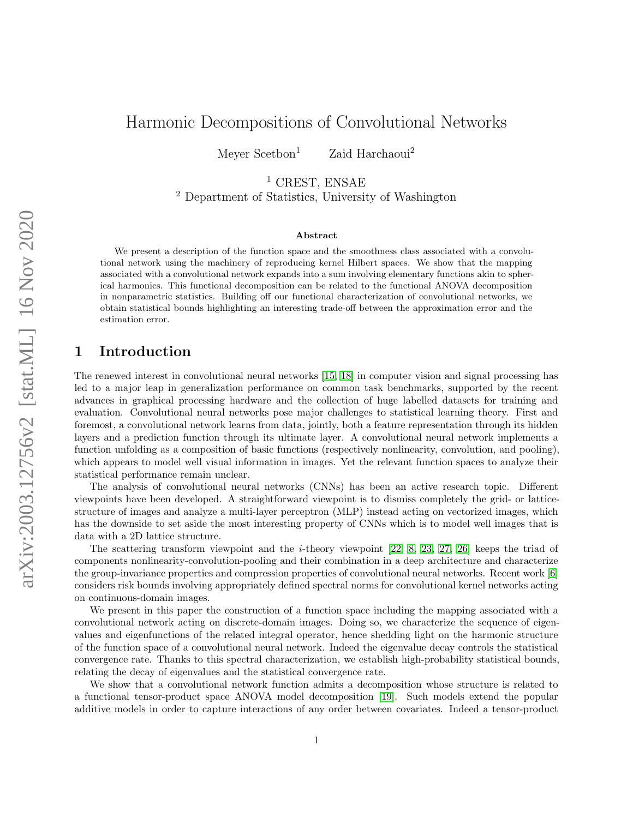# Harmonic Decompositions of Convolutional Networks

Meyer  $Section<sup>1</sup>$  Zaid Harchaoui<sup>2</sup>

<sup>1</sup> CREST, ENSAE

<sup>2</sup> Department of Statistics, University of Washington

#### Abstract

We present a description of the function space and the smoothness class associated with a convolutional network using the machinery of reproducing kernel Hilbert spaces. We show that the mapping associated with a convolutional network expands into a sum involving elementary functions akin to spherical harmonics. This functional decomposition can be related to the functional ANOVA decomposition in nonparametric statistics. Building off our functional characterization of convolutional networks, we obtain statistical bounds highlighting an interesting trade-off between the approximation error and the estimation error.

### 1 Introduction

The renewed interest in convolutional neural networks [\[15,](#page-13-0) [18\]](#page-13-1) in computer vision and signal processing has led to a major leap in generalization performance on common task benchmarks, supported by the recent advances in graphical processing hardware and the collection of huge labelled datasets for training and evaluation. Convolutional neural networks pose major challenges to statistical learning theory. First and foremost, a convolutional network learns from data, jointly, both a feature representation through its hidden layers and a prediction function through its ultimate layer. A convolutional neural network implements a function unfolding as a composition of basic functions (respectively nonlinearity, convolution, and pooling), which appears to model well visual information in images. Yet the relevant function spaces to analyze their statistical performance remain unclear.

The analysis of convolutional neural networks (CNNs) has been an active research topic. Different viewpoints have been developed. A straightforward viewpoint is to dismiss completely the grid- or latticestructure of images and analyze a multi-layer perceptron (MLP) instead acting on vectorized images, which has the downside to set aside the most interesting property of CNNs which is to model well images that is data with a 2D lattice structure.

The scattering transform viewpoint and the i-theory viewpoint [\[22,](#page-14-0) [8,](#page-13-2) [23,](#page-14-1) [27,](#page-14-2) [26\]](#page-14-3) keeps the triad of components nonlinearity-convolution-pooling and their combination in a deep architecture and characterize the group-invariance properties and compression properties of convolutional neural networks. Recent work [\[6\]](#page-13-3) considers risk bounds involving appropriately defined spectral norms for convolutional kernel networks acting on continuous-domain images.

We present in this paper the construction of a function space including the mapping associated with a convolutional network acting on discrete-domain images. Doing so, we characterize the sequence of eigenvalues and eigenfunctions of the related integral operator, hence shedding light on the harmonic structure of the function space of a convolutional neural network. Indeed the eigenvalue decay controls the statistical convergence rate. Thanks to this spectral characterization, we establish high-probability statistical bounds, relating the decay of eigenvalues and the statistical convergence rate.

We show that a convolutional network function admits a decomposition whose structure is related to a functional tensor-product space ANOVA model decomposition [\[19\]](#page-13-4). Such models extend the popular additive models in order to capture interactions of any order between covariates. Indeed a tensor-product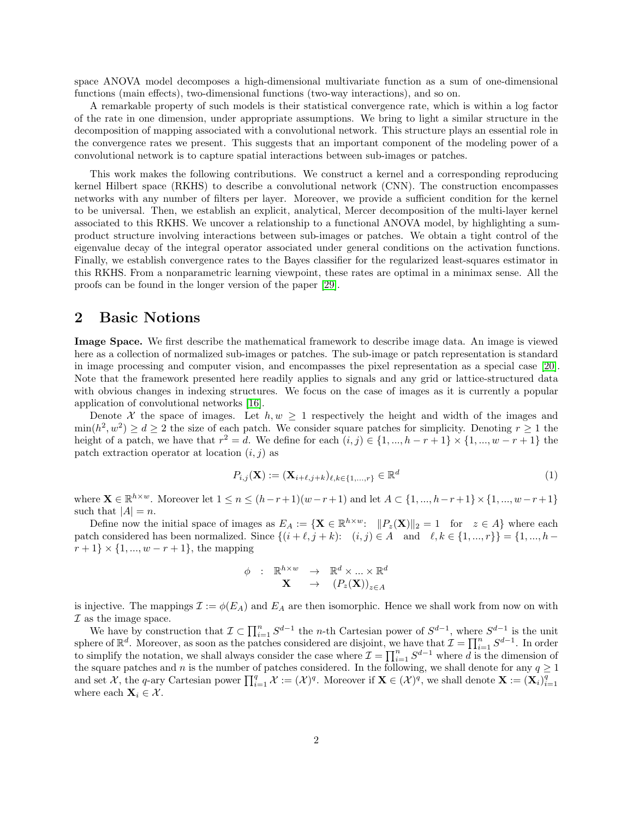space ANOVA model decomposes a high-dimensional multivariate function as a sum of one-dimensional functions (main effects), two-dimensional functions (two-way interactions), and so on.

A remarkable property of such models is their statistical convergence rate, which is within a log factor of the rate in one dimension, under appropriate assumptions. We bring to light a similar structure in the decomposition of mapping associated with a convolutional network. This structure plays an essential role in the convergence rates we present. This suggests that an important component of the modeling power of a convolutional network is to capture spatial interactions between sub-images or patches.

This work makes the following contributions. We construct a kernel and a corresponding reproducing kernel Hilbert space (RKHS) to describe a convolutional network (CNN). The construction encompasses networks with any number of filters per layer. Moreover, we provide a sufficient condition for the kernel to be universal. Then, we establish an explicit, analytical, Mercer decomposition of the multi-layer kernel associated to this RKHS. We uncover a relationship to a functional ANOVA model, by highlighting a sumproduct structure involving interactions between sub-images or patches. We obtain a tight control of the eigenvalue decay of the integral operator associated under general conditions on the activation functions. Finally, we establish convergence rates to the Bayes classifier for the regularized least-squares estimator in this RKHS. From a nonparametric learning viewpoint, these rates are optimal in a minimax sense. All the proofs can be found in the longer version of the paper [\[29\]](#page-14-4).

### 2 Basic Notions

Image Space. We first describe the mathematical framework to describe image data. An image is viewed here as a collection of normalized sub-images or patches. The sub-image or patch representation is standard in image processing and computer vision, and encompasses the pixel representation as a special case [\[20\]](#page-13-5). Note that the framework presented here readily applies to signals and any grid or lattice-structured data with obvious changes in indexing structures. We focus on the case of images as it is currently a popular application of convolutional networks [\[16\]](#page-13-6).

Denote X the space of images. Let  $h, w \geq 1$  respectively the height and width of the images and  $\min(h^2, w^2) \ge d \ge 2$  the size of each patch. We consider square patches for simplicity. Denoting  $r \ge 1$  the height of a patch, we have that  $r^2 = d$ . We define for each  $(i, j) \in \{1, ..., h - r + 1\} \times \{1, ..., w - r + 1\}$  the patch extraction operator at location  $(i, j)$  as

$$
P_{i,j}(\mathbf{X}) := (\mathbf{X}_{i+\ell,j+k})_{\ell,k \in \{1,\dots,r\}} \in \mathbb{R}^d
$$
\n(1)

where  $\mathbf{X} \in \mathbb{R}^{h \times w}$ . Moreover let  $1 \le n \le (h-r+1)(w-r+1)$  and let  $A \subset \{1, ..., h-r+1\} \times \{1, ..., w-r+1\}$ such that  $|A| = n$ .

Define now the initial space of images as  $E_A := \{ \mathbf{X} \in \mathbb{R}^{h \times w} : ||P_z(\mathbf{X})||_2 = 1 \text{ for } z \in A \}$  where each patch considered has been normalized. Since  $\{(i + \ell, j + k): (i, j) \in A \text{ and } \ell, k \in \{1, ..., r\}\} = \{1, ..., h - k\}$  $r+1\} \times \{1, ..., w-r+1\}$ , the mapping

$$
\begin{array}{ccccc}\n\phi & : & \mathbb{R}^{h \times w} & \to & \mathbb{R}^d \times ... \times \mathbb{R}^d \\
& \mathbf{X} & \to & (P_z(\mathbf{X}))_{z \in A}\n\end{array}
$$

is injective. The mappings  $\mathcal{I} := \phi(E_A)$  and  $E_A$  are then isomorphic. Hence we shall work from now on with  $\mathcal I$  as the image space.

We have by construction that  $\mathcal{I} \subset \prod_{i=1}^n S^{d-1}$  the *n*-th Cartesian power of  $S^{d-1}$ , where  $S^{d-1}$  is the unit sphere of  $\mathbb{R}^d$ . Moreover, as soon as the patches considered are disjoint, we have that  $\mathcal{I} = \prod_{i=1}^n S^{d-1}$ . In order to simplify the notation, we shall always consider the case where  $\mathcal{I} = \prod_{i=1}^n S^{d-1}$  where d is the dimension of the square patches and n is the number of patches considered. In the following, we shall denote for any  $q \ge 1$ and set X, the q-ary Cartesian power  $\prod_{i=1}^{q} \mathcal{X} := (\mathcal{X})^q$ . Moreover if  $\mathbf{X} \in (\mathcal{X})^q$ , we shall denote  $\mathbf{X} := (\mathbf{X}_i)_{i=1}^q$ where each  $\mathbf{X}_i \in \mathcal{X}$ .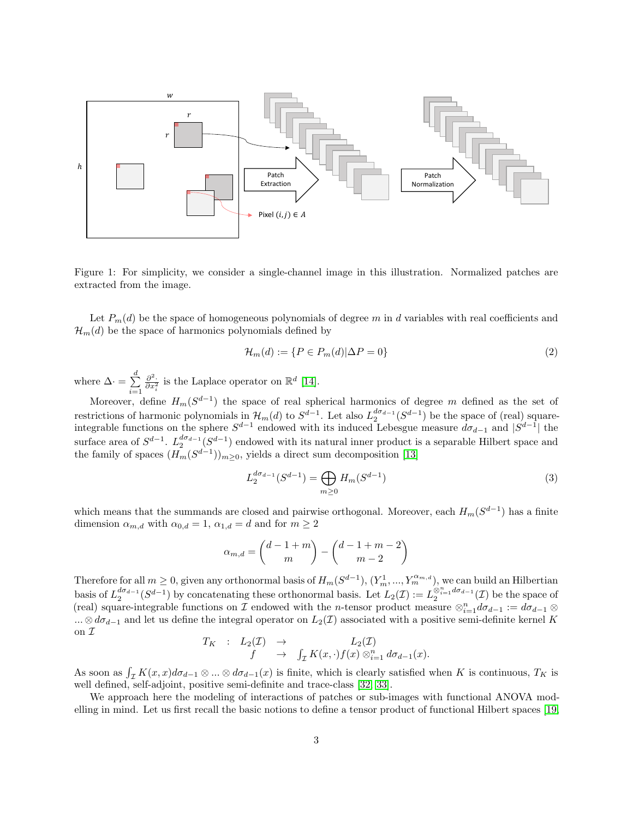

Figure 1: For simplicity, we consider a single-channel image in this illustration. Normalized patches are extracted from the image.

Let  $P_m(d)$  be the space of homogeneous polynomials of degree m in d variables with real coefficients and  $\mathcal{H}_m(d)$  be the space of harmonics polynomials defined by

$$
\mathcal{H}_m(d) := \{ P \in P_m(d) | \Delta P = 0 \}
$$
\n<sup>(2)</sup>

where  $\Delta \cdot = \sum_{i=1}^{d}$  $i=1$  $\frac{\partial^2}{\partial x_i^2}$  is the Laplace operator on ℝ<sup>d</sup> [\[14\]](#page-13-7).

Moreover, define  $H_m(S^{d-1})$  the space of real spherical harmonics of degree m defined as the set of restrictions of harmonic polynomials in  $\mathcal{H}_m(d)$  to  $S^{d-1}$ . Let also  $L_2^{d\sigma_{d-1}}(S^{d-1})$  be the space of (real) squareintegrable functions on the sphere  $S^{d-1}$  endowed with its induced Lebesgue measure  $d\sigma_{d-1}$  and  $|S^{d-1}|$  the surface area of  $S^{d-1}$ .  $L_2^{d\sigma_{d-1}}(S^{d-1})$  endowed with its natural inner product is a separable Hilbert space and the family of spaces  $(H_m(S^{d-1}))_{m\geq 0}$ , yields a direct sum decomposition [\[13\]](#page-13-8)

$$
L_2^{d\sigma_{d-1}}(S^{d-1}) = \bigoplus_{m \ge 0} H_m(S^{d-1})
$$
\n(3)

which means that the summands are closed and pairwise orthogonal. Moreover, each  $H_m(S^{d-1})$  has a finite dimension  $\alpha_{m,d}$  with  $\alpha_{0,d} = 1$ ,  $\alpha_{1,d} = d$  and for  $m \geq 2$ 

$$
\alpha_{m,d} = \binom{d-1+m}{m} - \binom{d-1+m-2}{m-2}
$$

Therefore for all  $m \geq 0$ , given any orthonormal basis of  $H_m(S^{d-1})$ ,  $(Y_m^1, ..., Y_m^{\alpha_{m,d}})$ , we can build an Hilbertian basis of  $L_2^{d\sigma_{d-1}}(S^{d-1})$  by concatenating these orthonormal basis. Let  $L_2(\mathcal{I}) := L_2^{\otimes_{i=1}^n d\sigma_{d-1}}(\mathcal{I})$  be the space of (real) square-integrable functions on  $\mathcal I$  endowed with the n-tensor product measure  $\otimes_{i=1}^n d\sigma_{d-1} := d\sigma_{d-1} \otimes$ ... ⊗  $d\sigma_{d-1}$  and let us define the integral operator on  $L_2(\mathcal{I})$  associated with a positive semi-definite kernel K on  $\mathcal I$ 

$$
T_K
$$
 :  $L_2(\mathcal{I}) \rightarrow L_2(\mathcal{I})$   
\n $f \rightarrow \int_{\mathcal{I}} K(x,\cdot) f(x) \otimes_{i=1}^n d\sigma_{d-1}(x).$ 

As soon as  $\int_{\mathcal{I}} K(x, x) d\sigma_{d-1} \otimes ... \otimes d\sigma_{d-1}(x)$  is finite, which is clearly satisfied when K is continuous,  $T_K$  is well defined, self-adjoint, positive semi-definite and trace-class [\[32,](#page-14-5) [33\]](#page-14-6).

We approach here the modeling of interactions of patches or sub-images with functional ANOVA modelling in mind. Let us first recall the basic notions to define a tensor product of functional Hilbert spaces [\[19,](#page-13-4)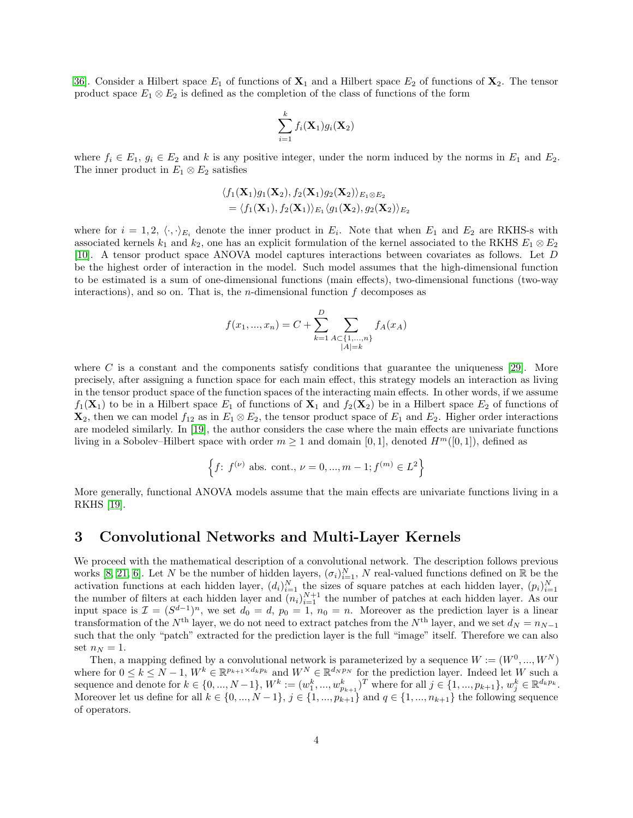[36\]](#page-14-7). Consider a Hilbert space  $E_1$  of functions of  $\mathbf{X}_1$  and a Hilbert space  $E_2$  of functions of  $\mathbf{X}_2$ . The tensor product space  $E_1 \otimes E_2$  is defined as the completion of the class of functions of the form

$$
\sum_{i=1}^k f_i(\mathbf{X}_1)g_i(\mathbf{X}_2)
$$

where  $f_i \in E_1$ ,  $g_i \in E_2$  and k is any positive integer, under the norm induced by the norms in  $E_1$  and  $E_2$ . The inner product in  $E_1 \otimes E_2$  satisfies

$$
\langle f_1(\mathbf{X}_1)g_1(\mathbf{X}_2), f_2(\mathbf{X}_1)g_2(\mathbf{X}_2) \rangle_{E_1 \otimes E_2}
$$
  
=  $\langle f_1(\mathbf{X}_1), f_2(\mathbf{X}_1) \rangle_{E_1} \langle g_1(\mathbf{X}_2), g_2(\mathbf{X}_2) \rangle_{E_2}$ 

where for  $i = 1, 2, \langle \cdot, \cdot \rangle_{E_i}$  denote the inner product in  $E_i$ . Note that when  $E_1$  and  $E_2$  are RKHS-s with associated kernels  $k_1$  and  $k_2$ , one has an explicit formulation of the kernel associated to the RKHS  $E_1 \otimes E_2$ [\[10\]](#page-13-9). A tensor product space ANOVA model captures interactions between covariates as follows. Let D be the highest order of interaction in the model. Such model assumes that the high-dimensional function to be estimated is a sum of one-dimensional functions (main effects), two-dimensional functions (two-way interactions), and so on. That is, the *n*-dimensional function  $f$  decomposes as

$$
f(x_1, ..., x_n) = C + \sum_{k=1}^{D} \sum_{\substack{A \subset \{1, ..., n\} \\ |A| = k}} f_A(x_A)
$$

where C is a constant and the components satisfy conditions that guarantee the uniqueness [\[29\]](#page-14-4). More precisely, after assigning a function space for each main effect, this strategy models an interaction as living in the tensor product space of the function spaces of the interacting main effects. In other words, if we assume  $f_1(\mathbf{X}_1)$  to be in a Hilbert space  $E_1$  of functions of  $\mathbf{X}_1$  and  $f_2(\mathbf{X}_2)$  be in a Hilbert space  $E_2$  of functions of  $\mathbf{X}_2$ , then we can model  $f_{12}$  as in  $E_1 \otimes E_2$ , the tensor product space of  $E_1$  and  $E_2$ . Higher order interactions are modeled similarly. In [\[19\]](#page-13-4), the author considers the case where the main effects are univariate functions living in a Sobolev–Hilbert space with order  $m \ge 1$  and domain [0, 1], denoted  $H^m([0, 1])$ , defined as

$$
\left\{f: f^{(\nu)} \text{ abs. cont.}, \nu = 0, ..., m - 1; f^{(m)} \in L^2\right\}
$$

More generally, functional ANOVA models assume that the main effects are univariate functions living in a RKHS [\[19\]](#page-13-4).

### 3 Convolutional Networks and Multi-Layer Kernels

We proceed with the mathematical description of a convolutional network. The description follows previous works [\[8,](#page-13-2) [21,](#page-14-8) [6\]](#page-13-3). Let N be the number of hidden layers,  $(\sigma_i)_{i=1}^N$ , N real-valued functions defined on R be the activation functions at each hidden layer,  $(d_i)_{i=1}^N$  the sizes of square patches at each hidden layer,  $(p_i)_{i=1}^N$ <br>the number of filters at each hidden layer and  $(n_i)_{i=1}^{N+1}$  the number of patches at each hidden la input space is  $\mathcal{I} = (S^{d-1})^n$ , we set  $d_0 = d$ ,  $p_0 = 1$ ,  $n_0 = n$ . Moreover as the prediction layer is a linear transformation of the N<sup>th</sup> layer, we do not need to extract patches from the N<sup>th</sup> layer, and we set  $d_N = n_{N-1}$ such that the only "patch" extracted for the prediction layer is the full "image" itself. Therefore we can also set  $n_N = 1$ .

Then, a mapping defined by a convolutional network is parameterized by a sequence  $W := (W^0, ..., W^N)$ where for  $0 \le k \le N-1$ ,  $W^k \in \mathbb{R}^{p_{k+1} \times d_k p_k}$  and  $W^N \in \mathbb{R}^{d_N p_N}$  for the prediction layer. Indeed let W such a sequence and denote for  $k \in \{0, ..., N-1\}$ ,  $W^k := (w_1^k, ..., w_{p_{k+1}}^k)^T$  where for all  $j \in \{1, ..., p_{k+1}\}$ ,  $w_j^k \in \mathbb{R}^{d_k p_k}$ . Moreover let us define for all  $k \in \{0, ..., N-1\}$ ,  $j \in \{1, ..., p_{k+1}\}$  and  $q \in \{1, ..., n_{k+1}\}$  the following sequence of operators.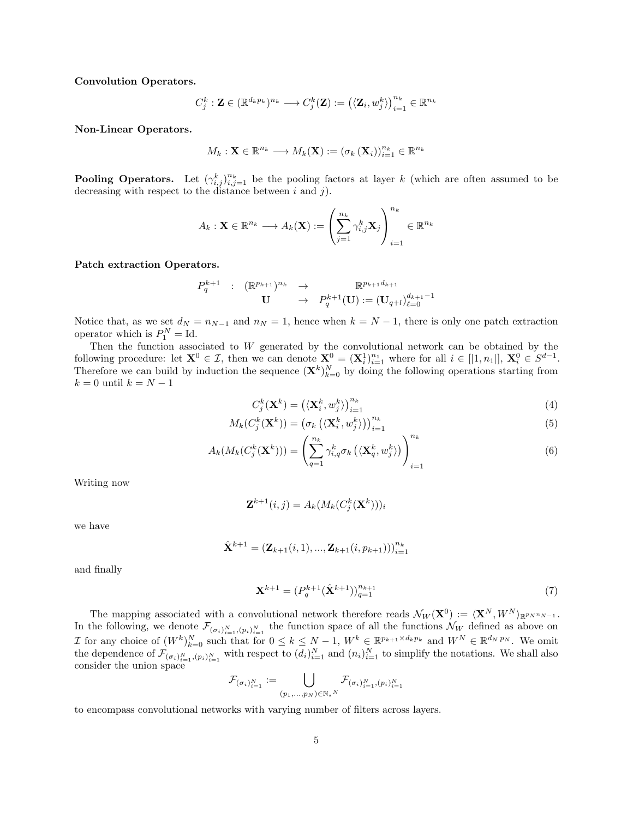Convolution Operators.

$$
C_j^k: \mathbf{Z} \in (\mathbb{R}^{d_k p_k})^{n_k} \longrightarrow C_j^k(\mathbf{Z}):=\big(\langle \mathbf{Z}_i, w_j^k\rangle\big)_{i=1}^{n_k} \in \mathbb{R}^{n_k}
$$

Non-Linear Operators.

$$
M_k: \mathbf{X} \in \mathbb{R}^{n_k} \longrightarrow M_k(\mathbf{X}) := (\sigma_k(\mathbf{X}_i))_{i=1}^{n_k} \in \mathbb{R}^{n_k}
$$

**Pooling Operators.** Let  $(\gamma_{i,j}^k)_{i,j=1}^{n_k}$  be the pooling factors at layer k (which are often assumed to be decreasing with respect to the distance between  $i$  and  $j$ ).

$$
A_k: \mathbf{X} \in \mathbb{R}^{n_k} \longrightarrow A_k(\mathbf{X}) := \left(\sum_{j=1}^{n_k} \gamma_{i,j}^k \mathbf{X}_j\right)_{i=1}^{n_k} \in \mathbb{R}^{n_k}
$$

Patch extraction Operators.

$$
\begin{array}{cccc}P_q^{k+1}&:&(\mathbb{R}^{p_{k+1}})^{n_k}&\to&\mathbb{R}^{p_{k+1}d_{k+1}}\\&\mathbf{U}&\to&P_q^{k+1}(\mathbf{U}):=(\mathbf{U}_{q+l})_{\ell=0}^{d_{k+1}-1}\end{array}
$$

Notice that, as we set  $d_N = n_{N-1}$  and  $n_N = 1$ , hence when  $k = N - 1$ , there is only one patch extraction operator which is  $P_1^N = \mathrm{Id}$ .

Then the function associated to W generated by the convolutional network can be obtained by the following procedure: let  $\mathbf{X}^0 \in \mathcal{I}$ , then we can denote  $\mathbf{X}^0 = (\mathbf{X}_i^1)_{i=1}^{n_1}$  where for all  $i \in [1, n_1]$ ,  $\mathbf{X}_i^0 \in S^{d-1}$ . Therefore we can build by induction the sequence  $(\mathbf{X}^k)_{k=0}^N$  by doing the following operations starting from  $k = 0$  until  $k = N - 1$ 

$$
C_j^k(\mathbf{X}^k) = \left(\langle \mathbf{X}_i^k, w_j^k \rangle\right)_{i=1}^{n_k} \tag{4}
$$

$$
M_k(C_j^k(\mathbf{X}^k)) = \left(\sigma_k\left(\langle \mathbf{X}_i^k, w_j^k \rangle\right)\right)_{i=1}^{n_k}
$$
\n<sup>(5)</sup>

$$
A_k(M_k(C_j^k(\mathbf{X}^k))) = \left(\sum_{q=1}^{n_k} \gamma_{i,q}^k \sigma_k(\langle \mathbf{X}_q^k, w_j^k \rangle)\right)_{i=1}^{n_k}
$$
\n(6)

Writing now

$$
\mathbf{Z}^{k+1}(i,j) = A_k(M_k(C_j^k(\mathbf{X}^k)))_i
$$

we have

$$
\hat{\mathbf{X}}^{k+1} = (\mathbf{Z}_{k+1}(i,1),...,\mathbf{Z}_{k+1}(i,p_{k+1})))_{i=1}^{n_k}
$$

and finally

$$
\mathbf{X}^{k+1} = (P_q^{k+1} (\hat{\mathbf{X}}^{k+1}))_{q=1}^{n_{k+1}}
$$
\n(7)

The mapping associated with a convolutional network therefore reads  $\mathcal{N}_W(\mathbf{X}^0) := \langle \mathbf{X}^N, W^N \rangle_{\mathbb{R}^{p_N n_{N-1}}}$ . In the following, we denote  $\mathcal{F}_{(\sigma_i)_{i=1}^N, (p_i)_{i=1}^N}$  the function space of all the functions  $\mathcal{N}_W$  defined as above on *I* for any choice of  $(W^k)_{k=0}^N$  such that for  $0 \leq k \leq N-1$ ,  $W^k \in \mathbb{R}^{p_{k+1} \times d_k p_k}$  and  $W^N \in \mathbb{R}^{d_N p_N}$ . We omit the dependence of  $\mathcal{F}_{(\sigma_i)_{i=1}^N, (p_i)_{i=1}^N}$  with respect to  $(d_i)_{i=1}^N$  and  $(n_i)_{i=1}^N$  to simplify the notations. We shall also consider the union space

$$
\mathcal{F}_{(\sigma_i)_{i=1}^N} := \bigcup_{(p_1,\ldots,p_N)\in\mathbb{N}_*^N} \mathcal{F}_{(\sigma_i)_{i=1}^N, (p_i)_{i=1}^N}
$$

to encompass convolutional networks with varying number of filters across layers.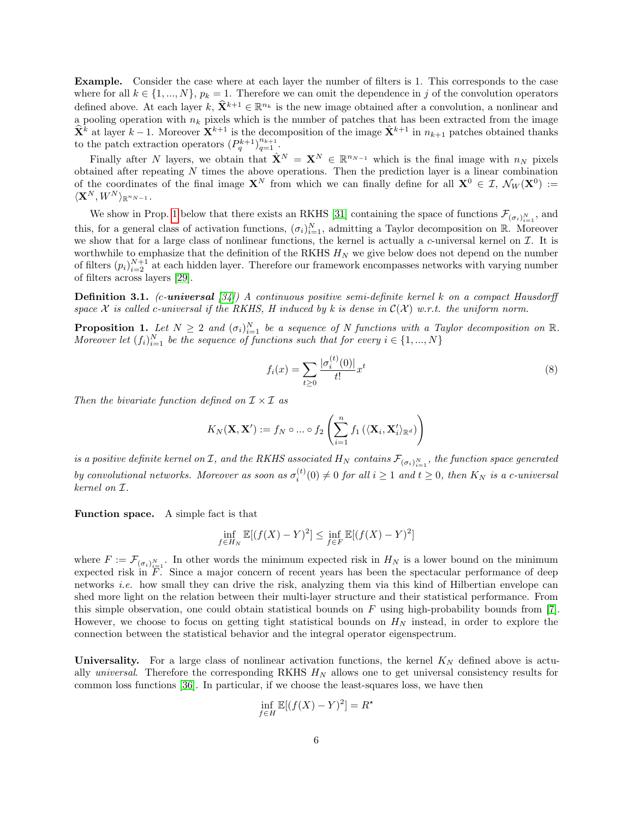Example. Consider the case where at each layer the number of filters is 1. This corresponds to the case where for all  $k \in \{1, ..., N\}, p_k = 1$ . Therefore we can omit the dependence in j of the convolution operators defined above. At each layer  $k, \hat{\mathbf{X}}^{k+1} \in \mathbb{R}^{n_k}$  is the new image obtained after a convolution, a nonlinear and a pooling operation with  $n_k$  pixels which is the number of patches that has been extracted from the image  $\hat{\mathbf{X}}^k$  at layer  $k-1$ . Moreover  $\mathbf{X}^{k+1}$  is the decomposition of the image  $\hat{\mathbf{X}}^{k+1}$  in  $n_{k+1}$  patches obtained thanks to the patch extraction operators  $(P_q^{k+1})_{q=1}^{n_{k+1}}$ .

Finally after N layers, we obtain that  $\hat{\mathbf{X}}^N = \mathbf{X}^N \in \mathbb{R}^{n_{N-1}}$  which is the final image with  $n_N$  pixels obtained after repeating  $N$  times the above operations. Then the prediction layer is a linear combination of the coordinates of the final image  $X^N$  from which we can finally define for all  $X^0 \in \mathcal{I}$ ,  $\mathcal{N}_W(X^0) :=$  $\langle \mathbf{X}^N, W^N \rangle_{\mathbb{R}^{n_{N-1}}}.$ 

We show in Prop. [1](#page-5-0) below that there exists an RKHS [\[31\]](#page-14-9) containing the space of functions  $\mathcal{F}_{(\sigma_i)_{i=1}^N}$ , and this, for a general class of activation functions,  $(\sigma_i)_{i=1}^N$ , admitting a Taylor decomposition on R. Moreover we show that for a large class of nonlinear functions, the kernel is actually a c-universal kernel on  $\mathcal I$ . It is worthwhile to emphasize that the definition of the RKHS  $H_N$  we give below does not depend on the number of filters  $(p_i)_{i=2}^{N+1}$  at each hidden layer. Therefore our framework encompasses networks with varying number of filters across layers [\[29\]](#page-14-4).

**Definition 3.1.** (c-universal  $[34]$ ) A continuous positive semi-definite kernel k on a compact Hausdorff space X is called c-universal if the RKHS, H induced by k is dense in  $\mathcal{C}(\mathcal{X})$  w.r.t. the uniform norm.

<span id="page-5-0"></span>**Proposition 1.** Let  $N \geq 2$  and  $(\sigma_i)_{i=1}^N$  be a sequence of N functions with a Taylor decomposition on R. Moreover let  $(f_i)_{i=1}^N$  be the sequence of functions such that for every  $i \in \{1, ..., N\}$ 

$$
f_i(x) = \sum_{t \ge 0} \frac{|\sigma_i^{(t)}(0)|}{t!} x^t
$$
 (8)

Then the bivariate function defined on  $\mathcal{I} \times \mathcal{I}$  as

$$
K_N(\mathbf{X}, \mathbf{X}') := f_N \circ ... \circ f_2\left(\sum_{i=1}^n f_1\left(\langle \mathbf{X}_i, \mathbf{X}'_i \rangle_{\mathbb{R}^d}\right)\right)
$$

is a positive definite kernel on  $\mathcal I$ , and the RKHS associated  $H_N$  contains  $\mathcal F_{(\sigma_i)_{i=1}^N},$  the function space generated by convolutional networks. Moreover as soon as  $\sigma_i^{(t)}(0) \neq 0$  for all  $i \geq 1$  and  $t \geq 0$ , then  $K_N$  is a c-universal kernel on I.

Function space. A simple fact is that

$$
\inf_{f \in H_N} \mathbb{E}[(f(X) - Y)^2] \le \inf_{f \in F} \mathbb{E}[(f(X) - Y)^2]
$$

where  $F := \mathcal{F}_{(\sigma_i)_{i=1}^N}$ . In other words the minimum expected risk in  $H_N$  is a lower bound on the minimum expected risk in  $\overline{F}$ . Since a major concern of recent years has been the spectacular performance of deep networks i.e. how small they can drive the risk, analyzing them via this kind of Hilbertian envelope can shed more light on the relation between their multi-layer structure and their statistical performance. From this simple observation, one could obtain statistical bounds on F using high-probability bounds from  $[7]$ . However, we choose to focus on getting tight statistical bounds on  $H_N$  instead, in order to explore the connection between the statistical behavior and the integral operator eigenspectrum.

Universality. For a large class of nonlinear activation functions, the kernel  $K_N$  defined above is actually *universal.* Therefore the corresponding RKHS  $H_N$  allows one to get universal consistency results for common loss functions [\[36\]](#page-14-7). In particular, if we choose the least-squares loss, we have then

$$
\inf_{f \in H} \mathbb{E}[(f(X) - Y)^2] = R^*
$$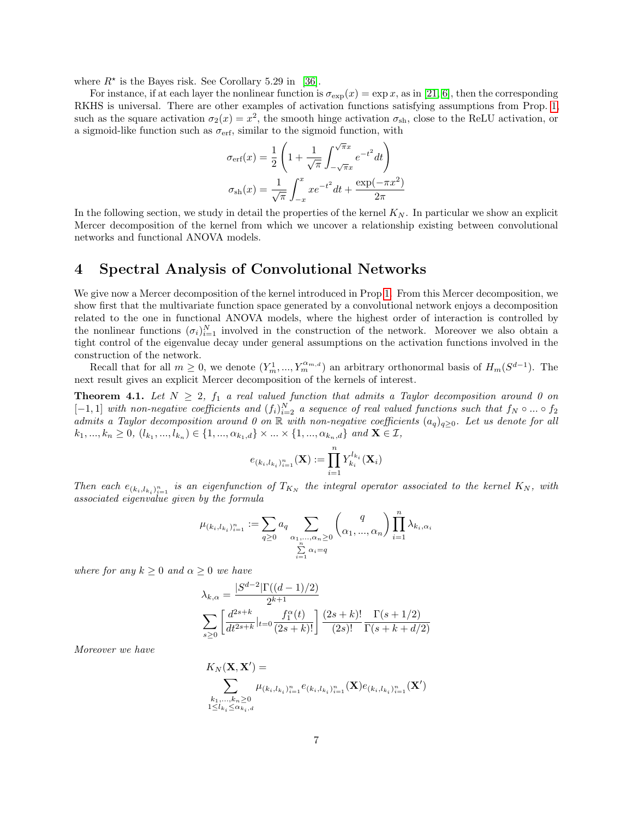where  $R^*$  is the Bayes risk. See Corollary 5.29 in [\[36\]](#page-14-7).

For instance, if at each layer the nonlinear function is  $\sigma_{\exp}(x) = \exp x$ , as in [\[21,](#page-14-8) [6\]](#page-13-3), then the corresponding RKHS is universal. There are other examples of activation functions satisfying assumptions from Prop. [1,](#page-5-0) such as the square activation  $\sigma_2(x) = x^2$ , the smooth hinge activation  $\sigma_{\rm sh}$ , close to the ReLU activation, or a sigmoid-like function such as  $\sigma_{\rm erf}$ , similar to the sigmoid function, with

$$
\sigma_{\text{erf}}(x) = \frac{1}{2} \left( 1 + \frac{1}{\sqrt{\pi}} \int_{-\sqrt{\pi}x}^{\sqrt{\pi}x} e^{-t^2} dt \right)
$$

$$
\sigma_{\text{sh}}(x) = \frac{1}{\sqrt{\pi}} \int_{-x}^{x} x e^{-t^2} dt + \frac{\exp(-\pi x^2)}{2\pi}
$$

In the following section, we study in detail the properties of the kernel  $K_N$ . In particular we show an explicit Mercer decomposition of the kernel from which we uncover a relationship existing between convolutional networks and functional ANOVA models.

# 4 Spectral Analysis of Convolutional Networks

We give now a Mercer decomposition of the kernel introduced in Prop [1.](#page-5-0) From this Mercer decomposition, we show first that the multivariate function space generated by a convolutional network enjoys a decomposition related to the one in functional ANOVA models, where the highest order of interaction is controlled by the nonlinear functions  $(\sigma_i)_{i=1}^N$  involved in the construction of the network. Moreover we also obtain a tight control of the eigenvalue decay under general assumptions on the activation functions involved in the construction of the network.

Recall that for all  $m \geq 0$ , we denote  $(Y_m^1, ..., Y_m^{\alpha_{m,d}})$  an arbitrary orthonormal basis of  $H_m(S^{d-1})$ . The next result gives an explicit Mercer decomposition of the kernels of interest.

<span id="page-6-0"></span>**Theorem 4.1.** Let  $N \geq 2$ ,  $f_1$  a real valued function that admits a Taylor decomposition around 0 on  $[-1,1]$  with non-negative coefficients and  $(f_i)_{i=2}^N$  a sequence of real valued functions such that  $f_N \circ ... \circ f_2$ admits a Taylor decomposition around 0 on R with non-negative coefficients  $(a_q)_{q>0}$ . Let us denote for all  $k_1, ..., k_n \ge 0, (l_{k_1}, ..., l_{k_n}) \in \{1, ..., \alpha_{k_1,d}\} \times ... \times \{1, ..., \alpha_{k_n,d}\}$  and  $\mathbf{X} \in \mathcal{I}$ ,

$$
e_{(k_i,l_{k_i})_{i=1}^n}(\mathbf{X}) := \prod_{i=1}^n Y_{k_i}^{l_{k_i}}(\mathbf{X}_i)
$$

Then each  $e_{(k_i,l_{k_i})_{i=1}^n}$  is an eigenfunction of  $T_{K_N}$  the integral operator associated to the kernel  $K_N$ , with associated eigenvalue given by the formula

$$
\mu_{(k_i, l_{k_i})_{i=1}^n} := \sum_{q \ge 0} a_q \sum_{\substack{\alpha_1, \dots, \alpha_n \ge 0 \\ \sum_{i=1}^n \alpha_i = q}} \binom{q}{\alpha_1, \dots, \alpha_n} \prod_{i=1}^n \lambda_{k_i, \alpha_i}
$$

where for any  $k \geq 0$  and  $\alpha \geq 0$  we have

$$
\lambda_{k,\alpha} = \frac{|S^{d-2}|\Gamma((d-1)/2)}{2^{k+1}}
$$

$$
\sum_{s\geq 0} \left[ \frac{d^{2s+k}}{dt^{2s+k}} |_{t=0} \frac{f_1^{\alpha}(t)}{(2s+k)!} \right] \frac{(2s+k)!}{(2s)!} \frac{\Gamma(s+1/2)}{\Gamma(s+k+d/2)}
$$

Moreover we have

$$
K_N(\mathbf{X}, \mathbf{X}') = \sum_{\substack{k_1, \dots, k_n \ge 0 \\ 1 \le l_{k_i} \le \alpha_{k_i}, d}} \mu_{(k_i, l_{k_i})_{i=1}^n} e_{(k_i, l_{k_i})_{i=1}^n}(\mathbf{X}) e_{(k_i, l_{k_i})_{i=1}^n}(\mathbf{X}')
$$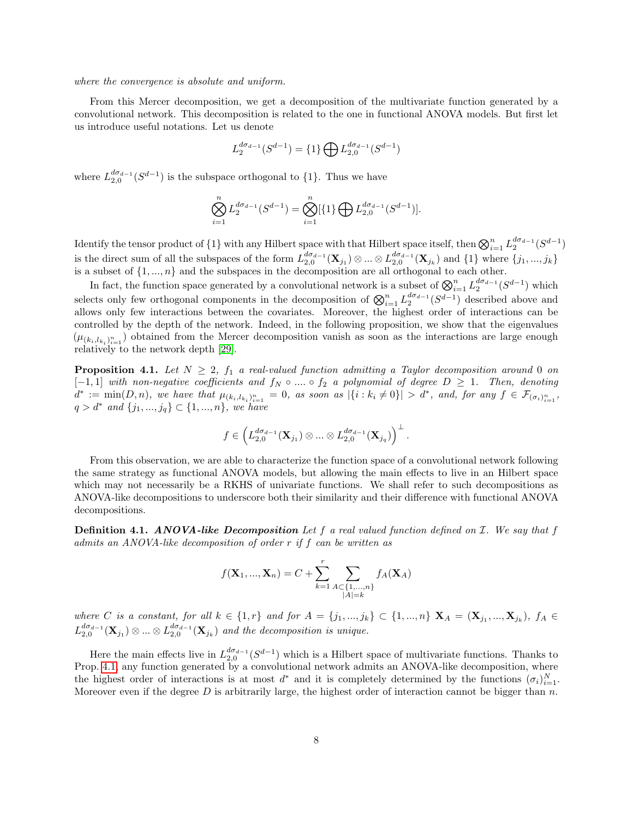#### where the convergence is absolute and uniform.

From this Mercer decomposition, we get a decomposition of the multivariate function generated by a convolutional network. This decomposition is related to the one in functional ANOVA models. But first let us introduce useful notations. Let us denote

$$
L_2^{d\sigma_{d-1}}(S^{d-1})=\{1\}\bigoplus L_{2,0}^{d\sigma_{d-1}}(S^{d-1})
$$

where  $L_{2,0}^{d\sigma_{d-1}}(S^{d-1})$  is the subspace orthogonal to  $\{1\}$ . Thus we have

$$
\bigotimes_{i=1}^{n} L_2^{d\sigma_{d-1}}(S^{d-1}) = \bigotimes_{i=1}^{n} [\{1\} \bigoplus L_{2,0}^{d\sigma_{d-1}}(S^{d-1})].
$$

Identify the tensor product of  $\{1\}$  with any Hilbert space with that Hilbert space itself, then  $\bigotimes_{i=1}^n L_2^{d\sigma_{d-1}}(S^{d-1})$ is the direct sum of all the subspaces of the form  $L_{2,0}^{d\sigma_{d-1}}(\mathbf{X}_{j_1})\otimes...\otimes L_{2,0}^{d\sigma_{d-1}}(\mathbf{X}_{j_k})$  and  $\{1\}$  where  $\{j_1,...,j_k\}$ is a subset of  $\{1, ..., n\}$  and the subspaces in the decomposition are all orthogonal to each other.

In fact, the function space generated by a convolutional network is a subset of  $\bigotimes_{i=1}^n L_2^{d\sigma_{d-1}}(S^{d-1})$  which selects only few orthogonal components in the decomposition of  $\bigotimes_{i=1}^n L_2^{d\sigma_{d-1}}(S^{d-1})$  described above and allows only few interactions between the covariates. Moreover, the highest order of interactions can be controlled by the depth of the network. Indeed, in the following proposition, we show that the eigenvalues  $(\mu_{(k_i, l_{k_i})_{i=1}^n})$  obtained from the Mercer decomposition vanish as soon as the interactions are large enough relatively to the network depth [\[29\]](#page-14-4).

<span id="page-7-0"></span>**Proposition 4.1.** Let  $N \geq 2$ ,  $f_1$  a real-valued function admitting a Taylor decomposition around 0 on  $[-1, 1]$  with non-negative coefficients and  $f_N \circ ... \circ f_2$  a polynomial of degree  $D \geq 1$ . Then, denoting  $d^* := \min(D, n)$ , we have that  $\mu_{(k_i, l_{k_i})_{i=1}^n} = 0$ , as soon as  $|\{i : k_i \neq 0\}| > d^*$ , and, for any  $f \in \mathcal{F}_{(\sigma_i)_{i=1}^n}$ ,  $q > d^*$  and  $\{j_1, ..., j_q\} \subset \{1, ..., n\}$ , we have

$$
f\in \left( L_{2,0}^{d\sigma_{d-1}}(\mathbf{X}_{j_1})\otimes ... \otimes L_{2,0}^{d\sigma_{d-1}}(\mathbf{X}_{j_q}) \right)^{\perp}.
$$

From this observation, we are able to characterize the function space of a convolutional network following the same strategy as functional ANOVA models, but allowing the main effects to live in an Hilbert space which may not necessarily be a RKHS of univariate functions. We shall refer to such decompositions as ANOVA-like decompositions to underscore both their similarity and their difference with functional ANOVA decompositions.

**Definition 4.1. ANOVA-like Decomposition** Let f a real valued function defined on  $\mathcal{I}$ . We say that f admits an ANOVA-like decomposition of order r if f can be written as

$$
f(\mathbf{X}_1, ..., \mathbf{X}_n) = C + \sum_{k=1}^r \sum_{\substack{A \subset \{1, ..., n\} \\ |A| = k}} f_A(\mathbf{X}_A)
$$

where C is a constant, for all  $k \in \{1,r\}$  and for  $A = \{j_1,...,j_k\} \subset \{1,...,n\}$   $\mathbf{X}_A = (\mathbf{X}_{j_1},...,\mathbf{X}_{j_k}),$   $f_A \in$  $L_{2,0}^{d\sigma_{d-1}}(\mathbf{X}_{j_1})\otimes...\otimes L_{2,0}^{d\sigma_{d-1}}(\mathbf{X}_{j_k})$  and the decomposition is unique.

Here the main effects live in  $L_{2,0}^{d\sigma_{d-1}}(S^{d-1})$  which is a Hilbert space of multivariate functions. Thanks to Prop. [4.1,](#page-7-0) any function generated by a convolutional network admits an ANOVA-like decomposition, where the highest order of interactions is at most  $d^*$  and it is completely determined by the functions  $(\sigma_i)_{i=1}^N$ . Moreover even if the degree  $D$  is arbitrarily large, the highest order of interaction cannot be bigger than  $n$ .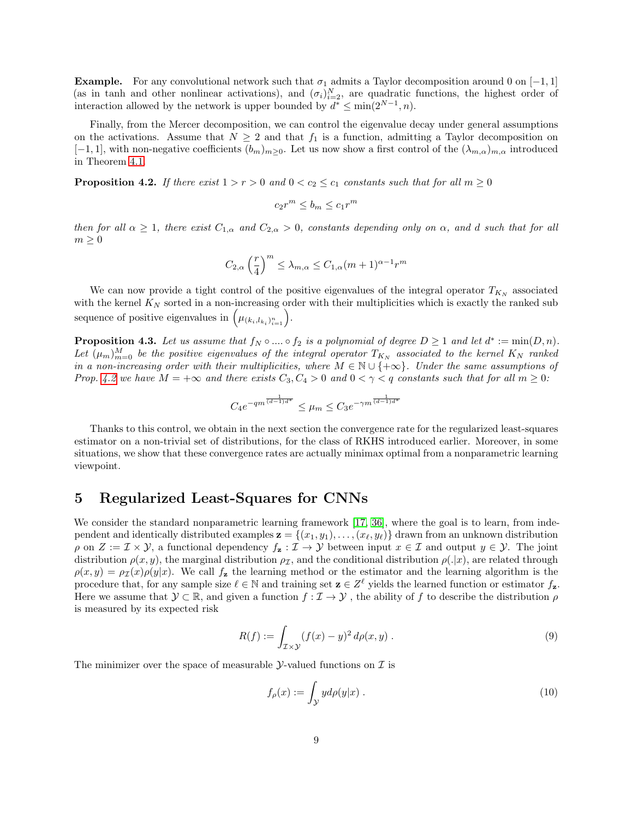**Example.** For any convolutional network such that  $\sigma_1$  admits a Taylor decomposition around 0 on [−1, 1] (as in tanh and other nonlinear activations), and  $(\sigma_i)_{i=2}^N$ , are quadratic functions, the highest order of interaction allowed by the network is upper bounded by  $d^* \leq \min(2^{N-1}, n)$ .

Finally, from the Mercer decomposition, we can control the eigenvalue decay under general assumptions on the activations. Assume that  $N \geq 2$  and that  $f_1$  is a function, admitting a Taylor decomposition on  $[-1, 1]$ , with non-negative coefficients  $(b_m)_{m>0}$ . Let us now show a first control of the  $(\lambda_{m,\alpha})_{m,\alpha}$  introduced in Theorem [4.1.](#page-6-0)

<span id="page-8-0"></span>**Proposition 4.2.** If there exist  $1 > r > 0$  and  $0 < c_2 \leq c_1$  constants such that for all  $m \geq 0$ 

$$
c_2r^m \le b_m \le c_1r^m
$$

then for all  $\alpha \geq 1$ , there exist  $C_{1,\alpha}$  and  $C_{2,\alpha} > 0$ , constants depending only on  $\alpha$ , and d such that for all  $m \geq 0$ 

$$
C_{2,\alpha} \left(\frac{r}{4}\right)^m \le \lambda_{m,\alpha} \le C_{1,\alpha} (m+1)^{\alpha-1} r^m
$$

We can now provide a tight control of the positive eigenvalues of the integral operator  $T_{K_N}$  associated with the kernel  $K_N$  sorted in a non-increasing order with their multiplicities which is exactly the ranked sub sequence of positive eigenvalues in  $(\mu_{(k_i, l_{k_i})_{i=1}^n})$ .

<span id="page-8-1"></span>**Proposition 4.3.** Let us assume that  $f_N \circ ... \circ f_2$  is a polynomial of degree  $D \ge 1$  and let  $d^* := \min(D, n)$ . Let  $(\mu_m)_{m=0}^M$  be the positive eigenvalues of the integral operator  $T_{K_N}$  associated to the kernel  $K_N$  ranked in a non-increasing order with their multiplicities, where  $M \in \mathbb{N} \cup \{+\infty\}$ . Under the same assumptions of Prop. [4.2](#page-8-0) we have  $M = +\infty$  and there exists  $C_3, C_4 > 0$  and  $0 < \gamma < q$  constants such that for all  $m \geq 0$ :

$$
C_4 e^{-qm^{\frac{1}{(d-1)d^*}}} \le \mu_m \le C_3 e^{-\gamma m^{\frac{1}{(d-1)d^*}}}
$$

Thanks to this control, we obtain in the next section the convergence rate for the regularized least-squares estimator on a non-trivial set of distributions, for the class of RKHS introduced earlier. Moreover, in some situations, we show that these convergence rates are actually minimax optimal from a nonparametric learning viewpoint.

### 5 Regularized Least-Squares for CNNs

We consider the standard nonparametric learning framework [\[17,](#page-13-11) [36\]](#page-14-7), where the goal is to learn, from independent and identically distributed examples  $\mathbf{z} = \{(x_1, y_1), \ldots, (x_\ell, y_\ell)\}\)$  drawn from an unknown distribution  $\rho$  on  $Z := \mathcal{I} \times \mathcal{Y}$ , a functional dependency  $f_{\mathbf{z}} : \mathcal{I} \to \mathcal{Y}$  between input  $x \in \mathcal{I}$  and output  $y \in \mathcal{Y}$ . The joint distribution  $\rho(x, y)$ , the marginal distribution  $\rho<sub>I</sub>$ , and the conditional distribution  $\rho(.|x)$ , are related through  $\rho(x, y) = \rho(x)\rho(y|x)$ . We call  $f_{\mathbf{z}}$  the learning method or the estimator and the learning algorithm is the procedure that, for any sample size  $\ell \in \mathbb{N}$  and training set  $\mathbf{z} \in \mathbb{Z}^{\ell}$  yields the learned function or estimator  $f_{\mathbf{z}}$ . Here we assume that  $\mathcal{Y} \subset \mathbb{R}$ , and given a function  $f : \mathcal{I} \to \mathcal{Y}$ , the ability of f to describe the distribution  $\rho$ is measured by its expected risk

$$
R(f) := \int_{\mathcal{I}\times\mathcal{Y}} (f(x) - y)^2 d\rho(x, y) . \tag{9}
$$

The minimizer over the space of measurable  $\mathcal{Y}$ -valued functions on  $\mathcal{I}$  is

$$
f_{\rho}(x) := \int_{\mathcal{Y}} y d\rho(y|x) . \tag{10}
$$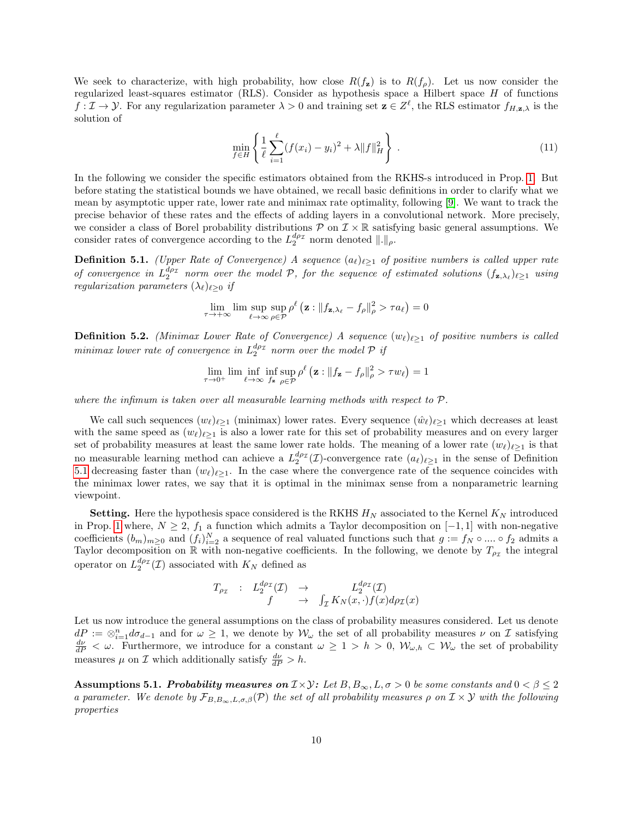We seek to characterize, with high probability, how close  $R(f_{\rm z})$  is to  $R(f_{\rm o})$ . Let us now consider the regularized least-squares estimator (RLS). Consider as hypothesis space a Hilbert space H of functions  $f: \mathcal{I} \to \mathcal{Y}$ . For any regularization parameter  $\lambda > 0$  and training set  $\mathbf{z} \in \mathcal{Z}^{\ell}$ , the RLS estimator  $f_{H,\mathbf{z},\lambda}$  is the solution of

$$
\min_{f \in H} \left\{ \frac{1}{\ell} \sum_{i=1}^{\ell} (f(x_i) - y_i)^2 + \lambda \|f\|_H^2 \right\} \,. \tag{11}
$$

In the following we consider the specific estimators obtained from the RKHS-s introduced in Prop. [1.](#page-5-0) But before stating the statistical bounds we have obtained, we recall basic definitions in order to clarify what we mean by asymptotic upper rate, lower rate and minimax rate optimality, following [\[9\]](#page-13-12). We want to track the precise behavior of these rates and the effects of adding layers in a convolutional network. More precisely, we consider a class of Borel probability distributions  $P$  on  $\mathcal{I} \times \mathbb{R}$  satisfying basic general assumptions. We consider rates of convergence according to the  $L_2^{d\rho_{\mathcal{I}}}$  norm denoted  $\|\. \|_{\rho}$ .

<span id="page-9-0"></span>**Definition 5.1.** (Upper Rate of Convergence) A sequence  $(a_\ell)_{\ell \geq 1}$  of positive numbers is called upper rate of convergence in  $L_2^{d\rho_{\mathcal{I}}}$  norm over the model P, for the sequence of estimated solutions  $(f_{\mathbf{z},\lambda_\ell})_{\ell\geq 1}$  using regularization parameters  $(\lambda_\ell)_{\ell \geq 0}$  if

$$
\lim_{\tau \to +\infty} \lim \sup_{\ell \to \infty} \sup_{\rho \in \mathcal{P}} \rho^{\ell} \left( \mathbf{z} : \| f_{\mathbf{z}, \lambda_{\ell}} - f_{\rho} \|_{\rho}^2 > \tau a_{\ell} \right) = 0
$$

**Definition 5.2.** (Minimax Lower Rate of Convergence) A sequence  $(w_{\ell})_{\ell>1}$  of positive numbers is called  $minimax$  lower rate of convergence in  $L_2^{d\rho_{\mathcal{I}}}$  norm over the model  $\mathcal P$  if

$$
\lim_{\tau \to 0^+} \lim_{\ell \to \infty} \inf_{f_{\mathbf{z}} \to \infty} \sup_{\rho \in \mathcal{P}} \rho^{\ell} \left( \mathbf{z} : \|f_{\mathbf{z}} - f_{\rho}\|_{\rho}^2 > \tau w_{\ell} \right) = 1
$$

where the infimum is taken over all measurable learning methods with respect to  $\mathcal{P}$ .

We call such sequences  $(w_\ell)_{\ell \geq 1}$  (minimax) lower rates. Every sequence  $(\hat{w}_\ell)_{\ell \geq 1}$  which decreases at least with the same speed as  $(w_{\ell})_{\ell\geq 1}$  is also a lower rate for this set of probability measures and on every larger set of probability measures at least the same lower rate holds. The meaning of a lower rate  $(w_\ell)_{\ell>1}$  is that no measurable learning method can achieve a  $L_2^{d\rho_{\mathcal{I}}}(\mathcal{I})$ -convergence rate  $(a_\ell)_{\ell \geq 1}$  in the sense of Definition [5.1](#page-9-0) decreasing faster than  $(w_{\ell})_{\ell \geq 1}$ . In the case where the convergence rate of the sequence coincides with the minimax lower rates, we say that it is optimal in the minimax sense from a nonparametric learning viewpoint.

**Setting.** Here the hypothesis space considered is the RKHS  $H_N$  associated to the Kernel  $K_N$  introduced in Prop. [1](#page-5-0) where,  $N \geq 2$ ,  $f_1$  a function which admits a Taylor decomposition on [−1, 1] with non-negative coefficients  $(b_m)_{m\geq 0}$  and  $(f_i)_{i=2}^N$  a sequence of real valuated functions such that  $g := f_N \circ ... \circ f_2$  admits a Taylor decomposition on  $\mathbb R$  with non-negative coefficients. In the following, we denote by  $T_{\rho_{\mathcal{I}}}$  the integral operator on  $L_2^{d\rho_{\mathcal{I}}}(\mathcal{I})$  associated with  $K_N$  defined as

$$
T_{\rho_{\mathcal{I}}} : L_2^{d\rho_{\mathcal{I}}}(\mathcal{I}) \rightarrow L_2^{d\rho_{\mathcal{I}}}(\mathcal{I}) f \rightarrow \int_{\mathcal{I}} K_N(x,\cdot) f(x) d\rho_{\mathcal{I}}(x)
$$

Let us now introduce the general assumptions on the class of probability measures considered. Let us denote  $dP := \otimes_{i=1}^n d\sigma_{d-1}$  and for  $\omega \geq 1$ , we denote by  $\mathcal{W}_{\omega}$  the set of all probability measures  $\nu$  on  $\mathcal I$  satisfying  $\frac{d\nu}{dP} < \omega$ . Furthermore, we introduce for a constant  $\omega \geq 1 > h > 0$ ,  $\mathcal{W}_{\omega,h} \subset \mathcal{W}_{\omega}$  the set of probability measures  $\mu$  on  $\mathcal I$  which additionally satisfy  $\frac{d\nu}{dP} > h$ .

Assumptions 5.1. Probability measures on  $\mathcal{I}\times\mathcal{Y}$ : Let  $B, B_{\infty}, L, \sigma > 0$  be some constants and  $0 < \beta \leq 2$ a parameter. We denote by  $\mathcal{F}_{B,B_{\infty},L,\sigma,\beta}(\mathcal{P})$  the set of all probability measures  $\rho$  on  $\mathcal{I}\times\mathcal{Y}$  with the following properties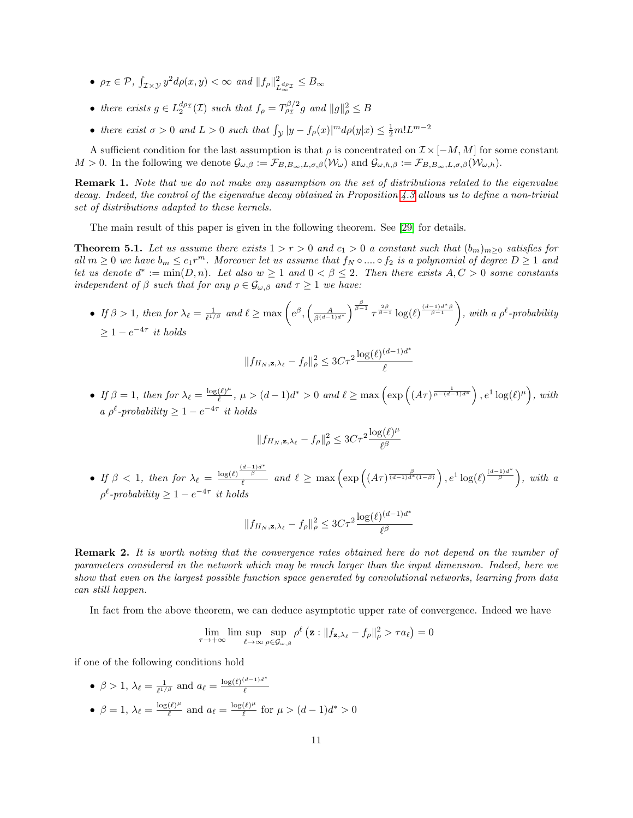- $\rho_{\mathcal{I}} \in \mathcal{P}, \int_{\mathcal{I}\times\mathcal{Y}} y^2 d\rho(x, y) < \infty$  and  $||f_{\rho}||_I^2$  $\frac{2}{L_{\infty}^{d\rho_{\mathcal{I}}}} \leq B_{\infty}$
- there exists  $g \in L_2^{d_{\rho_\mathcal{I}}}(\mathcal{I})$  such that  $f_\rho = T_{\rho_\mathcal{I}}^{\beta/2} g$  and  $||g||_\rho^2 \leq B$
- there exist  $\sigma > 0$  and  $L > 0$  such that  $\int_{\mathcal{Y}} |y f_{\rho}(x)|^m d\rho(y|x) \leq \frac{1}{2} m! L^{m-2}$

A sufficient condition for the last assumption is that  $\rho$  is concentrated on  $\mathcal{I} \times [-M, M]$  for some constant  $M > 0$ . In the following we denote  $\mathcal{G}_{\omega,\beta} := \mathcal{F}_{B,B_{\infty},L,\sigma,\beta}(\mathcal{W}_{\omega})$  and  $\mathcal{G}_{\omega,h,\beta} := \mathcal{F}_{B,B_{\infty},L,\sigma,\beta}(\mathcal{W}_{\omega,h}).$ 

Remark 1. Note that we do not make any assumption on the set of distributions related to the eigenvalue decay. Indeed, the control of the eigenvalue decay obtained in Proposition [4.3](#page-8-1) allows us to define a non-trivial set of distributions adapted to these kernels.

The main result of this paper is given in the following theorem. See [\[29\]](#page-14-4) for details.

<span id="page-10-0"></span>**Theorem 5.1.** Let us assume there exists  $1 > r > 0$  and  $c_1 > 0$  a constant such that  $(b_m)_{m \geq 0}$  satisfies for all  $m \geq 0$  we have  $b_m \leq c_1 r^m$ . Moreover let us assume that  $f_N \circ .... \circ f_2$  is a polynomial of degree  $D \geq 1$  and let us denote  $d^* := \min(D, n)$ . Let also  $w \ge 1$  and  $0 < \beta \le 2$ . Then there exists  $A, C > 0$  some constants independent of  $\beta$  such that for any  $\rho \in \mathcal{G}_{\omega,\beta}$  and  $\tau \geq 1$  we have:

• If  $\beta > 1$ , then for  $\lambda_{\ell} = \frac{1}{\ell^{1/\beta}}$  and  $\ell \ge \max\left(e^{\beta}, \left(\frac{A}{\beta^{(d-1)d^*}}\right)^{\frac{\beta}{\beta-1}} \tau^{\frac{2\beta}{\beta-1}} \log(\ell)^{\frac{(d-1)d^*\beta}{\beta-1}}\right)$ , with a  $\rho^{\ell}$ -probability  $\geq 1 - e^{-4\tau}$  it holds

$$
||f_{H_N, \mathbf{z}, \lambda_\ell} - f_\rho||_\rho^2 \leq 3C\tau^2 \frac{\log(\ell)^{(d-1)d^*}}{\ell}
$$

• If  $\beta = 1$ , then for  $\lambda_{\ell} = \frac{\log(\ell)^{\mu}}{\ell}$  $\frac{(\ell)^{\mu}}{\ell}$ ,  $\mu > (d-1)d^* > 0$  and  $\ell \ge \max\left(\exp\left((A\tau)^{\frac{1}{\mu-(d-1)d^*}}\right), e^1 \log(\ell)^{\mu}\right)$ , with a  $\rho^{\ell}$ -probability  $\geq 1 - e^{-4\tau}$  it holds

$$
||f_{H_N, \mathbf{z}, \lambda_\ell} - f_\rho||_\rho^2 \leq 3C\tau^2 \frac{\log(\ell)^\mu}{\ell^\beta}
$$

• If  $\beta < 1$ , then for  $\lambda_{\ell} = \frac{\log(\ell) \frac{(d-1)d^*}{\beta}}{\ell}$  $\frac{\frac{a-1}{\beta}}{\ell}$  and  $\ell \geq \max\left(\exp\left((A\tau)^{\frac{\beta}{(d-1)d^*(1-\beta)}}\right), e^1\log(\ell)^{\frac{(d-1)d^*}{\beta}}\right)$ , with a  $\rho^{\ell}$ -probability  $\geq 1 - e^{-4\tau}$  it holds

$$
||f_{H_N, \mathbf{z}, \lambda_\ell} - f_\rho||_\rho^2 \leq 3C\tau^2 \frac{\log(\ell)^{(d-1)d^*}}{\ell^\beta}
$$

Remark 2. It is worth noting that the convergence rates obtained here do not depend on the number of parameters considered in the network which may be much larger than the input dimension. Indeed, here we show that even on the largest possible function space generated by convolutional networks, learning from data can still happen.

In fact from the above theorem, we can deduce asymptotic upper rate of convergence. Indeed we have

$$
\lim_{\tau \to +\infty} \lim \sup_{\ell \to \infty} \sup_{\rho \in \mathcal{G}_{\omega,\beta}} \rho^{\ell} \left( \mathbf{z} : \| f_{\mathbf{z},\lambda_{\ell}} - f_{\rho} \|_{\rho}^2 > \tau a_{\ell} \right) = 0
$$

if one of the following conditions hold

•  $\beta > 1$ ,  $\lambda_{\ell} = \frac{1}{\ell^{1/\beta}}$  and  $a_{\ell} = \frac{\log(\ell)^{(d-1)d^*}}{\ell}$  $\ell$ •  $\beta = 1, \ \lambda_\ell = \frac{\log(\ell)^\mu}{\ell}$  $\frac{(\ell)^{\mu}}{\ell}$  and  $a_{\ell} = \frac{\log(\ell)^{\mu}}{\ell}$  $\frac{(\ell)^{\mu}}{\ell}$  for  $\mu > (d-1)d^* > 0$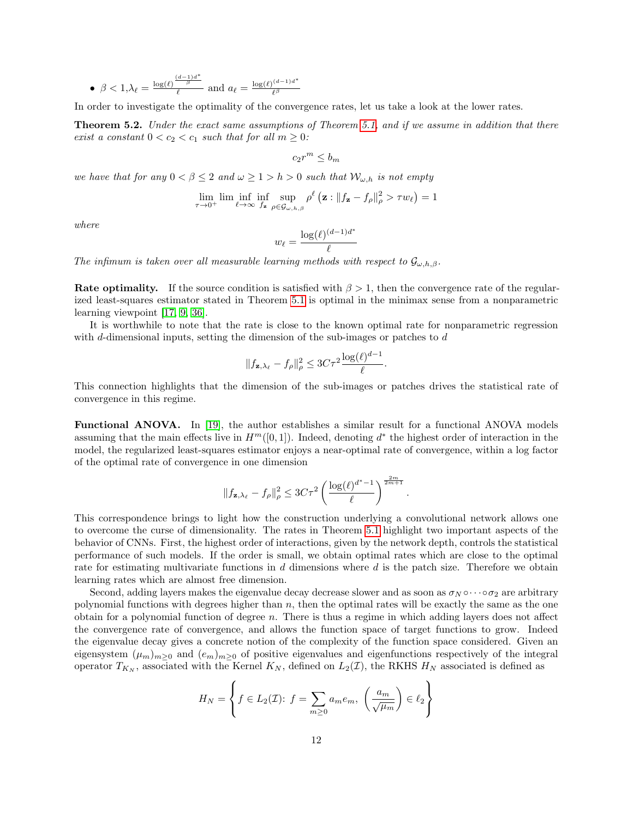• 
$$
\beta < 1, \lambda_{\ell} = \frac{\log(\ell) \frac{(d-1)d^*}{\beta}}{\ell}
$$
 and  $a_{\ell} = \frac{\log(\ell)^{(d-1)d^*}}{\ell^{\beta}}$ 

In order to investigate the optimality of the convergence rates, let us take a look at the lower rates.

<span id="page-11-0"></span>**Theorem 5.2.** Under the exact same assumptions of Theorem [5.1,](#page-10-0) and if we assume in addition that there exist a constant  $0 < c_2 < c_1$  such that for all  $m \geq 0$ :

$$
c_2r^m\leq b_m
$$

we have that for any  $0 < \beta \leq 2$  and  $\omega \geq 1 > h > 0$  such that  $\mathcal{W}_{\omega,h}$  is not empty

$$
\lim_{\tau \to 0^+} \lim \inf_{\ell \to \infty} \inf_{f_{\mathbf{z}} \in \mathcal{G}_{\omega,h,\beta}} \rho^{\ell} \left( \mathbf{z} : \|f_{\mathbf{z}} - f_{\rho}\|_{\rho}^2 > \tau w_{\ell} \right) = 1
$$

where

$$
w_\ell = \frac{\log(\ell)^{(d-1)d^*}}{\ell}
$$

The infimum is taken over all measurable learning methods with respect to  $\mathcal{G}_{\omega,h,\beta}$ .

Rate optimality. If the source condition is satisfied with  $\beta > 1$ , then the convergence rate of the regularized least-squares estimator stated in Theorem [5.1](#page-10-0) is optimal in the minimax sense from a nonparametric learning viewpoint [\[17,](#page-13-11) [9,](#page-13-12) [36\]](#page-14-7).

It is worthwhile to note that the rate is close to the known optimal rate for nonparametric regression with d-dimensional inputs, setting the dimension of the sub-images or patches to  $d$ 

$$
||f_{\mathbf{z},\lambda_{\ell}} - f_{\rho}||_{\rho}^2 \leq 3C\tau^2 \frac{\log(\ell)^{d-1}}{\ell}.
$$

This connection highlights that the dimension of the sub-images or patches drives the statistical rate of convergence in this regime.

Functional ANOVA. In [\[19\]](#page-13-4), the author establishes a similar result for a functional ANOVA models assuming that the main effects live in  $H^m([0,1])$ . Indeed, denoting  $d^*$  the highest order of interaction in the model, the regularized least-squares estimator enjoys a near-optimal rate of convergence, within a log factor of the optimal rate of convergence in one dimension

$$
||f_{\mathbf{z},\lambda_{\ell}}-f_{\rho}||_{\rho}^2 \leq 3C\tau^2 \left(\frac{\log(\ell)^{d^*-1}}{\ell}\right)^{\frac{2m}{2m+1}}.
$$

This correspondence brings to light how the construction underlying a convolutional network allows one to overcome the curse of dimensionality. The rates in Theorem [5.1](#page-10-0) highlight two important aspects of the behavior of CNNs. First, the highest order of interactions, given by the network depth, controls the statistical performance of such models. If the order is small, we obtain optimal rates which are close to the optimal rate for estimating multivariate functions in  $d$  dimensions where  $d$  is the patch size. Therefore we obtain learning rates which are almost free dimension.

Second, adding layers makes the eigenvalue decay decrease slower and as soon as  $\sigma_N \circ \cdots \circ \sigma_2$  are arbitrary polynomial functions with degrees higher than  $n$ , then the optimal rates will be exactly the same as the one obtain for a polynomial function of degree  $n$ . There is thus a regime in which adding layers does not affect the convergence rate of convergence, and allows the function space of target functions to grow. Indeed the eigenvalue decay gives a concrete notion of the complexity of the function space considered. Given an eigensystem  $(\mu_m)_{m\geq 0}$  and  $(e_m)_{m\geq 0}$  of positive eigenvalues and eigenfunctions respectively of the integral operator  $T_{K_N}$ , associated with the Kernel  $K_N$ , defined on  $L_2(\mathcal{I})$ , the RKHS  $H_N$  associated is defined as

$$
H_N = \left\{ f \in L_2(\mathcal{I}) : f = \sum_{m \ge 0} a_m e_m, \left( \frac{a_m}{\sqrt{\mu_m}} \right) \in \ell_2 \right\}
$$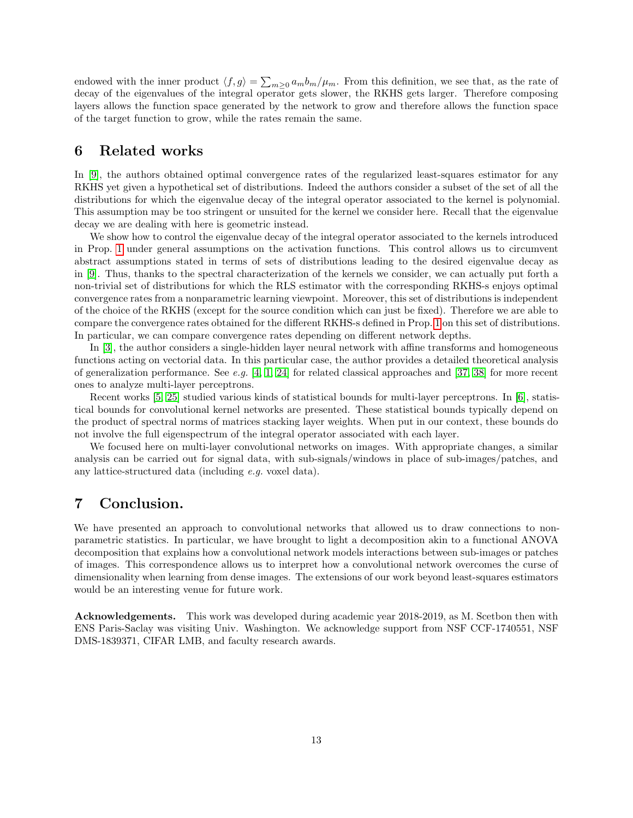endowed with the inner product  $\langle f, g \rangle = \sum_{m \geq 0} a_m b_m / \mu_m$ . From this definition, we see that, as the rate of decay of the eigenvalues of the integral operator gets slower, the RKHS gets larger. Therefore composing layers allows the function space generated by the network to grow and therefore allows the function space of the target function to grow, while the rates remain the same.

### 6 Related works

In [\[9\]](#page-13-12), the authors obtained optimal convergence rates of the regularized least-squares estimator for any RKHS yet given a hypothetical set of distributions. Indeed the authors consider a subset of the set of all the distributions for which the eigenvalue decay of the integral operator associated to the kernel is polynomial. This assumption may be too stringent or unsuited for the kernel we consider here. Recall that the eigenvalue decay we are dealing with here is geometric instead.

We show how to control the eigenvalue decay of the integral operator associated to the kernels introduced in Prop. [1](#page-5-0) under general assumptions on the activation functions. This control allows us to circumvent abstract assumptions stated in terms of sets of distributions leading to the desired eigenvalue decay as in [\[9\]](#page-13-12). Thus, thanks to the spectral characterization of the kernels we consider, we can actually put forth a non-trivial set of distributions for which the RLS estimator with the corresponding RKHS-s enjoys optimal convergence rates from a nonparametric learning viewpoint. Moreover, this set of distributions is independent of the choice of the RKHS (except for the source condition which can just be fixed). Therefore we are able to compare the convergence rates obtained for the different RKHS-s defined in Prop. [1](#page-5-0) on this set of distributions. In particular, we can compare convergence rates depending on different network depths.

In [\[3\]](#page-13-13), the author considers a single-hidden layer neural network with affine transforms and homogeneous functions acting on vectorial data. In this particular case, the author provides a detailed theoretical analysis of generalization performance. See e.g. [\[4,](#page-13-14) [1,](#page-13-15) [24\]](#page-14-11) for related classical approaches and [\[37,](#page-14-12) [38\]](#page-14-13) for more recent ones to analyze multi-layer perceptrons.

Recent works [\[5,](#page-13-16) [25\]](#page-14-14) studied various kinds of statistical bounds for multi-layer perceptrons. In [\[6\]](#page-13-3), statistical bounds for convolutional kernel networks are presented. These statistical bounds typically depend on the product of spectral norms of matrices stacking layer weights. When put in our context, these bounds do not involve the full eigenspectrum of the integral operator associated with each layer.

We focused here on multi-layer convolutional networks on images. With appropriate changes, a similar analysis can be carried out for signal data, with sub-signals/windows in place of sub-images/patches, and any lattice-structured data (including e.g. voxel data).

### 7 Conclusion.

We have presented an approach to convolutional networks that allowed us to draw connections to nonparametric statistics. In particular, we have brought to light a decomposition akin to a functional ANOVA decomposition that explains how a convolutional network models interactions between sub-images or patches of images. This correspondence allows us to interpret how a convolutional network overcomes the curse of dimensionality when learning from dense images. The extensions of our work beyond least-squares estimators would be an interesting venue for future work.

Acknowledgements. This work was developed during academic year 2018-2019, as M. Scetbon then with ENS Paris-Saclay was visiting Univ. Washington. We acknowledge support from NSF CCF-1740551, NSF DMS-1839371, CIFAR LMB, and faculty research awards.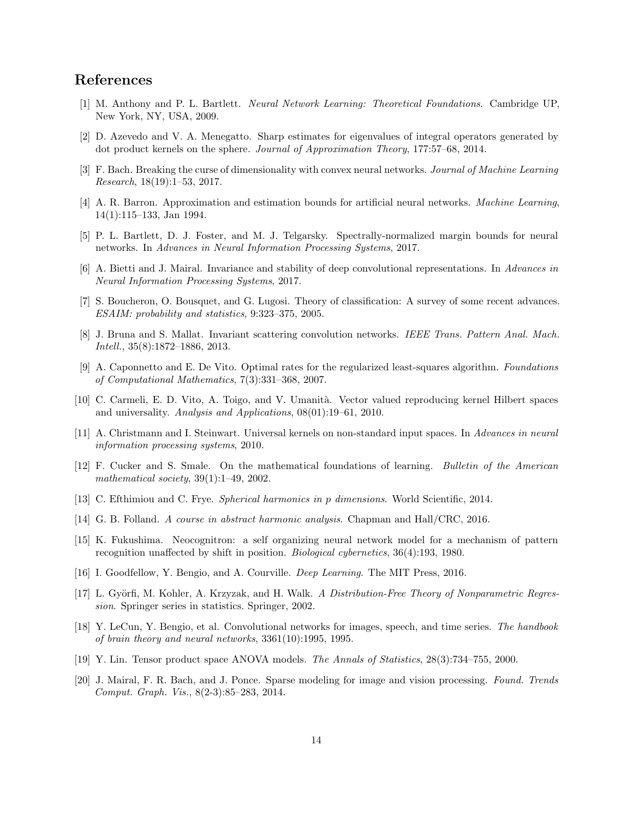## References

- <span id="page-13-15"></span>[1] M. Anthony and P. L. Bartlett. Neural Network Learning: Theoretical Foundations. Cambridge UP, New York, NY, USA, 2009.
- <span id="page-13-19"></span>[2] D. Azevedo and V. A. Menegatto. Sharp estimates for eigenvalues of integral operators generated by dot product kernels on the sphere. Journal of Approximation Theory, 177:57–68, 2014.
- <span id="page-13-13"></span>[3] F. Bach. Breaking the curse of dimensionality with convex neural networks. Journal of Machine Learning Research, 18(19):1–53, 2017.
- <span id="page-13-14"></span>[4] A. R. Barron. Approximation and estimation bounds for artificial neural networks. Machine Learning, 14(1):115–133, Jan 1994.
- <span id="page-13-16"></span>[5] P. L. Bartlett, D. J. Foster, and M. J. Telgarsky. Spectrally-normalized margin bounds for neural networks. In Advances in Neural Information Processing Systems, 2017.
- <span id="page-13-3"></span>[6] A. Bietti and J. Mairal. Invariance and stability of deep convolutional representations. In Advances in Neural Information Processing Systems, 2017.
- <span id="page-13-10"></span>[7] S. Boucheron, O. Bousquet, and G. Lugosi. Theory of classification: A survey of some recent advances. ESAIM: probability and statistics, 9:323–375, 2005.
- <span id="page-13-2"></span>[8] J. Bruna and S. Mallat. Invariant scattering convolution networks. IEEE Trans. Pattern Anal. Mach. Intell., 35(8):1872–1886, 2013.
- <span id="page-13-12"></span>[9] A. Caponnetto and E. De Vito. Optimal rates for the regularized least-squares algorithm. Foundations of Computational Mathematics, 7(3):331–368, 2007.
- <span id="page-13-9"></span>[10] C. Carmeli, E. D. Vito, A. Toigo, and V. Umanit`a. Vector valued reproducing kernel Hilbert spaces and universality. Analysis and Applications, 08(01):19–61, 2010.
- <span id="page-13-18"></span>[11] A. Christmann and I. Steinwart. Universal kernels on non-standard input spaces. In Advances in neural information processing systems, 2010.
- <span id="page-13-17"></span>[12] F. Cucker and S. Smale. On the mathematical foundations of learning. Bulletin of the American mathematical society, 39(1):1–49, 2002.
- <span id="page-13-8"></span>[13] C. Efthimiou and C. Frye. Spherical harmonics in p dimensions. World Scientific, 2014.
- <span id="page-13-7"></span>[14] G. B. Folland. A course in abstract harmonic analysis. Chapman and Hall/CRC, 2016.
- <span id="page-13-0"></span>[15] K. Fukushima. Neocognitron: a self organizing neural network model for a mechanism of pattern recognition unaffected by shift in position. Biological cybernetics, 36(4):193, 1980.
- <span id="page-13-6"></span>[16] I. Goodfellow, Y. Bengio, and A. Courville. Deep Learning. The MIT Press, 2016.
- <span id="page-13-11"></span>[17] L. Györfi, M. Kohler, A. Krzyzak, and H. Walk. A Distribution-Free Theory of Nonparametric Regression. Springer series in statistics. Springer, 2002.
- <span id="page-13-1"></span>[18] Y. LeCun, Y. Bengio, et al. Convolutional networks for images, speech, and time series. The handbook of brain theory and neural networks, 3361(10):1995, 1995.
- <span id="page-13-4"></span>[19] Y. Lin. Tensor product space ANOVA models. The Annals of Statistics, 28(3):734–755, 2000.
- <span id="page-13-5"></span>[20] J. Mairal, F. R. Bach, and J. Ponce. Sparse modeling for image and vision processing. Found. Trends Comput. Graph. Vis., 8(2-3):85–283, 2014.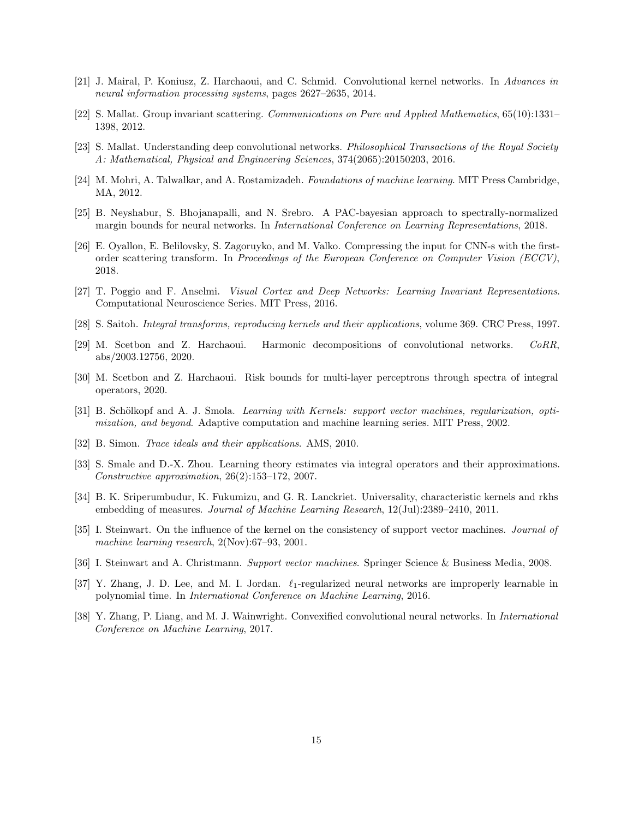- <span id="page-14-8"></span>[21] J. Mairal, P. Koniusz, Z. Harchaoui, and C. Schmid. Convolutional kernel networks. In Advances in neural information processing systems, pages 2627–2635, 2014.
- <span id="page-14-0"></span>[22] S. Mallat. Group invariant scattering. Communications on Pure and Applied Mathematics, 65(10):1331– 1398, 2012.
- <span id="page-14-1"></span>[23] S. Mallat. Understanding deep convolutional networks. Philosophical Transactions of the Royal Society A: Mathematical, Physical and Engineering Sciences, 374(2065):20150203, 2016.
- <span id="page-14-11"></span>[24] M. Mohri, A. Talwalkar, and A. Rostamizadeh. Foundations of machine learning. MIT Press Cambridge, MA, 2012.
- <span id="page-14-14"></span>[25] B. Neyshabur, S. Bhojanapalli, and N. Srebro. A PAC-bayesian approach to spectrally-normalized margin bounds for neural networks. In International Conference on Learning Representations, 2018.
- <span id="page-14-3"></span>[26] E. Oyallon, E. Belilovsky, S. Zagoruyko, and M. Valko. Compressing the input for CNN-s with the firstorder scattering transform. In Proceedings of the European Conference on Computer Vision (ECCV), 2018.
- <span id="page-14-2"></span>[27] T. Poggio and F. Anselmi. Visual Cortex and Deep Networks: Learning Invariant Representations. Computational Neuroscience Series. MIT Press, 2016.
- <span id="page-14-16"></span>[28] S. Saitoh. Integral transforms, reproducing kernels and their applications, volume 369. CRC Press, 1997.
- <span id="page-14-4"></span>[29] M. Scetbon and Z. Harchaoui. Harmonic decompositions of convolutional networks. CoRR, abs/2003.12756, 2020.
- <span id="page-14-15"></span>[30] M. Scetbon and Z. Harchaoui. Risk bounds for multi-layer perceptrons through spectra of integral operators, 2020.
- <span id="page-14-9"></span>[31] B. Schölkopf and A. J. Smola. *Learning with Kernels: support vector machines, regularization, opti*mization, and beyond. Adaptive computation and machine learning series. MIT Press, 2002.
- <span id="page-14-5"></span>[32] B. Simon. Trace ideals and their applications. AMS, 2010.
- <span id="page-14-6"></span>[33] S. Smale and D.-X. Zhou. Learning theory estimates via integral operators and their approximations. Constructive approximation, 26(2):153–172, 2007.
- <span id="page-14-10"></span>[34] B. K. Sriperumbudur, K. Fukumizu, and G. R. Lanckriet. Universality, characteristic kernels and rkhs embedding of measures. Journal of Machine Learning Research, 12(Jul):2389–2410, 2011.
- <span id="page-14-17"></span>[35] I. Steinwart. On the influence of the kernel on the consistency of support vector machines. *Journal of* machine learning research, 2(Nov):67–93, 2001.
- <span id="page-14-7"></span>[36] I. Steinwart and A. Christmann. Support vector machines. Springer Science & Business Media, 2008.
- <span id="page-14-12"></span>[37] Y. Zhang, J. D. Lee, and M. I. Jordan.  $\ell_1$ -regularized neural networks are improperly learnable in polynomial time. In International Conference on Machine Learning, 2016.
- <span id="page-14-13"></span>[38] Y. Zhang, P. Liang, and M. J. Wainwright. Convexified convolutional neural networks. In International Conference on Machine Learning, 2017.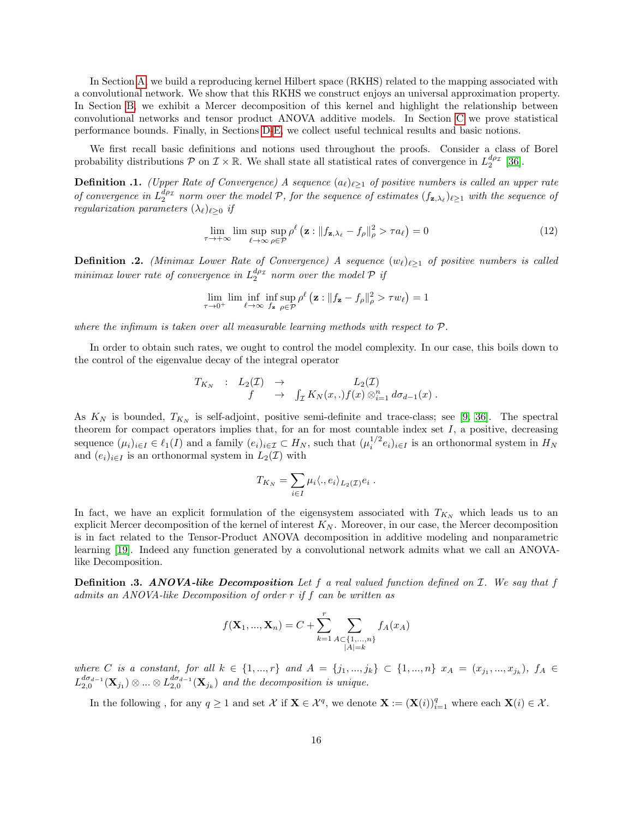In Section [A,](#page-16-0) we build a reproducing kernel Hilbert space (RKHS) related to the mapping associated with a convolutional network. We show that this RKHS we construct enjoys an universal approximation property. In Section [B,](#page-20-0) we exhibit a Mercer decomposition of this kernel and highlight the relationship between convolutional networks and tensor product ANOVA additive models. In Section [C](#page-29-0) we prove statistical performance bounds. Finally, in Sections [D-](#page-32-0)[E,](#page-33-0) we collect useful technical results and basic notions.

We first recall basic definitions and notions used throughout the proofs. Consider a class of Borel probability distributions  $P$  on  $\mathcal{I} \times \mathbb{R}$ . We shall state all statistical rates of convergence in  $L_2^{d\rho_{\mathcal{I}}}$  [\[36\]](#page-14-7).

**Definition .1.** (Upper Rate of Convergence) A sequence  $(a_\ell)_{\ell \geq 1}$  of positive numbers is called an upper rate of convergence in  $L_2^{d_{\rho_{\mathcal{I}}}}$  norm over the model P, for the sequence of estimates  $(f_{\mathbf{z},\lambda_\ell})_{\ell\geq 1}$  with the sequence of regularization parameters  $(\lambda_{\ell})_{\ell>0}$  if

$$
\lim_{\tau \to +\infty} \limsup_{\ell \to \infty} \sup_{\rho \in \mathcal{P}} \rho^{\ell} \left( \mathbf{z} : \| f_{\mathbf{z}, \lambda_{\ell}} - f_{\rho} \|_{\rho}^{2} > \tau a_{\ell} \right) = 0 \tag{12}
$$

**Definition .2.** (Minimax Lower Rate of Convergence) A sequence  $(w_{\ell})_{\ell \geq 1}$  of positive numbers is called  $minimax$  lower rate of convergence in  $L_2^{d\rho_{\mathcal{I}}}$  norm over the model  $\mathcal P$  if

$$
\lim_{\tau \to 0^+} \lim \inf_{\ell \to \infty} \inf_{f_{\mathbf{z}} \in \mathcal{P}} \rho^{\ell} \left( \mathbf{z} : \|f_{\mathbf{z}} - f_{\rho}\|_{\rho}^2 > \tau w_{\ell} \right) = 1
$$

where the infimum is taken over all measurable learning methods with respect to  $\mathcal{P}$ .

In order to obtain such rates, we ought to control the model complexity. In our case, this boils down to the control of the eigenvalue decay of the integral operator

$$
T_{K_N} : L_2(\mathcal{I}) \rightarrow L_2(\mathcal{I}) \rightarrow L_2(\mathcal{I})
$$
  

$$
f \rightarrow \int_{\mathcal{I}} K_N(x,.) f(x) \otimes_{i=1}^n d\sigma_{d-1}(x) .
$$

As  $K_N$  is bounded,  $T_{K_N}$  is self-adjoint, positive semi-definite and trace-class; see [\[9,](#page-13-12) [36\]](#page-14-7). The spectral theorem for compact operators implies that, for an for most countable index set  $I$ , a positive, decreasing sequence  $(\mu_i)_{i\in I} \in \ell_1(I)$  and a family  $(e_i)_{i\in I} \subset H_N$ , such that  $(\mu_i^{1/2} e_i)_{i\in I}$  is an orthonormal system in  $H_N$ and  $(e_i)_{i\in I}$  is an orthonormal system in  $L_2(\mathcal{I})$  with

$$
T_{K_N} = \sum_{i \in I} \mu_i \langle., e_i \rangle_{L_2(\mathcal{I})} e_i.
$$

In fact, we have an explicit formulation of the eigensystem associated with  $T_{K_N}$  which leads us to an explicit Mercer decomposition of the kernel of interest  $K_N$ . Moreover, in our case, the Mercer decomposition is in fact related to the Tensor-Product ANOVA decomposition in additive modeling and nonparametric learning [\[19\]](#page-13-4). Indeed any function generated by a convolutional network admits what we call an ANOVAlike Decomposition.

**Definition .3. ANOVA-like Decomposition** Let f a real valued function defined on  $I$ . We say that f admits an ANOVA-like Decomposition of order r if f can be written as

$$
f(\mathbf{X}_1, ..., \mathbf{X}_n) = C + \sum_{k=1}^r \sum_{\substack{A \subset \{1, ..., n\} \\ |A| = k}} f_A(x_A)
$$

where C is a constant, for all  $k \in \{1, ..., r\}$  and  $A = \{j_1, ..., j_k\} \subset \{1, ..., n\}$   $x_A = (x_{j_1}, ..., x_{j_k}), f_A \in$  $L_{2,0}^{d\sigma_{d-1}}(\mathbf{X}_{j_1})\otimes...\otimes L_{2,0}^{d\sigma_{d-1}}(\mathbf{X}_{j_k})$  and the decomposition is unique.

In the following, for any  $q \ge 1$  and set X if  $\mathbf{X} \in \mathcal{X}^q$ , we denote  $\mathbf{X} := (\mathbf{X}(i))_{i=1}^q$  where each  $\mathbf{X}(i) \in \mathcal{X}$ .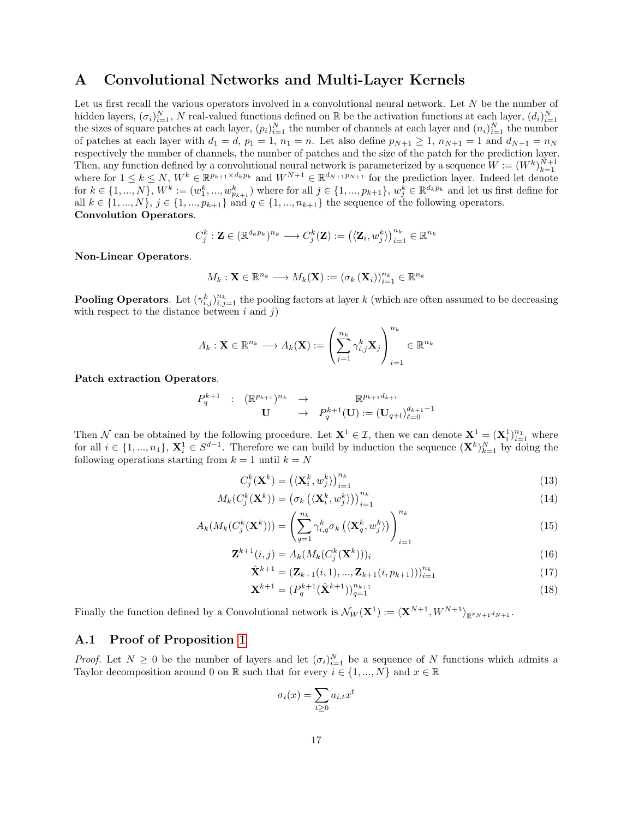## <span id="page-16-0"></span>A Convolutional Networks and Multi-Layer Kernels

Let us first recall the various operators involved in a convolutional neural network. Let  $N$  be the number of hidden layers,  $(\sigma_i)_{i=1}^N$ , N real-valued functions defined on R be the activation functions at each layer,  $(d_i)_{i=1}^N$ the sizes of square patches at each layer,  $(p_i)_{i=1}^N$  the number of channels at each layer and  $(n_i)_{i=1}^N$  the number of patches at each layer with  $d_1 = d$ ,  $p_1 = 1$ ,  $n_1 = n$ . Let also define  $p_{N+1} \ge 1$ ,  $n_{N+1} = 1$  and  $d_{N+1} = n_N$ respectively the number of channels, the number of patches and the size of the patch for the prediction layer. Then, any function defined by a convolutional neural network is parameterized by a sequence  $W := (W^k)_{k=1}^{N+1}$ where for  $1 \leq k \leq N$ ,  $W^k \in \mathbb{R}^{p_{k+1} \times d_k p_k}$  and  $W^{N+1} \in \mathbb{R}^{d_{N+1} p_{N+1}}$  for the prediction layer. Indeed let denote for  $k \in \{1, ..., N\}$ ,  $W^k := (w_1^k, ..., w_{p_{k+1}}^k)$  where for all  $j \in \{1, ..., p_{k+1}\}$ ,  $w_j^k \in \mathbb{R}^{d_k p_k}$  and let us first define for all  $k \in \{1, ..., N\}, j \in \{1, ..., p_{k+1}\}$  and  $q \in \{1, ..., n_{k+1}\}$  the sequence of the following operators. Convolution Operators.

$$
C_j^k: \mathbf{Z} \in (\mathbb{R}^{d_k p_k})^{n_k} \longrightarrow C_j^k(\mathbf{Z}) := (\langle \mathbf{Z}_i, w_j^k \rangle)_{i=1}^{n_k} \in \mathbb{R}^{n_k}
$$

Non-Linear Operators.

$$
M_k: \mathbf{X} \in \mathbb{R}^{n_k} \longrightarrow M_k(\mathbf{X}) := (\sigma_k(\mathbf{X}_i))_{i=1}^{n_k} \in \mathbb{R}^{n_k}
$$

**Pooling Operators.** Let  $(\gamma_{i,j}^k)_{i,j=1}^{n_k}$  the pooling factors at layer k (which are often assumed to be decreasing with respect to the distance between  $i$  and  $j$ )

$$
A_k: \mathbf{X} \in \mathbb{R}^{n_k} \longrightarrow A_k(\mathbf{X}) := \left(\sum_{j=1}^{n_k} \gamma_{i,j}^k \mathbf{X}_j\right)_{i=1}^{n_k} \in \mathbb{R}^{n_k}
$$

Patch extraction Operators.

$$
\begin{array}{cccc}P_{q}^{k+1}&:&(\mathbb{R}^{p_{k+1}})^{n_{k}}&\to&\mathbb{R}^{p_{k+1}d_{k+1}}\\ \mathbf{U}&\to&P_{q}^{k+1}(\mathbf{U}):=(\mathbf{U}_{q+l})_{\ell=0}^{d_{k+1}-1}\end{array}
$$

Then N can be obtained by the following procedure. Let  $X^1 \in \mathcal{I}$ , then we can denote  $X^1 = (X_i^1)_{i=1}^{n_1}$  where for all  $i \in \{1, ..., n_1\}$ ,  $\mathbf{X}_i^1 \in S^{d-1}$ . Therefore we can build by induction the sequence  $(\mathbf{X}^k)_{k=1}^N$  by doing the following operations starting from  $k = 1$  until  $k = N$ 

$$
C_j^k(\mathbf{X}^k) = \left(\langle \mathbf{X}_i^k, w_j^k \rangle\right)_{i=1}^{n_k} \tag{13}
$$

$$
M_k(C_j^k(\mathbf{X}^k)) = \left(\sigma_k\left(\langle \mathbf{X}_i^k, w_j^k \rangle\right)\right)_{i=1}^{n_k}
$$
\n(14)

$$
A_k(M_k(C_j^k(\mathbf{X}^k))) = \left(\sum_{q=1}^{n_k} \gamma_{i,q}^k \sigma_k(\langle \mathbf{X}_q^k, w_j^k \rangle)\right)_{i=1}^{n_k}
$$
\n(15)

$$
\mathbf{Z}^{k+1}(i,j) = A_k(M_k(C_j^k(\mathbf{X}^k)))_i
$$
\n(16)

$$
\hat{\mathbf{X}}^{k+1} = (\mathbf{Z}_{k+1}(i,1), ..., \mathbf{Z}_{k+1}(i,p_{k+1})))_{i=1}^{n_k}
$$
\n(17)

$$
\mathbf{X}^{k+1} = (P_q^{k+1} (\hat{\mathbf{X}}^{k+1}))_{q=1}^{n_{k+1}}
$$
\n(18)

Finally the function defined by a Convolutional network is  $\mathcal{N}_W(\mathbf{X}^1) := \langle \mathbf{X}^{N+1}, W^{N+1} \rangle_{\mathbb{R}^{p_N} \mapsto 1}$ 

#### A.1 Proof of Proposition [1](#page-5-0)

*Proof.* Let  $N \geq 0$  be the number of layers and let  $(\sigma_i)_{i=1}^N$  be a sequence of N functions which admits a Taylor decomposition around 0 on R such that for every  $i \in \{1, ..., N\}$  and  $x \in \mathbb{R}$ 

$$
\sigma_i(x) = \sum_{t \ge 0} a_{i,t} x^t
$$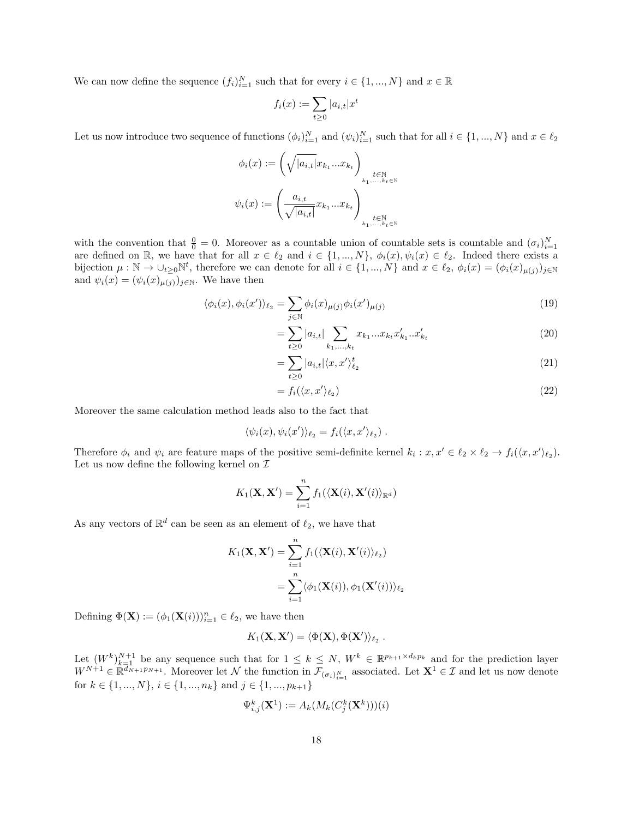We can now define the sequence  $(f_i)_{i=1}^N$  such that for every  $i \in \{1, ..., N\}$  and  $x \in \mathbb{R}$ 

$$
f_i(x) := \sum_{t \ge 0} |a_{i,t}| x
$$

t

Let us now introduce two sequence of functions  $(\phi_i)_{i=1}^N$  and  $(\psi_i)_{i=1}^N$  such that for all  $i \in \{1, ..., N\}$  and  $x \in \ell_2$ 

$$
\phi_i(x) := \left(\sqrt{|a_{i,t}|} x_{k_1}...x_{k_t}\right)_{\substack{t \in \mathbb{N} \\ k_1,\ldots,k_t \in \mathbb{N} \\ k_t \in \mathbb{N} \\ k_t \in \mathbb{N} \\ k_1,\ldots,k_t \in \mathbb{N}}} \phi_i(x) := \left(\frac{a_{i,t}}{\sqrt{|a_{i,t}|}} x_{k_1}...x_{k_t}\right)_{\substack{t \in \mathbb{N} \\ k_1,\ldots,k_t \in \mathbb{N} \\ k_1,\ldots,k_t \in \mathbb{N}}}
$$

with the convention that  $\frac{0}{0} = 0$ . Moreover as a countable union of countable sets is countable and  $(\sigma_i)_{i=1}^N$  are defined on R, we have that for all  $x \in \ell_2$  and  $i \in \{1, ..., N\}$ ,  $\phi_i(x), \psi_i(x) \in \ell_2$ . Indeed there ex bijection  $\mu : \mathbb{N} \to \bigcup_{t \geq 0} \mathbb{N}^t$ , therefore we can denote for all  $i \in \{1, ..., N\}$  and  $x \in \ell_2$ ,  $\phi_i(x) = (\phi_i(x)_{\mu(j)})_{j \in \mathbb{N}}$ and  $\psi_i(x) = (\psi_i(x)_{\mu(j)})_{j \in \mathbb{N}}$ . We have then

$$
\langle \phi_i(x), \phi_i(x') \rangle_{\ell_2} = \sum_{j \in \mathbb{N}} \phi_i(x)_{\mu(j)} \phi_i(x')_{\mu(j)} \tag{19}
$$

$$
= \sum_{t\geq 0} |a_{i,t}| \sum_{k_1,\dots,k_t} x_{k_1}...x_{k_t} x'_{k_1}...x'_{k_t}
$$
 (20)

$$
=\sum_{t\geq 0} |a_{i,t}|\langle x, x'\rangle_{\ell_2}^t \tag{21}
$$

$$
= f_i(\langle x, x' \rangle_{\ell_2}) \tag{22}
$$

Moreover the same calculation method leads also to the fact that

$$
\langle \psi_i(x), \psi_i(x') \rangle_{\ell_2} = f_i(\langle x, x' \rangle_{\ell_2}).
$$

Therefore  $\phi_i$  and  $\psi_i$  are feature maps of the positive semi-definite kernel  $k_i : x, x' \in \ell_2 \times \ell_2 \to f_i(\langle x, x' \rangle_{\ell_2}).$ Let us now define the following kernel on  $\mathcal I$ 

$$
K_1(\mathbf{X}, \mathbf{X}') = \sum_{i=1}^n f_1(\langle \mathbf{X}(i), \mathbf{X}'(i) \rangle_{\mathbb{R}^d})
$$

As any vectors of  $\mathbb{R}^d$  can be seen as an element of  $\ell_2$ , we have that

$$
K_1(\mathbf{X}, \mathbf{X}') = \sum_{i=1}^n f_1(\langle \mathbf{X}(i), \mathbf{X}'(i) \rangle_{\ell_2})
$$
  
= 
$$
\sum_{i=1}^n \langle \phi_1(\mathbf{X}(i)), \phi_1(\mathbf{X}'(i)) \rangle_{\ell_2}
$$

Defining  $\Phi(\mathbf{X}) := (\phi_1(\mathbf{X}(i)))_{i=1}^n \in \ell_2$ , we have then

$$
K_1(\mathbf{X}, \mathbf{X}') = \langle \Phi(\mathbf{X}), \Phi(\mathbf{X}') \rangle_{\ell_2} .
$$

Let  $(W^k)_{k=1}^{N+1}$  be any sequence such that for  $1 \leq k \leq N$ ,  $W^k \in \mathbb{R}^{p_{k+1} \times d_k p_k}$  and for the prediction layer  $W^{N+1} \in \mathbb{R}^{\overline{d}_{N+1}p_{N+1}}$ . Moreover let N the function in  $\mathcal{F}_{(\sigma_i)_{i=1}^N}$  associated. Let  $\mathbf{X}^1 \in \mathcal{I}$  and let us now denote for  $k \in \{1,...,N\},$   $i \in \{1,...,n_k\}$  and  $j \in \{1,...,p_{k+1}\}$ 

$$
\Psi_{i,j}^k(\mathbf{X}^1) := A_k(M_k(C_j^k(\mathbf{X}^k)))(i)
$$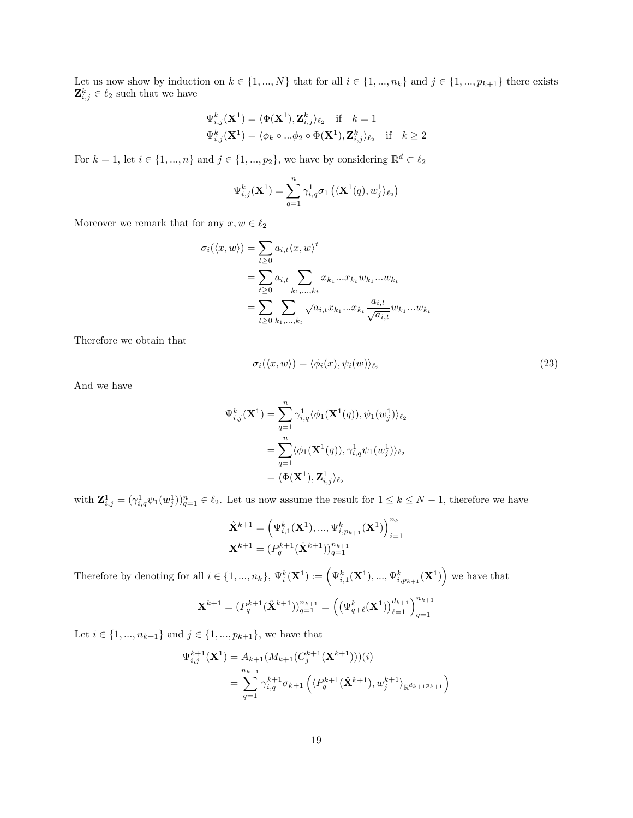Let us now show by induction on  $k \in \{1, ..., N\}$  that for all  $i \in \{1, ..., n_k\}$  and  $j \in \{1, ..., p_{k+1}\}$  there exists  $\mathbf{Z}_{i,j}^k \in \ell_2$  such that we have

$$
\begin{aligned} \Psi_{i,j}^k(\mathbf{X}^1) &= \langle \Phi(\mathbf{X}^1), \mathbf{Z}_{i,j}^k \rangle_{\ell_2} \quad \text{if} \quad k = 1\\ \Psi_{i,j}^k(\mathbf{X}^1) &= \langle \phi_k \circ \ldots \phi_2 \circ \Phi(\mathbf{X}^1), \mathbf{Z}_{i,j}^k \rangle_{\ell_2} \quad \text{if} \quad k \ge 2 \end{aligned}
$$

For  $k = 1$ , let  $i \in \{1, ..., n\}$  and  $j \in \{1, ..., p_2\}$ , we have by considering  $\mathbb{R}^d \subset \ell_2$ 

$$
\Psi_{i,j}^k(\mathbf{X}^1)=\sum_{q=1}^n\gamma_{i,q}^1\sigma_1\left(\langle \mathbf{X}^1(q),w_j^1\rangle_{\ell_2}\right)
$$

Moreover we remark that for any  $x, w \in \ell_2$ 

$$
\sigma_i(\langle x, w \rangle) = \sum_{t \ge 0} a_{i,t} \langle x, w \rangle^t
$$
  
= 
$$
\sum_{t \ge 0} a_{i,t} \sum_{k_1, ..., k_t} x_{k_1} ... x_{k_t} w_{k_1} ... w_{k_t}
$$
  
= 
$$
\sum_{t \ge 0} \sum_{k_1, ..., k_t} \sqrt{a_{i,t}} x_{k_1} ... x_{k_t} \frac{a_{i,t}}{\sqrt{a_{i,t}}} w_{k_1} ... w_{k_t}
$$

Therefore we obtain that

<span id="page-18-0"></span>
$$
\sigma_i(\langle x, w \rangle) = \langle \phi_i(x), \psi_i(w) \rangle_{\ell_2} \tag{23}
$$

And we have

$$
\begin{aligned} \Psi_{i,j}^k(\mathbf{X}^1) &= \sum_{q=1}^n \gamma_{i,q}^1 \langle \phi_1(\mathbf{X}^1(q)), \psi_1(w_j^1) \rangle_{\ell_2} \\ &= \sum_{q=1}^n \langle \phi_1(\mathbf{X}^1(q)), \gamma_{i,q}^1 \psi_1(w_j^1) \rangle_{\ell_2} \\ &= \langle \Phi(\mathbf{X}^1), \mathbf{Z}_{i,j}^1 \rangle_{\ell_2} \end{aligned}
$$

with  $\mathbf{Z}_{i,j}^1 = (\gamma_{i,q}^1 \psi_1(w_j^1))_{q=1}^n \in \ell_2$ . Let us now assume the result for  $1 \leq k \leq N-1$ , therefore we have

$$
\begin{aligned} &\hat{\mathbf{X}}^{k+1} = \left(\Psi_{i,1}^k(\mathbf{X}^1), ..., \Psi_{i,p_{k+1}}^k(\mathbf{X}^1)\right)_{i=1}^{n_k} \\ &\mathbf{X}^{k+1} = (P_q^{k+1}(\hat{\mathbf{X}}^{k+1}))_{q=1}^{n_{k+1}} \end{aligned}
$$

Therefore by denoting for all  $i \in \{1, ..., n_k\}$ ,  $\Psi_i^k(\mathbf{X}^1) := \left(\Psi_{i,1}^k(\mathbf{X}^1), ..., \Psi_{i,p_{k+1}}^k(\mathbf{X}^1)\right)$  we have that

$$
\mathbf{X}^{k+1} = (P_q^{k+1}(\hat{\mathbf{X}}^{k+1}))_{q=1}^{n_{k+1}} = \left( \left(\Psi_{q+\ell}^k(\mathbf{X}^1)\right)_{\ell=1}^{d_{k+1}} \right)_{q=1}^{n_{k+1}}
$$

Let  $i \in \{1, ..., n_{k+1}\}$  and  $j \in \{1, ..., p_{k+1}\}$ , we have that

$$
\Psi_{i,j}^{k+1}(\mathbf{X}^1) = A_{k+1}(M_{k+1}(C_j^{k+1}(\mathbf{X}^{k+1}))))(i)
$$
  
= 
$$
\sum_{q=1}^{n_{k+1}} \gamma_{i,q}^{k+1} \sigma_{k+1} \left( \langle P_q^{k+1}(\hat{\mathbf{X}}^{k+1}), w_j^{k+1} \rangle_{\mathbb{R}^{d_{k+1}p_{k+1}}} \right)
$$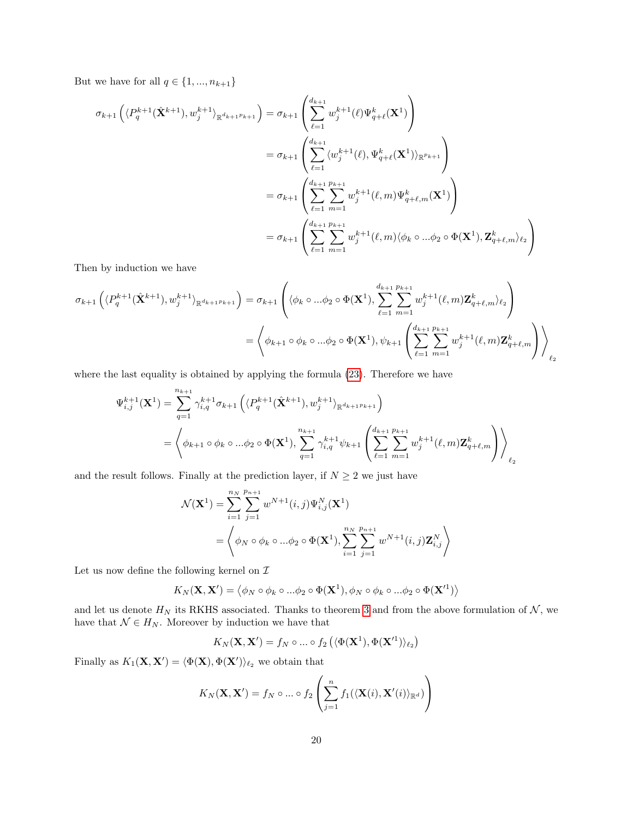But we have for all  $q \in \{1, ..., n_{k+1}\}$ 

$$
\sigma_{k+1}\left(\langle P_q^{k+1}(\hat{\mathbf{X}}^{k+1}), w_j^{k+1} \rangle_{\mathbb{R}^{d_{k+1}p_{k+1}}}\right) = \sigma_{k+1}\left(\sum_{\ell=1}^{d_{k+1}} w_j^{k+1}(\ell) \Psi_{q+\ell}^k(\mathbf{X}^1)\right)
$$
  
\n
$$
= \sigma_{k+1}\left(\sum_{\ell=1}^{d_{k+1}} \langle w_j^{k+1}(\ell), \Psi_{q+\ell}^k(\mathbf{X}^1) \rangle_{\mathbb{R}^{p_{k+1}}}\right)
$$
  
\n
$$
= \sigma_{k+1}\left(\sum_{\ell=1}^{d_{k+1}} \sum_{m=1}^{p_{k+1}} w_j^{k+1}(\ell, m) \Psi_{q+\ell,m}^k(\mathbf{X}^1)\right)
$$
  
\n
$$
= \sigma_{k+1}\left(\sum_{\ell=1}^{d_{k+1}} \sum_{m=1}^{p_{k+1}} w_j^{k+1}(\ell, m) \langle \phi_k \circ ... \phi_2 \circ \Phi(\mathbf{X}^1), \mathbf{Z}_{q+\ell,m}^k \rangle_{\ell_2}\right)
$$

Then by induction we have

$$
\sigma_{k+1}\left(\langle P_q^{k+1}(\hat{\mathbf{X}}^{k+1}), w_j^{k+1} \rangle_{\mathbb{R}^{d_{k+1}p_{k+1}}}\right) = \sigma_{k+1}\left(\langle \phi_k \circ ... \phi_2 \circ \Phi(\mathbf{X}^1), \sum_{\ell=1}^{d_{k+1}} \sum_{m=1}^{p_{k+1}} w_j^{k+1}(\ell, m) \mathbf{Z}_{q+\ell,m}^k \rangle_{\ell_2}\right)
$$

$$
= \left\langle \phi_{k+1} \circ \phi_k \circ ... \phi_2 \circ \Phi(\mathbf{X}^1), \psi_{k+1}\left(\sum_{\ell=1}^{d_{k+1}} \sum_{m=1}^{p_{k+1}} w_j^{k+1}(\ell, m) \mathbf{Z}_{q+\ell,m}^k\right) \right\rangle_{\ell_2}
$$

where the last equality is obtained by applying the formula [\(23\)](#page-18-0). Therefore we have

$$
\Psi_{i,j}^{k+1}(\mathbf{X}^1) = \sum_{q=1}^{n_{k+1}} \gamma_{i,q}^{k+1} \sigma_{k+1} \left( \langle P_q^{k+1}(\hat{\mathbf{X}}^{k+1}), w_j^{k+1} \rangle_{\mathbb{R}^{d_{k+1}p_{k+1}}} \right)
$$
\n
$$
= \left\langle \phi_{k+1} \circ \phi_k \circ ... \phi_2 \circ \Phi(\mathbf{X}^1), \sum_{q=1}^{n_{k+1}} \gamma_{i,q}^{k+1} \psi_{k+1} \left( \sum_{\ell=1}^{d_{k+1}} \sum_{m=1}^{p_{k+1}} w_j^{k+1}(\ell, m) \mathbf{Z}_{q+\ell,m}^k \right) \right\rangle_{\ell_2}
$$

and the result follows. Finally at the prediction layer, if  $N \geq 2$  we just have

$$
\mathcal{N}(\mathbf{X}^{1}) = \sum_{i=1}^{n_{N}} \sum_{j=1}^{p_{n+1}} w^{N+1}(i, j) \Psi_{i, j}^{N}(\mathbf{X}^{1})
$$
  
=  $\left\langle \phi_{N} \circ \phi_{k} \circ ... \phi_{2} \circ \Phi(\mathbf{X}^{1}), \sum_{i=1}^{n_{N}} \sum_{j=1}^{p_{n+1}} w^{N+1}(i, j) \mathbf{Z}_{i, j}^{N} \right\rangle$ 

Let us now define the following kernel on  $\mathcal I$ 

$$
K_N(\mathbf{X}, \mathbf{X}') = \langle \phi_N \circ \phi_k \circ ... \phi_2 \circ \Phi(\mathbf{X}^1), \phi_N \circ \phi_k \circ ... \phi_2 \circ \Phi(\mathbf{X}'^1) \rangle
$$

and let us denote  $H_N$  its RKHS associated. Thanks to theorem [3](#page-32-1) and from the above formulation of  $\mathcal{N}$ , we have that  $\mathcal{N} \in H_N$ . Moreover by induction we have that

$$
K_N(\mathbf{X}, \mathbf{X}') = f_N \circ ... \circ f_2\left( \langle \Phi(\mathbf{X}^1), \Phi(\mathbf{X}'^1) \rangle_{\ell_2} \right)
$$

Finally as  $K_1(\mathbf{X}, \mathbf{X}') = \langle \Phi(\mathbf{X}), \Phi(\mathbf{X}') \rangle_{\ell_2}$  we obtain that

$$
K_N(\mathbf{X}, \mathbf{X}') = f_N \circ \dots \circ f_2\left(\sum_{j=1}^n f_1(\langle \mathbf{X}(i), \mathbf{X}'(i) \rangle_{\mathbb{R}^d})\right)
$$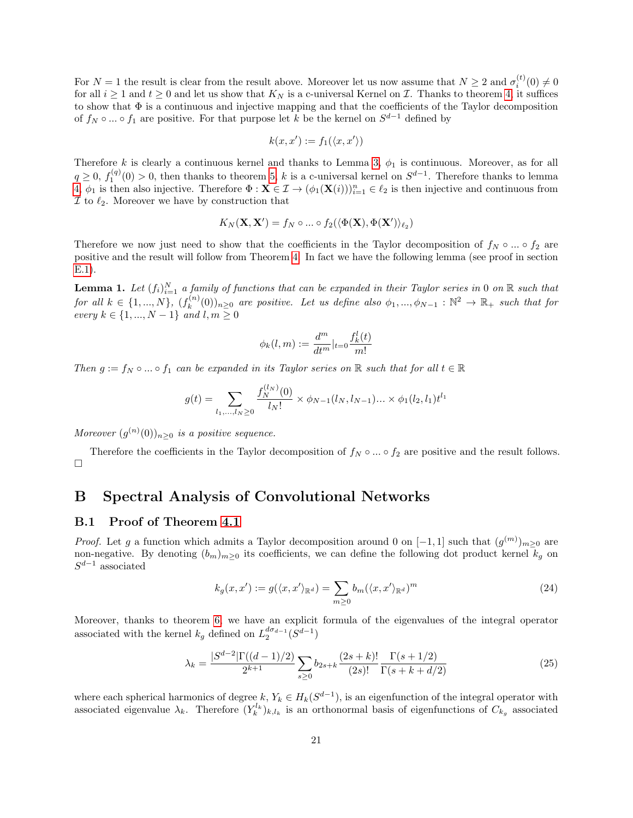For  $N=1$  the result is clear from the result above. Moreover let us now assume that  $N\geq 2$  and  $\sigma_i^{(t)}(0)\neq 0$ for all  $i \geq 1$  and  $t \geq 0$  and let us show that  $K_N$  is a c-universal Kernel on  $\mathcal I$ . Thanks to theorem [4,](#page-32-2) it suffices to show that  $\Phi$  is a continuous and injective mapping and that the coefficients of the Taylor decomposition of  $f_N \circ \dots \circ f_1$  are positive. For that purpose let k be the kernel on  $S^{d-1}$  defined by

$$
k(x, x') := f_1(\langle x, x' \rangle)
$$

Therefore k is clearly a continuous kernel and thanks to Lemma [3,](#page-33-1)  $\phi_1$  is continuous. Moreover, as for all  $q \geq 0, f_1^{(q)}(0) > 0$ , then thanks to theorem [5,](#page-33-2) k is a c-universal kernel on  $S^{d-1}$ . Therefore thanks to lemma [4,](#page-33-3)  $\phi_1$  is then also injective. Therefore  $\Phi: \mathbf{X} \in \mathcal{I} \to (\phi_1(\mathbf{X}(i)))_{i=1}^n \in \ell_2$  is then injective and continuous from  $\mathcal I$  to  $\ell_2$ . Moreover we have by construction that

$$
K_N(\mathbf{X}, \mathbf{X}') = f_N \circ \dots \circ f_2(\langle \Phi(\mathbf{X}), \Phi(\mathbf{X}') \rangle_{\ell_2})
$$

Therefore we now just need to show that the coefficients in the Taylor decomposition of  $f_N \circ ... \circ f_2$  are positive and the result will follow from Theorem [4.](#page-32-2) In fact we have the following lemma (see proof in section [E.1\)](#page-33-4).

<span id="page-20-2"></span>**Lemma 1.** Let  $(f_i)_{i=1}^N$  a family of functions that can be expanded in their Taylor series in 0 on R such that for all  $k \in \{1, ..., N\}$ ,  $(f_k^{(n)})$  $(k_k^{(n)}(0))_{n\geq 0}$  are positive. Let us define also  $\phi_1, ..., \phi_{N-1} : \mathbb{N}^2 \to \mathbb{R}_+$  such that for *every*  $k \in \{1, ..., N-1\}$  and  $l, m ≥ 0$ 

$$
\phi_k(l,m) := \frac{d^m}{dt^m}|_{t=0} \frac{f_k^l(t)}{m!}
$$

Then  $g := f_N \circ ... \circ f_1$  can be expanded in its Taylor series on  $\mathbb R$  such that for all  $t \in \mathbb R$ 

$$
g(t) = \sum_{l_1,\dots,l_N \ge 0} \frac{f_N^{(l_N)}(0)}{l_N!} \times \phi_{N-1}(l_N, l_{N-1}) \dots \times \phi_1(l_2, l_1) t^{l_1}
$$

Moreover  $(g^{(n)}(0))_{n\geq 0}$  is a positive sequence.

Therefore the coefficients in the Taylor decomposition of  $f_N \circ ... \circ f_2$  are positive and the result follows.  $\Box$ 

### <span id="page-20-0"></span>B Spectral Analysis of Convolutional Networks

#### B.1 Proof of Theorem [4.1](#page-6-0)

*Proof.* Let g a function which admits a Taylor decomposition around 0 on  $[-1,1]$  such that  $(g^{(m)})_{m\geq 0}$  are non-negative. By denoting  $(b_m)_{m\geq 0}$  its coefficients, we can define the following dot product kernel  $k_g$  on  $S^{d-1}$  associated

<span id="page-20-1"></span>
$$
k_g(x, x') := g(\langle x, x' \rangle_{\mathbb{R}^d}) = \sum_{m \ge 0} b_m(\langle x, x' \rangle_{\mathbb{R}^d})^m
$$
\n(24)

Moreover, thanks to theorem [6,](#page-33-5) we have an explicit formula of the eigenvalues of the integral operator associated with the kernel  $k_g$  defined on  $L_2^{d\sigma_{d-1}}(S^{d-1})$ 

$$
\lambda_k = \frac{|S^{d-2}|\Gamma((d-1)/2)}{2^{k+1}} \sum_{s \ge 0} b_{2s+k} \frac{(2s+k)!}{(2s)!} \frac{\Gamma(s+1/2)}{\Gamma(s+k+d/2)} \tag{25}
$$

where each spherical harmonics of degree  $k, Y_k \in H_k(S^{d-1}),$  is an eigenfunction of the integral operator with associated eigenvalue  $\lambda_k$ . Therefore  $(Y_k^{l_k})_{k,l_k}$  is an orthonormal basis of eigenfunctions of  $C_{k_g}$  associated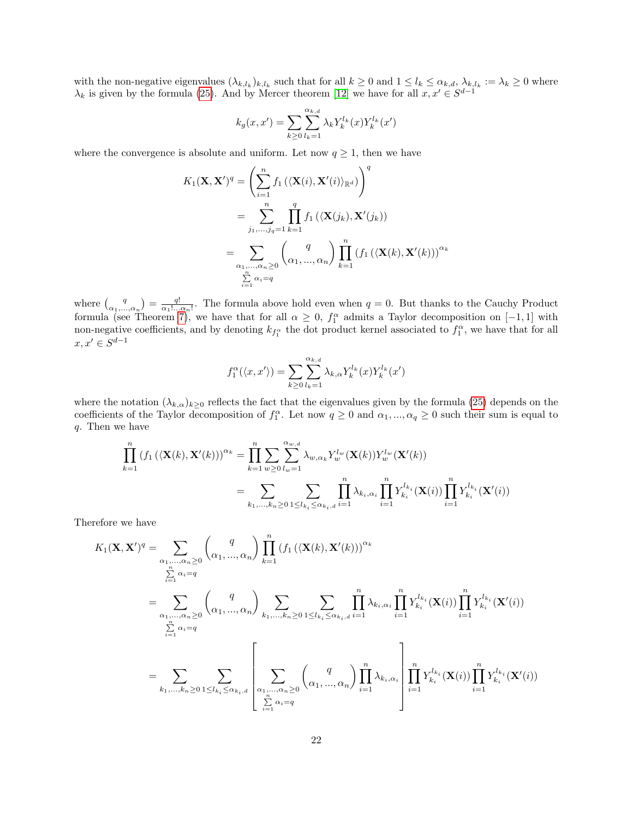with the non-negative eigenvalues  $(\lambda_{k,l_k})_{k,l_k}$  such that for all  $k \geq 0$  and  $1 \leq l_k \leq \alpha_{k,d}$ ,  $\lambda_{k,l_k} := \lambda_k \geq 0$  where  $\lambda_k$  is given by the formula [\(25\)](#page-20-1). And by Mercer theorem [\[12\]](#page-13-17) we have for all  $x, x' \in S^{d-1}$ 

$$
k_g(x, x') = \sum_{k \ge 0} \sum_{l_k=1}^{\alpha_{k,d}} \lambda_k Y_k^{l_k}(x) Y_k^{l_k}(x')
$$

where the convergence is absolute and uniform. Let now  $q \geq 1$ , then we have

$$
K_1(\mathbf{X}, \mathbf{X}')^q = \left(\sum_{i=1}^n f_1(\langle \mathbf{X}(i), \mathbf{X}'(i) \rangle_{\mathbb{R}^d})\right)^q
$$
  
= 
$$
\sum_{j_1, \dots, j_q=1}^n \prod_{k=1}^q f_1(\langle \mathbf{X}(j_k), \mathbf{X}'(j_k))
$$
  
= 
$$
\sum_{\substack{\alpha_1, \dots, \alpha_n \ge 0 \\ \sum_{i=1}^n \alpha_i = q}} \left(\frac{q}{\alpha_1, \dots, \alpha_n}\right) \prod_{k=1}^n (f_1(\langle \mathbf{X}(k), \mathbf{X}'(k)))^{\alpha_k}
$$

where  $\binom{q}{\alpha_1,\dots,\alpha_n} = \frac{q!}{\alpha_1!\dots\alpha_n!}$ . The formula above hold even when  $q = 0$ . But thanks to the Cauchy Product formula (see Theorem [7\)](#page-33-6), we have that for all  $\alpha \geq 0$ ,  $f_1^{\alpha}$  admits a Taylor decomposition on [-1,1] with non-negative coefficients, and by denoting  $k_{f_1^{\alpha}}$  the dot product kernel associated to  $f_1^{\alpha}$ , we have that for all  $x, x' \in S^{d-1}$ 

$$
f_1^{\alpha}(\langle x, x' \rangle) = \sum_{k \geq 0} \sum_{l_k=1}^{\alpha_{k,d}} \lambda_{k,\alpha} Y_k^{l_k}(x) Y_k^{l_k}(x')
$$

where the notation  $(\lambda_{k,\alpha})_{k\geq 0}$  reflects the fact that the eigenvalues given by the formula [\(25\)](#page-20-1) depends on the coefficients of the Taylor decomposition of  $f_1^{\alpha}$ . Let now  $q \geq 0$  and  $\alpha_1, ..., \alpha_q \geq 0$  such their sum is equal to q. Then we have

$$
\prod_{k=1}^{n} (f_1(\langle \mathbf{X}(k), \mathbf{X}'(k)) \rangle^{\alpha_k} = \prod_{k=1}^{n} \sum_{w \ge 0} \sum_{l_w=1}^{\alpha_{w,d}} \lambda_{w, \alpha_k} Y_w^{l_w}(\mathbf{X}(k)) Y_w^{l_w}(\mathbf{X}'(k))
$$
\n
$$
= \sum_{k_1, \dots, k_n \ge 0} \sum_{1 \le l_{k_i} \le \alpha_{k_i, d}} \prod_{i=1}^{n} \lambda_{k_i, \alpha_i} \prod_{i=1}^n Y_{k_i}^{l_{k_i}}(\mathbf{X}(i)) \prod_{i=1}^n Y_{k_i}^{l_{k_i}}(\mathbf{X}'(i))
$$

Therefore we have

$$
K_1(\mathbf{X}, \mathbf{X}')^q = \sum_{\substack{\alpha_1, \dots, \alpha_n \ge 0 \\ \sum_{i=1}^n \alpha_i = q}} \binom{q}{\alpha_1, \dots, \alpha_n} \prod_{k=1}^n (f_1(\langle \mathbf{X}(k), \mathbf{X}'(k)))^{\alpha_k}
$$
  
\n
$$
= \sum_{\substack{\alpha_1, \dots, \alpha_n \ge 0 \\ \sum_{i=1}^n \alpha_i = q}} \binom{q}{\alpha_1, \dots, \alpha_n} \sum_{k_1, \dots, k_n \ge 0} \sum_{1 \le l_{k_i} \le \alpha_{k_i, d}} \prod_{i=1}^n \lambda_{k_i, \alpha_i} \prod_{i=1}^n Y_{k_i}^{l_{k_i}}(\mathbf{X}(i)) \prod_{i=1}^n Y_{k_i}^{l_{k_i}}(\mathbf{X}'(i))
$$
  
\n
$$
= \sum_{k_1, \dots, k_n \ge 0} \sum_{1 \le l_{k_i} \le \alpha_{k_i, d}} \left[ \sum_{\substack{\alpha_1, \dots, \alpha_n \ge 0 \\ \sum_{i=1}^n \alpha_i = q}} \binom{q}{\alpha_1, \dots, \alpha_n} \prod_{i=1}^n \lambda_{k_i, \alpha_i} \right] \prod_{i=1}^n Y_{k_i}^{l_{k_i}}(\mathbf{X}(i)) \prod_{i=1}^n Y_{k_i}^{l_{k_i}}(\mathbf{X}'(i))
$$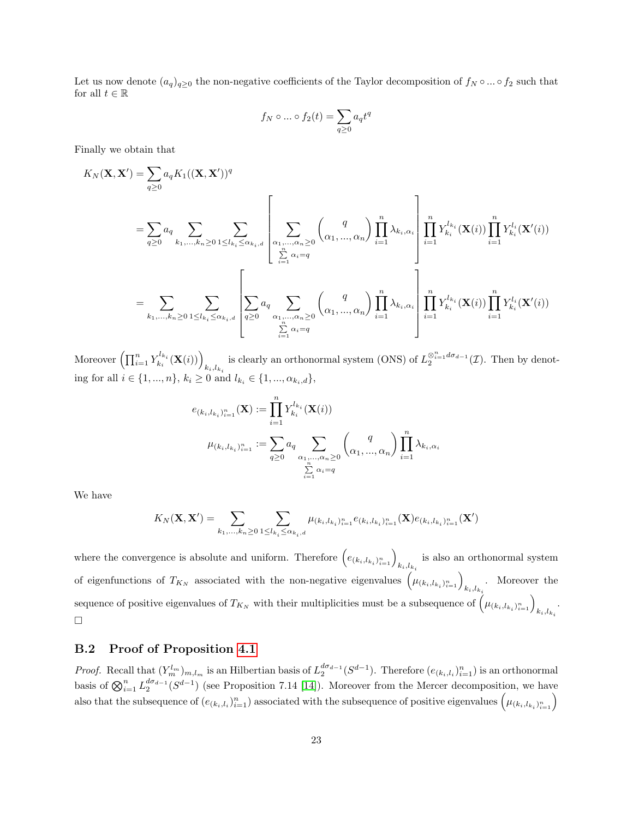Let us now denote  $(a_q)_{q\geq 0}$  the non-negative coefficients of the Taylor decomposition of  $f_N \circ ... \circ f_2$  such that for all  $t \in \mathbb{R}$ 

$$
f_N\circ \dots \circ f_2(t)=\sum_{q\geq 0}a_qt^q
$$

Finally we obtain that

$$
K_N(\mathbf{X}, \mathbf{X}') = \sum_{q \geq 0} a_q K_1((\mathbf{X}, \mathbf{X}'))^q
$$
  
\n
$$
= \sum_{q \geq 0} a_q \sum_{k_1, \dots, k_n \geq 0} \sum_{1 \leq l_{k_i} \leq \alpha_{k_i, d}} \left[ \sum_{\substack{\alpha_1, \dots, \alpha_n \geq 0 \\ \sum_{i=1}^n \alpha_i = q}} \binom{q}{\alpha_1, \dots, \alpha_n} \prod_{i=1}^n \lambda_{k_i, \alpha_i} \right] \prod_{i=1}^n Y_{k_i}^{l_{k_i}}(\mathbf{X}(i)) \prod_{i=1}^n Y_{k_i}^{l_i}(\mathbf{X}'(i))
$$
  
\n
$$
= \sum_{k_1, \dots, k_n \geq 0} \sum_{1 \leq l_{k_i} \leq \alpha_{k_i, d}} \left[ \sum_{q \geq 0} a_q \sum_{\substack{\alpha_1, \dots, \alpha_n \geq 0 \\ \sum_{i=1}^n \alpha_i = q}} \binom{q}{\alpha_1, \dots, \alpha_n} \prod_{i=1}^n \lambda_{k_i, \alpha_i} \right] \prod_{i=1}^n Y_{k_i}^{l_{k_i}}(\mathbf{X}(i)) \prod_{i=1}^n Y_{k_i}^{l_i}(\mathbf{X}'(i))
$$

Moreover  $\left(\prod_{i=1}^n Y_{k_i}^{l_{k_i}}(\mathbf{X}(i))\right)$  $k_i, l_{k_i}$ is clearly an orthonormal system (ONS) of  $L_2^{\otimes_{i=1}^n d\sigma_{d-1}}(\mathcal{I})$ . Then by denoting for all  $i \in \{1, ..., n\}$ ,  $k_i \ge 0$  and  $l_{k_i} \in \{1, ..., \alpha_{k_i,d}\}$ ,

$$
e_{(k_i, l_{k_i})_{i=1}^n}(\mathbf{X}) := \prod_{i=1}^n Y_{k_i}^{l_{k_i}}(\mathbf{X}(i))
$$
  

$$
\mu_{(k_i, l_{k_i})_{i=1}^n} := \sum_{q \geq 0} a_q \sum_{\substack{\alpha_1, \dots, \alpha_n \geq 0 \\ \sum_{i=1}^n \alpha_i = q}} \binom{q}{\alpha_1, \dots, \alpha_n} \prod_{i=1}^n \lambda_{k_i, \alpha_i}
$$

We have

$$
K_N(\mathbf{X}, \mathbf{X}') = \sum_{k_1, \dots, k_n \ge 0} \sum_{1 \le l_{k_i} \le \alpha_{k_i, d}} \mu_{(k_i, l_{k_i})_{i=1}^n} e_{(k_i, l_{k_i})_{i=1}^n}(\mathbf{X}) e_{(k_i, l_{k_i})_{i=1}^n}(\mathbf{X}')
$$

where the convergence is absolute and uniform. Therefore  $(e_{(k_i, l_{k_i})_{i=1}^n})_{k_i, l_{k_i}}$ is also an orthonormal system of eigenfunctions of  $T_{K_N}$  associated with the non-negative eigenvalues  $(\mu_{(k_i,l_{k_i})_{i=1}^n})_{k_i,l_{k_i}}$ . Moreover the sequence of positive eigenvalues of  $T_{K_N}$  with their multiplicities must be a subsequence of  $(\mu_{(k_i, l_{k_i})_{i=1}^n})_{k_i, l_{k_i}}$ .  $\Box$ 

#### B.2 Proof of Proposition [4.1](#page-7-0)

*Proof.* Recall that  $(Y_m^{l_m})_{m,l_m}$  is an Hilbertian basis of  $L_2^{d\sigma_{d-1}}(S^{d-1})$ . Therefore  $(e_{(k_i,l_i})_{i=1}^n)$  is an orthonormal basis of  $\bigotimes_{i=1}^n L_2^{d\sigma_{d-1}}(S^{d-1})$  (see Proposition 7.14 [\[14\]](#page-13-7)). Moreover from the Mercer decomposition, we have also that the subsequence of  $(e_{(k_i,l_i)}_{i=1}^n)$  associated with the subsequence of positive eigenvalues  $(\mu_{(k_i,l_{k_i})_{i=1}^n})$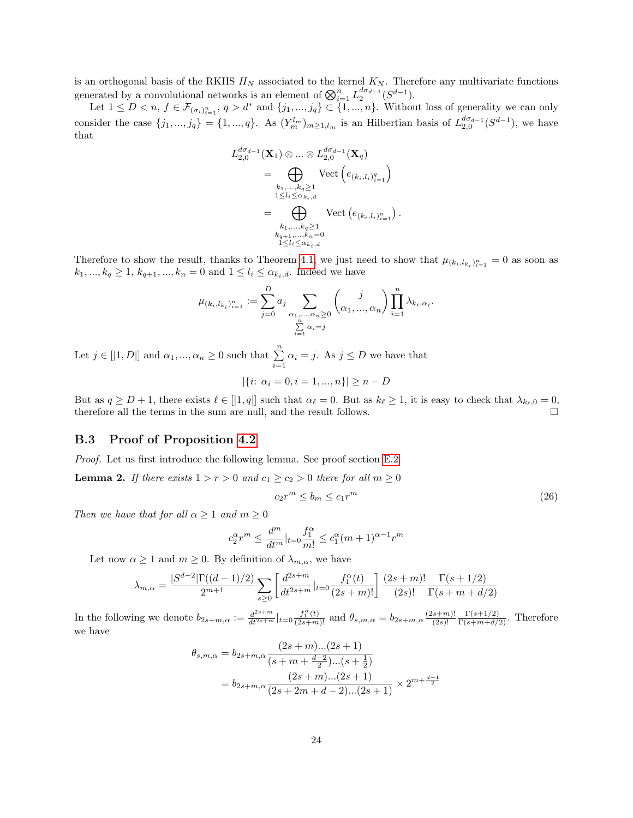is an orthogonal basis of the RKHS  $H_N$  associated to the kernel  $K_N$ . Therefore any multivariate functions generated by a convolutional networks is an element of  $\bigotimes_{i=1}^{n} L_2^{d\sigma_{d-1}}(S^{d-1})$ .

Let  $1 \leq D < n$ ,  $f \in \mathcal{F}_{(\sigma_i)_{i=1}^n}$ ,  $q > d^*$  and  $\{j_1, ..., j_q\} \subset \{1, ..., n\}$ . Without loss of generality we can only consider the case  $\{j_1, ..., j_q\} = \{1, ..., q\}$ . As  $(Y_m^{l_m})_{m \geq 1, l_m}$  is an Hilbertian basis of  $L_{2,0}^{d\sigma_{d-1}}(S^{d-1})$ , we have that

$$
L_{2,0}^{d\sigma_{d-1}}(\mathbf{X}_{1}) \otimes ... \otimes L_{2,0}^{d\sigma_{d-1}}(\mathbf{X}_{q})
$$
  
= 
$$
\bigoplus_{\substack{k_1,...,k_q \geq 1 \\ 1 \leq l_i \leq \alpha_{k_i,d} \\ k_1,...,k_q \geq 1}} \text{Vect} \left(e_{(k_i,l_i)_{i=1}^n}\right)
$$
  
= 
$$
\bigoplus_{\substack{k_1,...,k_q \geq 1 \\ k_{q+1},...,k_n=0 \\ 1 \leq l_i \leq \alpha_{k_i,d}}} \text{Vect} \left(e_{(k_i,l_i)_{i=1}^n}\right).
$$

Therefore to show the result, thanks to Theorem [4.1,](#page-6-0) we just need to show that  $\mu_{(k_i, l_{k_i})_{i=1}^n} = 0$  as soon as  $k_1,...,k_q\geq 1,\, k_{q+1},...,k_n=0$  and  $1\leq l_i\leq \alpha_{k_i,d}.$  Indeed we have

$$
\mu_{(k_i, l_{k_i})_{i=1}^n} := \sum_{j=0}^D a_j \sum_{\substack{\alpha_1, \dots, \alpha_n \ge 0 \\ \sum_{i=1}^n \alpha_i = j}} \binom{j}{\alpha_1, \dots, \alpha_n} \prod_{i=1}^n \lambda_{k_i, \alpha_i}.
$$

Let  $j \in [|1, D|]$  and  $\alpha_1, ..., \alpha_n \geq 0$  such that  $\sum_{i=1}^n \alpha_i = j$ . As  $j \leq D$  we have that  $|\{i: \alpha_i = 0, i = 1, ..., n\}| \geq n - D$ 

But as  $q \ge D+1$ , there exists  $\ell \in [|1, q|]$  such that  $\alpha_{\ell} = 0$ . But as  $k_{\ell} \ge 1$ , it is easy to check that  $\lambda_{k_{\ell},0} = 0$ , therefore all the terms in the sum are null, and the result follows.

#### B.3 Proof of Proposition [4.2](#page-8-0)

Proof. Let us first introduce the following lemma. See proof section [E.2](#page-34-0)

<span id="page-23-0"></span>**Lemma 2.** If there exists  $1 > r > 0$  and  $c_1 \ge c_2 > 0$  there for all  $m \ge 0$ 

<span id="page-23-1"></span>
$$
c_2r^m \le b_m \le c_1r^m \tag{26}
$$

Then we have that for all  $\alpha \geq 1$  and  $m \geq 0$ 

$$
c_2^\alpha r^m \leq \frac{d^m}{dt^m}|_{t=0} \frac{f_1^\alpha}{m!} \leq c_1^\alpha (m+1)^{\alpha-1} r^m
$$

Let now  $\alpha \geq 1$  and  $m \geq 0$ . By definition of  $\lambda_{m,\alpha}$ , we have

$$
\lambda_{m,\alpha} = \frac{|S^{d-2}|\Gamma((d-1)/2)}{2^{m+1}} \sum_{s \ge 0} \left[ \frac{d^{2s+m}}{dt^{2s+m}} |_{t=0} \frac{f_1^{\alpha}(t)}{(2s+m)!} \right] \frac{(2s+m)!}{(2s)!} \frac{\Gamma(s+1/2)}{\Gamma(s+m+d/2)}
$$

In the following we denote  $b_{2s+m,\alpha} := \frac{d^{2s+m}}{dt^{2s+m}}|_{t=0} \frac{f_1^{\alpha}(t)}{(2s+m)!}$  and  $\theta_{s,m,\alpha} = b_{2s+m,\alpha} \frac{(2s+m)!}{(2s)!}$  $(2s)!$  $\frac{\Gamma(s+1/2)}{\Gamma(s+m+d/2)}$ . Therefore we have

$$
\theta_{s,m,\alpha} = b_{2s+m,\alpha} \frac{(2s+m)...(2s+1)}{(s+m+\frac{d-2}{2})...(s+\frac{1}{2})}
$$

$$
= b_{2s+m,\alpha} \frac{(2s+m)...(2s+1)}{(2s+2m+d-2)...(2s+1)} \times 2^{m+\frac{d-1}{2}}
$$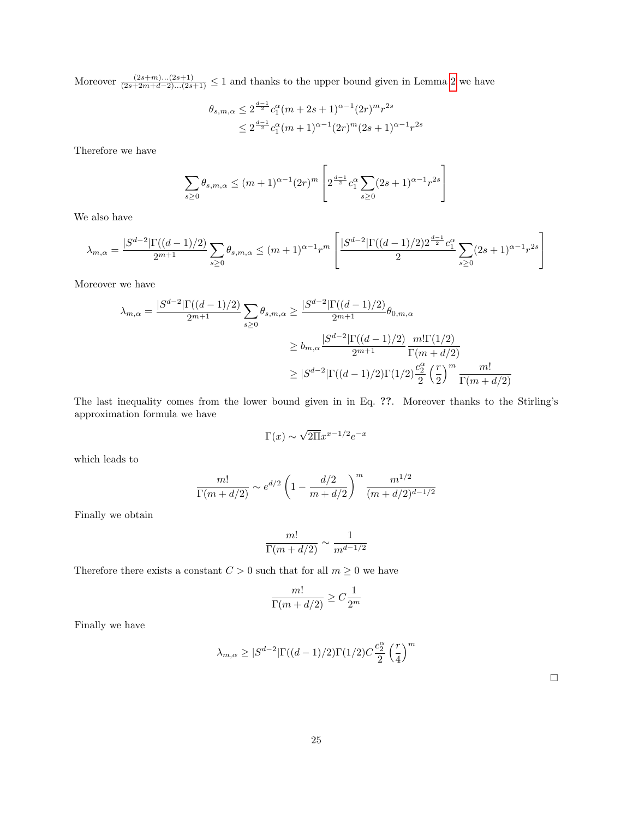Moreover  $\frac{(2s+m)...(2s+1)}{(2s+2m+d-2)...(2s+1)} \leq 1$  and thanks to the upper bound given in Lemma [2](#page-23-0) we have

$$
\theta_{s,m,\alpha} \le 2^{\frac{d-1}{2}} c_1^{\alpha} (m+2s+1)^{\alpha-1} (2r)^m r^{2s}
$$
  

$$
\le 2^{\frac{d-1}{2}} c_1^{\alpha} (m+1)^{\alpha-1} (2r)^m (2s+1)^{\alpha-1} r^{2s}
$$

Therefore we have

$$
\sum_{s\geq 0} \theta_{s,m,\alpha} \leq (m+1)^{\alpha-1} (2r)^m \left[ 2^{\frac{d-1}{2}} c_1^{\alpha} \sum_{s\geq 0} (2s+1)^{\alpha-1} r^{2s} \right]
$$

We also have

$$
\lambda_{m,\alpha}=\frac{|S^{d-2}|\Gamma((d-1)/2)}{2^{m+1}}\sum_{s\geq 0}\theta_{s,m,\alpha}\leq (m+1)^{\alpha-1}r^m\left[\frac{|S^{d-2}|\Gamma((d-1)/2)2^{\frac{d-1}{2}}c_1^\alpha}{2}\sum_{s\geq 0}(2s+1)^{\alpha-1}r^{2s}\right]
$$

Moreover we have

$$
\lambda_{m,\alpha} = \frac{|S^{d-2}|\Gamma((d-1)/2)}{2^{m+1}} \sum_{s \ge 0} \theta_{s,m,\alpha} \ge \frac{|S^{d-2}|\Gamma((d-1)/2)}{2^{m+1}} \theta_{0,m,\alpha}
$$

$$
\ge b_{m,\alpha} \frac{|S^{d-2}|\Gamma((d-1)/2)}{2^{m+1}} \frac{m!\Gamma(1/2)}{\Gamma(m+d/2)}
$$

$$
\ge |S^{d-2}|\Gamma((d-1)/2)\Gamma(1/2) \frac{c_2^{\alpha}}{2} \left(\frac{r}{2}\right)^m \frac{m!}{\Gamma(m+d/2)}
$$

The last inequality comes from the lower bound given in in Eq. ??. Moreover thanks to the Stirling's approximation formula we have

$$
\Gamma(x) \sim \sqrt{2\Pi} x^{x-1/2} e^{-x}
$$

which leads to

$$
\frac{m!}{\Gamma(m+d/2)} \sim e^{d/2} \left(1 - \frac{d/2}{m+d/2}\right)^m \frac{m^{1/2}}{(m+d/2)^{d-1/2}}
$$

Finally we obtain

$$
\frac{m!}{\Gamma(m+d/2)}\sim \frac{1}{m^{d-1/2}}
$$

Therefore there exists a constant  $C > 0$  such that for all  $m \geq 0$  we have

$$
\frac{m!}{\Gamma(m+d/2)}\geq C\frac{1}{2^m}
$$

Finally we have

$$
\lambda_{m,\alpha} \geq |S^{d-2}|\Gamma((d-1)/2)\Gamma(1/2)C\frac{c_2^\alpha}{2}\left(\frac{r}{4}\right)^m
$$

 $\Box$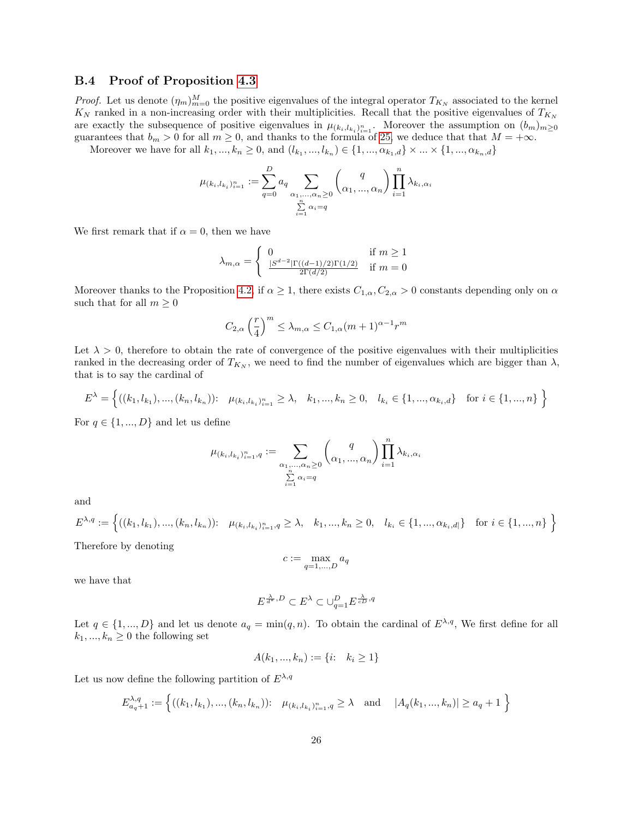#### B.4 Proof of Proposition [4.3](#page-8-1)

*Proof.* Let us denote  $(\eta_m)_{m=0}^M$  the positive eigenvalues of the integral operator  $T_{K_N}$  associated to the kernel  $K_N$  ranked in a non-increasing order with their multiplicities. Recall that the positive eigenvalues of  $T_{K_N}$ are exactly the subsequence of positive eigenvalues in  $\mu_{(k_i, l_{k_i})_{i=1}^n}$ . Moreover the assumption on  $(b_m)_{m\geq 0}$ guarantees that  $b_m > 0$  for all  $m \geq 0$ , and thanks to the formula of [25,](#page-20-1) we deduce that that  $M = +\infty$ .

Moreover we have for all  $k_1, ..., k_n \ge 0$ , and  $(l_{k_1}, ..., l_{k_n}) \in \{1, ..., \alpha_{k_1, d}\} \times ... \times \{1, ..., \alpha_{k_n, d}\}\$ 

$$
\mu_{(k_i, l_{k_i})_{i=1}^n} := \sum_{q=0}^D a_q \sum_{\substack{\alpha_1, \dots, \alpha_n \ge 0 \\ \sum_{i=1}^n \alpha_i = q}} \binom{q}{\alpha_1, \dots, \alpha_n} \prod_{i=1}^n \lambda_{k_i, \alpha_i}
$$

We first remark that if  $\alpha = 0$ , then we have

$$
\lambda_{m,\alpha} = \begin{cases} 0 & \text{if } m \ge 1\\ \frac{|S^{d-2}|\Gamma((d-1)/2)\Gamma(1/2)}{2\Gamma(d/2)} & \text{if } m = 0 \end{cases}
$$

Moreover thanks to the Proposition [4.2,](#page-8-0) if  $\alpha \geq 1$ , there exists  $C_{1,\alpha}, C_{2,\alpha} > 0$  constants depending only on  $\alpha$ such that for all  $m \geq 0$ 

$$
C_{2,\alpha}\left(\frac{r}{4}\right)^m \leq \lambda_{m,\alpha} \leq C_{1,\alpha}(m+1)^{\alpha-1}r^m
$$

Let  $\lambda > 0$ , therefore to obtain the rate of convergence of the positive eigenvalues with their multiplicities ranked in the decreasing order of  $T_{K_N}$ , we need to find the number of eigenvalues which are bigger than  $\lambda$ , that is to say the cardinal of

$$
E^{\lambda} = \left\{ ((k_1, l_{k_1}), ..., (k_n, l_{k_n})) : \mu_{(k_i, l_{k_i})_{i=1}^n} \ge \lambda, \quad k_1, ..., k_n \ge 0, \quad l_{k_i} \in \{1, ..., \alpha_{k_i, d}\} \quad \text{for } i \in \{1, ..., n\} \right\}
$$

For  $q \in \{1, ..., D\}$  and let us define

$$
\mu_{(k_i,l_{k_i})_{i=1}^n,q}:=\sum\limits_{\substack{\alpha_1,\ldots,\alpha_n\ge 0\\ \sum\limits_{i=1}^n \alpha_i=q}}\binom{q}{\alpha_1,\ldots,\alpha_n}\prod\limits_{i=1}^n \lambda_{k_i,\alpha_i}
$$

and

$$
E^{\lambda,q} := \left\{ ((k_1, l_{k_1}), ..., (k_n, l_{k_n})) : \mu_{(k_i, l_{k_i})_{i=1}^n, q \ge \lambda, k_1, ..., k_n \ge 0, l_{k_i} \in \{1, ..., \alpha_{k_i, d|\}} \text{ for } i \in \{1, ..., n\} \right\}
$$
  
Therefore, by denoting

Therefore by denoting

$$
c := \max_{q=1,\ldots,D} a_q
$$

we have that

$$
E^{\frac{\lambda}{d^*},D}\subset E^{\lambda}\subset \cup_{q=1}^D E^{\frac{\lambda}{cD},q}
$$

Let  $q \in \{1, ..., D\}$  and let us denote  $a_q = \min(q, n)$ . To obtain the cardinal of  $E^{\lambda,q}$ , We first define for all  $k_1, ..., k_n \geq 0$  the following set

$$
A(k_1, ..., k_n) := \{i: k_i \ge 1\}
$$

Let us now define the following partition of  $E^{\lambda,q}$ 

$$
E_{a_q+1}^{\lambda,q} := \left\{ ((k_1, l_{k_1}), ..., (k_n, l_{k_n})) : \mu_{(k_i, l_{k_i})_{i=1}^n, q \ge \lambda \text{ and } |A_q(k_1, ..., k_n)| \ge a_q + 1 \right\}
$$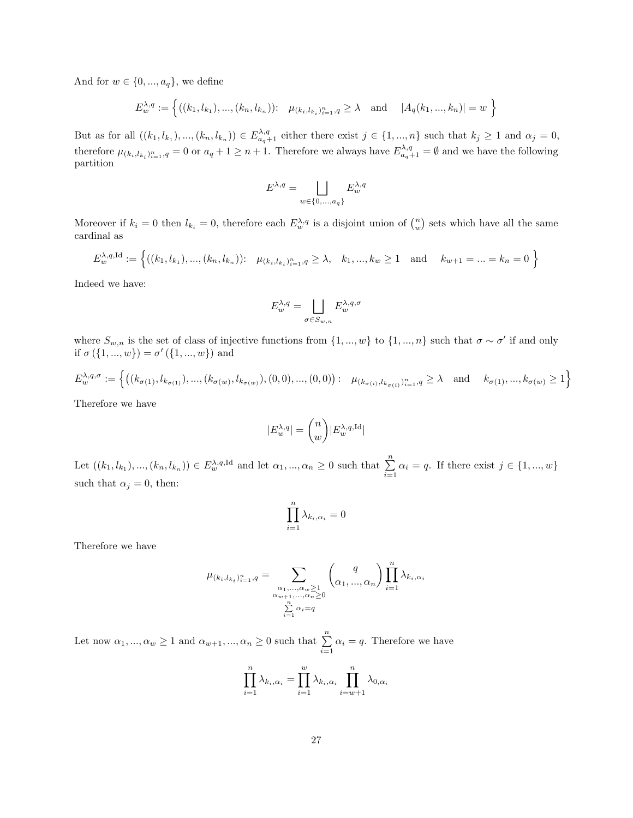And for  $w \in \{0, ..., a_q\}$ , we define

$$
E_{w}^{\lambda,q} := \left\{ ((k_1, l_{k_1}), ..., (k_n, l_{k_n})) : \mu_{(k_i, l_{k_i})_{i=1}^n, q \ge \lambda \text{ and } |A_q(k_1, ..., k_n)| = w \right\}
$$

But as for all  $((k_1, l_{k_1}), ..., (k_n, l_{k_n})) \in E_{a_q+1}^{\lambda, q}$  either there exist  $j \in \{1, ..., n\}$  such that  $k_j \geq 1$  and  $\alpha_j = 0$ , therefore  $\mu_{(k_i,l_{k_i})_{i=1}^n,q} = 0$  or  $a_q + 1 \geq n+1$ . Therefore we always have  $E_{a_q+1}^{\lambda,q} = \emptyset$  and we have the following partition

$$
E^{\lambda,q} = \bigsqcup_{w \in \{0,\ldots,a_q\}} E^{\lambda,q}_w
$$

Moreover if  $k_i = 0$  then  $l_{k_i} = 0$ , therefore each  $E_w^{\lambda,q}$  is a disjoint union of  $\binom{n}{w}$  sets which have all the same cardinal as

$$
E_{w}^{\lambda,q,\mathrm{Id}} := \left\{ ((k_1, l_{k_1}), ..., (k_n, l_{k_n})) : \mu_{(k_i, l_{k_i})_{i=1}^n, q \ge \lambda, k_1, ..., k_w \ge 1 \text{ and } k_{w+1} = ... = k_n = 0 \right\}
$$

Indeed we have:

$$
E^{\lambda,q}_w = \bigsqcup_{\sigma \in S_{w,n}} E^{\lambda,q,\sigma}_w
$$

where  $S_{w,n}$  is the set of class of injective functions from  $\{1, ..., w\}$  to  $\{1, ..., n\}$  such that  $\sigma \sim \sigma'$  if and only if  $\sigma({1,...,w}) = \sigma'({1,...,w})$  and

$$
E_{w}^{\lambda,q,\sigma} := \left\{ \left( (k_{\sigma(1)}, l_{k_{\sigma(1)}}), ..., (k_{\sigma(w)}, l_{k_{\sigma(w)}}), (0,0), ..., (0,0) \right): \ \mu_{(k_{\sigma(i)}, l_{k_{\sigma(i)}})_{i=1}^n, q \ge \lambda \quad \text{and} \quad k_{\sigma(1)}, ..., k_{\sigma(w)} \ge 1 \right\}
$$

Therefore we have

$$
|E^{\lambda,q}_w| = \binom{n}{w} |E^{\lambda,q,\text{Id}}_w|
$$

Let  $((k_1, l_{k_1}), ..., (k_n, l_{k_n})) \in E_w^{\lambda, q, \text{Id}}$  and let  $\alpha_1, ..., \alpha_n \geq 0$  such that  $\sum_{i=1}^n \alpha_i = q$ . If there exist  $j \in \{1, ..., w\}$ such that  $\alpha_j = 0$ , then:

$$
\prod_{i=1}^n \lambda_{k_i,\alpha_i} = 0
$$

Therefore we have

$$
\mu_{(k_i, l_{k_i})_{i=1}^n, q} = \sum_{\substack{\alpha_1, \dots, \alpha_w \ge 1 \\ \alpha_{w+1}, \dots, \alpha_n \ge 0 \\ \sum_{i=1}^n \alpha_i = q}} \binom{q}{\alpha_1, \dots, \alpha_n} \prod_{i=1}^n \lambda_{k_i, \alpha_i}
$$

Let now  $\alpha_1, ..., \alpha_w \ge 1$  and  $\alpha_{w+1}, ..., \alpha_n \ge 0$  such that  $\sum_{i=1}^n \alpha_i = q$ . Therefore we have

$$
\prod_{i=1}^{n} \lambda_{k_i, \alpha_i} = \prod_{i=1}^{w} \lambda_{k_i, \alpha_i} \prod_{i=w+1}^{n} \lambda_{0, \alpha_i}
$$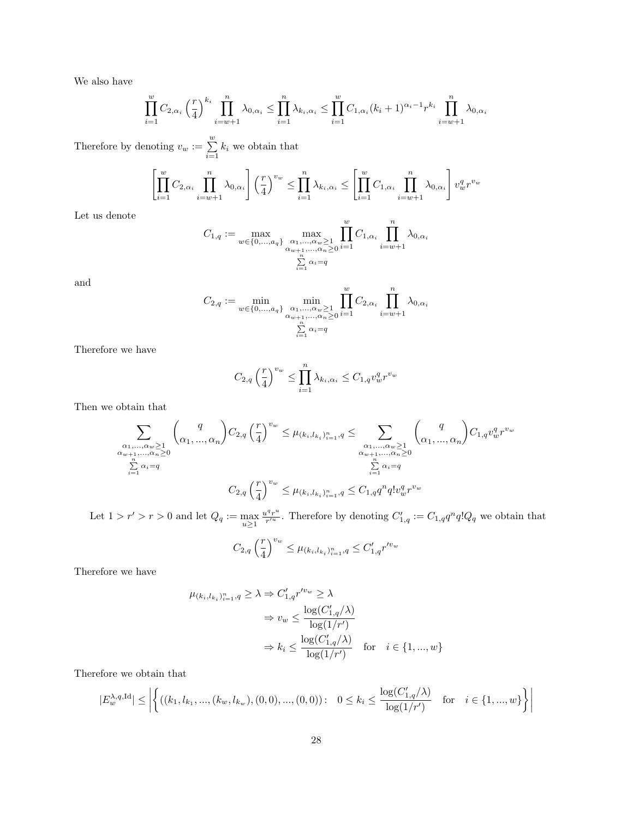We also have

$$
\prod_{i=1}^{w} C_{2,\alpha_i} \left(\frac{r}{4}\right)^{k_i} \prod_{i=w+1}^{n} \lambda_{0,\alpha_i} \le \prod_{i=1}^{n} \lambda_{k_i,\alpha_i} \le \prod_{i=1}^{w} C_{1,\alpha_i} (k_i+1)^{\alpha_i-1} r^{k_i} \prod_{i=w+1}^{n} \lambda_{0,\alpha_i}
$$

Therefore by denoting  $v_w := \sum_{i=1}^w k_i$  we obtain that

$$
\left[\prod_{i=1}^w C_{2,\alpha_i} \prod_{i=w+1}^n \lambda_{0,\alpha_i}\right] \left(\frac{r}{4}\right)^{v_w} \leq \prod_{i=1}^n \lambda_{k_i,\alpha_i} \leq \left[\prod_{i=1}^w C_{1,\alpha_i} \prod_{i=w+1}^n \lambda_{0,\alpha_i}\right] v_w^q r^{v_w}
$$

Let us denote

$$
C_{1,q} := \max_{w \in \{0, \dots, a_q\}} \max_{\substack{\alpha_1, \dots, \alpha_w \ge 1 \\ \alpha_{w+1}, \dots, \alpha_n \ge 0 \\ \sum_{i=1}^n \alpha_i = q}} \prod_{i=1}^w C_{1,\alpha_i} \prod_{i=w+1}^n \lambda_{0,\alpha_i}
$$

and

$$
C_{2,q} := \min_{w \in \{0, \dots, a_q\}} \min_{\substack{\alpha_1, \dots, \alpha_w \ge 1 \\ \alpha_{w+1}, \dots, \alpha_n \ge 0 \\ \sum_{i=1}^n \alpha_i = q}} \prod_{i=1}^w C_{2,\alpha_i} \prod_{i=w+1}^n \lambda_{0,\alpha_i}
$$

Therefore we have

$$
C_{2,q} \left(\frac{r}{4}\right)^{v_w} \le \prod_{i=1}^n \lambda_{k_i,\alpha_i} \le C_{1,q} v_w^q r^{v_w}
$$

Then we obtain that

$$
\sum_{\substack{\alpha_1, \dots, \alpha_w \ge 1 \\ \alpha_{w+1}, \dots, \alpha_n \ge 0 \\ \sum_{i=1}^n \alpha_i = q}} \binom{q}{\alpha_1, \dots, \alpha_n} C_{2,q} \left(\frac{r}{4}\right)^{v_w} \le \mu_{(k_i, l_{k_i})_{i=1}^n, q} \le \sum_{\substack{\alpha_1, \dots, \alpha_w \ge 1 \\ \alpha_{w+1}, \dots, \alpha_n \ge 0 \\ \sum_{i=1}^n \alpha_i = q}} \binom{q}{\alpha_1, \dots, \alpha_n} C_{1,q} v_w^q r^{v_w}
$$

Let  $1 > r' > r > 0$  and let  $Q_q := \max_{u \ge 1}$  $u^q r^u$  $\frac{q^{q}r^{u}}{r'^{u}}$ . Therefore by denoting  $C'_{1,q} := C_{1,q}q^{n}q!Q_{q}$  we obtain that

$$
C_{2,q} \left(\frac{r}{4}\right)^{v_w} \le \mu_{(k_i,l_{k_i})_{i=1}^n,q} \le C'_{1,q} r'^{v_w}
$$

Therefore we have

$$
\mu_{(k_i, l_{k_i})_{i=1}^n, q} \ge \lambda \Rightarrow C'_{1,q} r'^{v_w} \ge \lambda
$$
  
\n
$$
\Rightarrow v_w \le \frac{\log(C'_{1,q}/\lambda)}{\log(1/r')}
$$
  
\n
$$
\Rightarrow k_i \le \frac{\log(C'_{1,q}/\lambda)}{\log(1/r')} \quad \text{for} \quad i \in \{1, ..., w\}
$$

Therefore we obtain that

$$
|E^{\lambda,q,\text{Id}}_w| \le \left| \left\{ ((k_1,l_{k_1},..., (k_w,l_{k_w}),(0,0),..., (0,0))\colon \ 0 \le k_i \le \frac{\log(C_{1,q}'/\lambda)}{\log(1/r')} \ \ \text{for} \ \ i \in \{1,...,w\} \right\} \right|
$$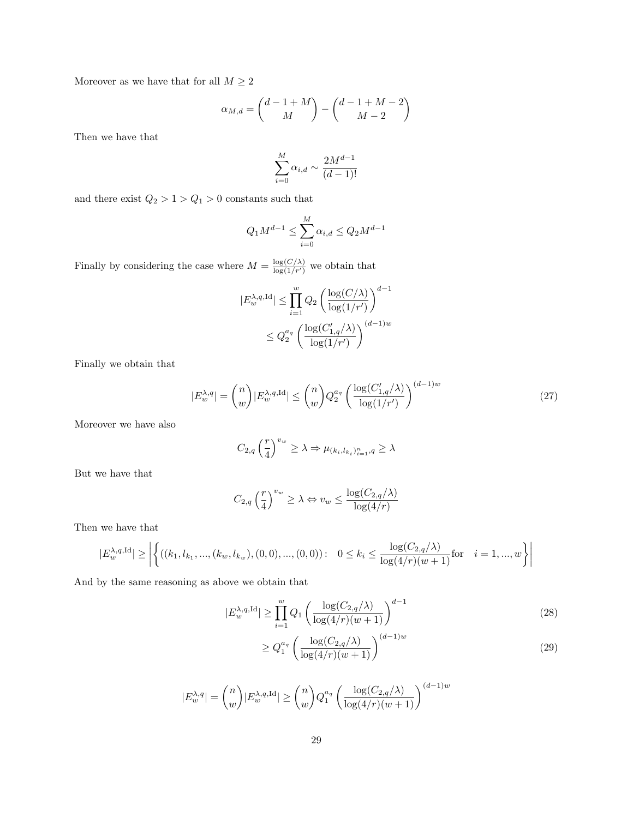Moreover as we have that for all  $M\geq 2$ 

$$
\alpha_{M,d} = \binom{d-1+M}{M} - \binom{d-1+M-2}{M-2}
$$

Then we have that

$$
\sum_{i=0}^{M} \alpha_{i,d} \sim \frac{2M^{d-1}}{(d-1)!}
$$

and there exist  ${\cal Q}_2 > 1 > {\cal Q}_1 > 0$  constants such that

$$
Q_1 M^{d-1} \le \sum_{i=0}^{M} \alpha_{i,d} \le Q_2 M^{d-1}
$$

Finally by considering the case where  $M = \frac{\log(C/\lambda)}{\log(1/r')}$  we obtain that

$$
|E_w^{\lambda,q,\text{Id}}| \le \prod_{i=1}^w Q_2 \left( \frac{\log(C/\lambda)}{\log(1/r')}\right)^{d-1}
$$
  

$$
\le Q_2^{a_q} \left( \frac{\log(C_{1,q}'/\lambda)}{\log(1/r')}\right)^{(d-1)w}
$$

Finally we obtain that

$$
|E_w^{\lambda,q}| = \binom{n}{w} |E_w^{\lambda,q,\text{Id}}| \le \binom{n}{w} Q_2^{a_q} \left(\frac{\log(C_{1,q}'/\lambda)}{\log(1/r')}\right)^{(d-1)w} \tag{27}
$$

Moreover we have also

<span id="page-28-0"></span>
$$
C_{2,q}\left(\frac{r}{4}\right)^{v_w}\geq \lambda \Rightarrow \mu_{(k_i,l_{k_i})_{i=1}^n,q}\geq \lambda
$$

But we have that

$$
C_{2,q} \left(\frac{r}{4}\right)^{v_w} \ge \lambda \Leftrightarrow v_w \le \frac{\log(C_{2,q}/\lambda)}{\log(4/r)}
$$

Then we have that

$$
|E_w^{\lambda,q,\text{Id}}| \ge \left| \left\{ ((k_1, l_{k_1}, ..., (k_w, l_{k_w}), (0,0), ..., (0,0)) : \ 0 \le k_i \le \frac{\log(C_{2,q}/\lambda)}{\log(4/r)(w+1)} \text{for} \ i = 1, ..., w \right\} \right|
$$

And by the same reasoning as above we obtain that

$$
|E_w^{\lambda,q,\mathrm{Id}}| \ge \prod_{i=1}^w Q_1 \left( \frac{\log(C_{2,q}/\lambda)}{\log(4/r)(w+1)} \right)^{d-1}
$$
\n
$$
\le Q_{2,q}^{\alpha} \left( \log(C_{2,q}/\lambda) \right)^{(d-1)w}
$$
\n(28)

<span id="page-28-1"></span>
$$
\geq Q_1^{a_q} \left( \frac{\log(C_{2,q}/\lambda)}{\log(4/r)(w+1)} \right)^{(d-1)w} \tag{29}
$$

$$
|E_w^{\lambda,q}| = \binom{n}{w} |E_w^{\lambda,q,\mathrm{Id}}| \ge \binom{n}{w} Q_1^{a_q} \left( \frac{\log(C_{2,q}/\lambda)}{\log(4/r)(w+1)} \right)^{(d-1)w}
$$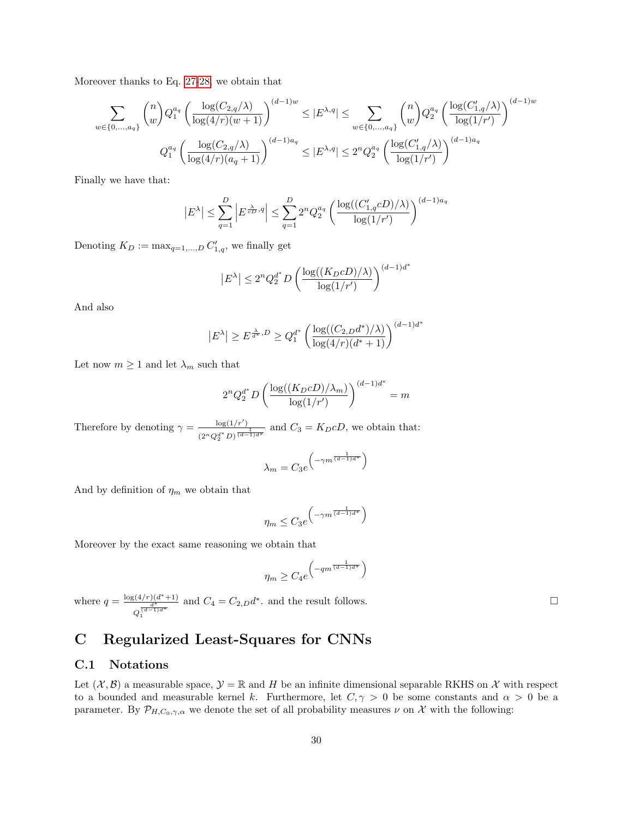Moreover thanks to Eq. [27-](#page-28-0)[28,](#page-28-1) we obtain that

$$
\sum_{w \in \{0, \dots, a_q\}} \binom{n}{w} Q_1^{a_q} \left( \frac{\log(C_{2,q}/\lambda)}{\log(4/r)(w+1)} \right)^{(d-1)w} \le |E^{\lambda,q}| \le \sum_{w \in \{0, \dots, a_q\}} \binom{n}{w} Q_2^{a_q} \left( \frac{\log(C'_{1,q}/\lambda)}{\log(1/r')}\right)^{(d-1)w}
$$
  

$$
Q_1^{a_q} \left( \frac{\log(C_{2,q}/\lambda)}{\log(4/r)(a_q+1)} \right)^{(d-1)a_q} \le |E^{\lambda,q}| \le 2^n Q_2^{a_q} \left( \frac{\log(C'_{1,q}/\lambda)}{\log(1/r')}\right)^{(d-1)a_q}
$$

Finally we have that:

$$
\left| E^{\lambda} \right| \leq \sum_{q=1}^D \left| E^{\frac{\lambda}{cD},q} \right| \leq \sum_{q=1}^D 2^n Q_2^{a_q} \left( \frac{\log((C'_{1,q}cD)/\lambda)}{\log(1/r')} \right)^{(d-1)a_q}
$$

Denoting  $K_D := \max_{q=1,...,D} C'_{1,q}$ , we finally get

$$
\left|E^{\lambda}\right| \le 2^n Q_2^{d^*} D\left(\frac{\log((K_D cD)/\lambda)}{\log(1/r')}\right)^{(d-1)d^*}
$$

And also

$$
\left| E^{\lambda} \right| \geq E^{\frac{\lambda}{d^*},D} \geq Q_1^{d^*} \left( \frac{\log((C_{2,D}d^*)/\lambda)}{\log(4/r)(d^*+1)} \right)^{(d-1)d^*}
$$

Let now  $m \geq 1$  and let  $\lambda_m$  such that

$$
2^n Q_2^{d^*} D \left(\frac{\log((K_D cD)/\lambda_m)}{\log(1/r')}\right)^{(d-1)d^*} = m
$$

Therefore by denoting  $\gamma = \frac{\log(1/r')}{\log(1/r')}$  $\frac{\log(1/r)}{(2^n Q_2^{d*} D)^{\frac{1}{(d-1)d^*}}}$  and  $C_3 = K_D cD$ , we obtain that:

$$
\lambda_m = C_3 e^{\left(-\gamma m^{\frac{1}{(d-1)d^*}}\right)}
$$

And by definition of  $\eta_m$  we obtain that

$$
\eta_m \le C_3 e^{\left(-\gamma m^{\frac{1}{(d-1)d^*}}\right)}
$$

Moreover by the exact same reasoning we obtain that

$$
\eta_m \ge C_4 e^{\left(-qm^{\frac{1}{(d-1)d^*}}\right)}
$$

where  $q = \frac{\log(4/r)(d^*+1)}{d^*}$ Q  $\frac{d^*}{(d-1)d^*}$ 1 and  $C_4 = C_{2,D} d^*$ , and the result follows.

# <span id="page-29-0"></span>C Regularized Least-Squares for CNNs

#### C.1 Notations

Let  $(\mathcal{X}, \mathcal{B})$  a measurable space,  $\mathcal{Y} = \mathbb{R}$  and H be an infinite dimensional separable RKHS on X with respect to a bounded and measurable kernel k. Furthermore, let  $C, \gamma > 0$  be some constants and  $\alpha > 0$  be a parameter. By  $\mathcal{P}_{H,C_0,\gamma,\alpha}$  we denote the set of all probability measures  $\nu$  on X with the following: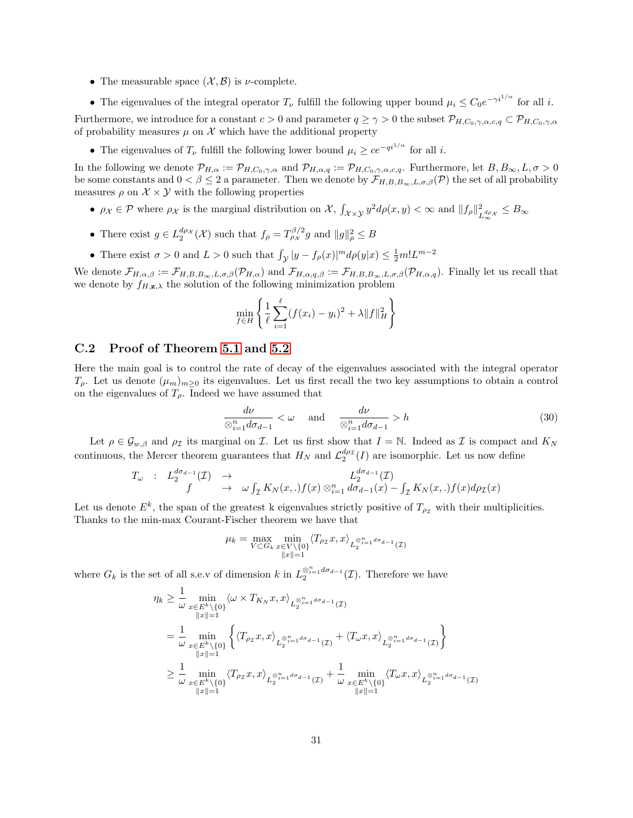- The measurable space  $(\mathcal{X}, \mathcal{B})$  is *v*-complete.
- The eigenvalues of the integral operator  $T_{\nu}$  fulfill the following upper bound  $\mu_i \leq C_0 e^{-\gamma i^{1/\alpha}}$  for all i.

Furthermore, we introduce for a constant  $c > 0$  and parameter  $q \ge \gamma > 0$  the subset  $\mathcal{P}_{H,C_0,\gamma,\alpha,c,q} \subset \mathcal{P}_{H,C_0,\gamma,\alpha,c,q}$ of probability measures  $\mu$  on  $\mathcal X$  which have the additional property

• The eigenvalues of  $T_{\nu}$  fulfill the following lower bound  $\mu_i \geq ce^{-qi^{1/\alpha}}$  for all i.

In the following we denote  $\mathcal{P}_{H,\alpha} := \mathcal{P}_{H,C_0,\gamma,\alpha}$  and  $\mathcal{P}_{H,\alpha,q} := \mathcal{P}_{H,C_0,\gamma,\alpha,c,q}$ . Furthermore, let  $B, B_{\infty}, L, \sigma > 0$ be some constants and  $0 < \beta \leq 2$  a parameter. Then we denote by  $\mathcal{F}_{H,B,B_\infty,L,\sigma,\beta}(\mathcal{P})$  the set of all probability measures  $\rho$  on  $\mathcal{X} \times \mathcal{Y}$  with the following properties

- $\rho_X \in \mathcal{P}$  where  $\rho_X$  is the marginal distribution on X,  $\int_{\mathcal{X}\times\mathcal{Y}} y^2 d\rho(x,y) < \infty$  and  $||f_\rho||_I^2$  $\frac{2}{L_{\infty}^{d\rho_X}} \leq B_{\infty}$
- There exist  $g \in L_2^{d\rho_X}(\mathcal{X})$  such that  $f_\rho = T_{\rho_X}^{\beta/2} g$  and  $||g||^2_\rho \leq B$
- There exist  $\sigma > 0$  and  $L > 0$  such that  $\int_{\mathcal{Y}} |y f_{\rho}(x)|^m d\rho(y|x) \leq \frac{1}{2} m! L^{m-2}$

We denote  $\mathcal{F}_{H,\alpha,\beta} := \mathcal{F}_{H,B,B_{\infty},L,\sigma,\beta}(\mathcal{P}_{H,\alpha})$  and  $\mathcal{F}_{H,\alpha,q,\beta} := \mathcal{F}_{H,B,B_{\infty},L,\sigma,\beta}(\mathcal{P}_{H,\alpha,q})$ . Finally let us recall that we denote by  $f_{H,\mathbf{z},\lambda}$  the solution of the following minimization problem

$$
\min_{f \in H} \left\{ \frac{1}{\ell} \sum_{i=1}^{\ell} (f(x_i) - y_i)^2 + \lambda \|f\|_H^2 \right\}
$$

#### C.2 Proof of Theorem [5.1](#page-10-0) and [5.2](#page-11-0)

Here the main goal is to control the rate of decay of the eigenvalues associated with the integral operator  $T_{\rho}$ . Let us denote  $(\mu_m)_{m\geq 0}$  its eigenvalues. Let us first recall the two key assumptions to obtain a control on the eigenvalues of  $T_{\rho}$ . Indeed we have assumed that

<span id="page-30-0"></span>
$$
\frac{d\nu}{\otimes_{i=1}^n d\sigma_{d-1}} < \omega \quad \text{and} \quad \frac{d\nu}{\otimes_{i=1}^n d\sigma_{d-1}} > h \tag{30}
$$

Let  $\rho \in \mathcal{G}_{w,\beta}$  and  $\rho_{\mathcal{I}}$  its marginal on  $\mathcal{I}$ . Let us first show that  $I = \mathbb{N}$ . Indeed as  $\mathcal{I}$  is compact and  $K_N$ continuous, the Mercer theorem guarantees that  $H_N$  and  $\mathcal{L}_2^{d\rho_{\mathcal{I}}}(I)$  are isomorphic. Let us now define

$$
T_{\omega}: L_2^{d\sigma_{d-1}}(\mathcal{I}) \rightarrow L_2^{d\sigma_{d-1}}(\mathcal{I})
$$
  

$$
f \rightarrow \omega \int_{\mathcal{I}} K_N(x,.) f(x) \otimes_{i=1}^n d\sigma_{d-1}(x) - \int_{\mathcal{I}} K_N(x,.) f(x) d\rho_{\mathcal{I}}(x)
$$

Let us denote  $E^k$ , the span of the greatest k eigenvalues strictly positive of  $T_{\rho_{\mathcal{I}}}$  with their multiplicities. Thanks to the min-max Courant-Fischer theorem we have that

$$
\mu_k = \max_{V \subset G_k} \min_{\substack{x \in V \setminus \{0\} \\ \|x\|=1}} \langle T_{\rho_\mathcal{I}} x, x \rangle_{L_2^{\otimes n} = 1} d\sigma_{d-1}(\mathcal{I})}
$$

where  $G_k$  is the set of all s.e.v of dimension k in  $L_2^{\otimes_{i=1}^n d\sigma_{d-1}}(\mathcal{I})$ . Therefore we have

$$
\eta_k \geq \frac{1}{\omega} \min_{\substack{x \in E^k \setminus \{0\} \\ ||x|| = 1}} \langle \omega \times T_{K_N} x, x \rangle_{L_2^{\otimes_{i=1}^n d\sigma_{d-1}}(\mathcal{I})} \n= \frac{1}{\omega} \min_{\substack{x \in E^k \setminus \{0\} \\ ||x|| = 1}} \left\{ \langle T_{\rho_{\mathcal{I}}} x, x \rangle_{L_2^{\otimes_{i=1}^n d\sigma_{d-1}}(\mathcal{I})} + \langle T_{\omega} x, x \rangle_{L_2^{\otimes_{i=1}^n d\sigma_{d-1}}(\mathcal{I})} \right\} \n\geq \frac{1}{\omega} \min_{\substack{x \in E^k \setminus \{0\} \\ ||x|| = 1}} \langle T_{\rho_{\mathcal{I}}} x, x \rangle_{L_2^{\otimes_{i=1}^n d\sigma_{d-1}}(\mathcal{I})} + \frac{1}{\omega} \min_{\substack{x \in E^k \setminus \{0\} \\ ||x|| = 1}} \langle T_{\omega} x, x \rangle_{L_2^{\otimes_{i=1}^n d\sigma_{d-1}}(\mathcal{I})}
$$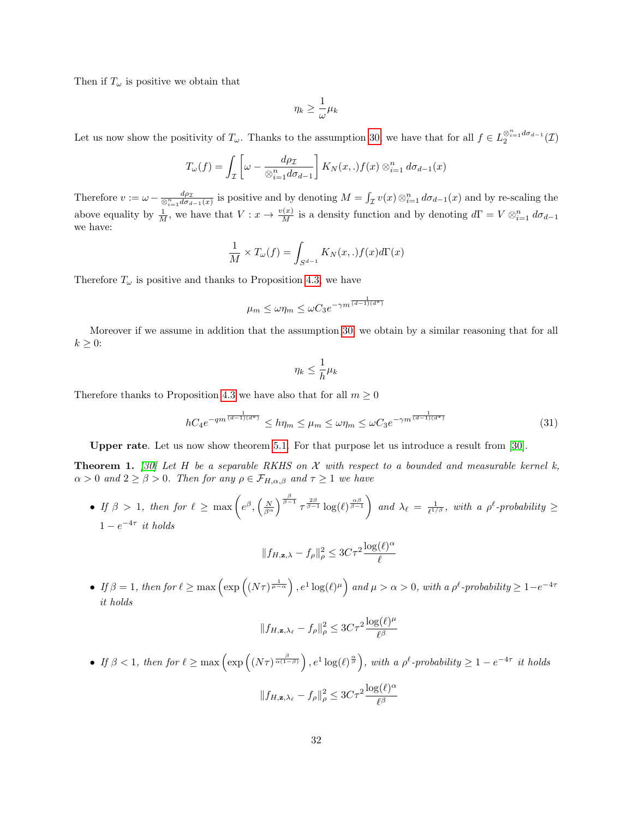Then if  $T_{\omega}$  is positive we obtain that

$$
\eta_k \geq \frac{1}{\omega} \mu_k
$$

Let us now show the positivity of  $T_{\omega}$ . Thanks to the assumption [30,](#page-30-0) we have that for all  $f \in L_2^{\otimes_{i=1}^n d\sigma_{d-1}}(\mathcal{I})$ 

$$
T_{\omega}(f) = \int_{\mathcal{I}} \left[ \omega - \frac{d\rho_{\mathcal{I}}}{\otimes_{i=1}^{n} d\sigma_{d-1}} \right] K_{N}(x,.) f(x) \otimes_{i=1}^{n} d\sigma_{d-1}(x)
$$

Therefore  $v := \omega - \frac{d\rho_{\mathcal{I}}}{\otimes_{i=1}^n d\sigma_{d-1}(x)}$  is positive and by denoting  $M = \int_{\mathcal{I}} v(x) \otimes_{i=1}^n d\sigma_{d-1}(x)$  and by re-scaling the above equality by  $\frac{1}{M}$ , we have that  $V: x \to \frac{v(x)}{M}$  is a density function and by denoting  $d\Gamma = V \otimes_{i=1}^n d\sigma_{d-1}$ we have:

$$
\frac{1}{M} \times T_{\omega}(f) = \int_{S^{d-1}} K_N(x,.) f(x) d\Gamma(x)
$$

Therefore  $T_{\omega}$  is positive and thanks to Proposition [4.3,](#page-8-1) we have

$$
\mu_m \le \omega \eta_m \le \omega C_3 e^{-\gamma m^{\frac{1}{(d-1)(d^*)}}}
$$

Moreover if we assume in addition that the assumption [30,](#page-30-0) we obtain by a similar reasoning that for all  $k \geq 0$ :

<span id="page-31-0"></span>
$$
\eta_k \leq \frac{1}{h} \mu_k
$$

Therefore thanks to Proposition [4.3](#page-8-1) we have also that for all  $m \geq 0$ 

$$
hC_4 e^{-qm^{\frac{1}{(d-1)(d^*)}}}\le h\eta_m \le \mu_m \le \omega\eta_m \le \omega C_3 e^{-\gamma m^{\frac{1}{(d-1)(d^*)}}}
$$
(31)

Upper rate. Let us now show theorem [5.1.](#page-10-0) For that purpose let us introduce a result from [\[30\]](#page-14-15).

<span id="page-31-1"></span>**Theorem 1.** [\[30\]](#page-14-15) Let H be a separable RKHS on X with respect to a bounded and measurable kernel k,  $\alpha > 0$  and  $2 \ge \beta > 0$ . Then for any  $\rho \in \mathcal{F}_{H,\alpha,\beta}$  and  $\tau \ge 1$  we have

• If  $\beta > 1$ , then for  $\ell \ge \max\left(e^{\beta}, \left(\frac{N}{\beta^{\alpha}}\right)^{\frac{\beta}{\beta-1}} \tau^{\frac{2\beta}{\beta-1}} \log(\ell)^{\frac{\alpha\beta}{\beta-1}}\right)$  and  $\lambda_{\ell} = \frac{1}{\ell^{1/\beta}}$ , with a  $\rho^{\ell}$ -probability  $\ge$  $1-e^{-4\tau}$  it holds

$$
||f_{H,\mathbf{z},\lambda} - f_{\rho}||_{\rho}^{2} \leq 3C\tau^{2} \frac{\log(\ell)^{\alpha}}{\ell}
$$

• If  $\beta = 1$ , then for  $\ell \ge \max\left(\exp\left((N\tau)^{\frac{1}{\mu - \alpha}}\right), e^{1} \log(\ell)^{\mu}\right)$  and  $\mu > \alpha > 0$ , with a  $\rho^{\ell}$ -probability  $\ge 1 - e^{-4\tau}$ it holds

$$
||f_{H,\mathbf{z},\lambda_{\ell}} - f_{\rho}||_{\rho}^2 \leq 3C\tau^2 \frac{\log(\ell)^{\mu}}{\ell^{\beta}}
$$

• If  $\beta < 1$ , then for  $\ell \ge \max\left(\exp\left((N\tau)^{\frac{\beta}{\alpha(1-\beta)}}\right), e^1 \log(\ell)^{\frac{\alpha}{\beta}}\right)$ , with a  $\rho^{\ell}$ -probability  $\ge 1 - e^{-4\tau}$  it holds

$$
||f_{H,\mathbf{z},\lambda_{\ell}} - f_{\rho}||_{\rho}^2 \leq 3C\tau^2 \frac{\log(\ell)^{\alpha}}{\ell^{\beta}}
$$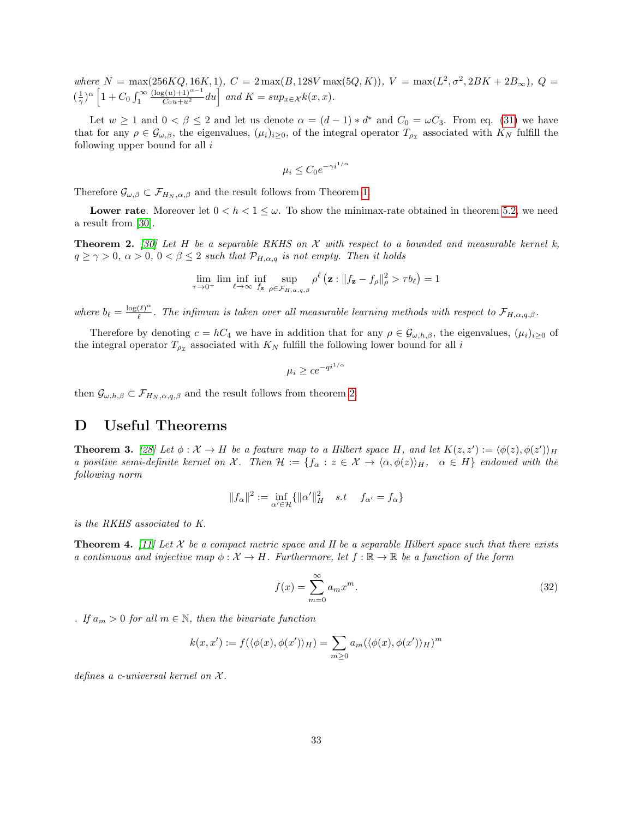where  $N = \max(256KQ, 16K, 1), C = 2 \max(B, 128V \max(5Q, K)), V = \max(L^2, \sigma^2, 2BK + 2B_{\infty}), Q =$  $(\frac{1}{\gamma})^{\alpha}$   $\left[1+C_0\int_1^{\infty}$  $\frac{(\log(u)+1)^{\alpha-1}}{C_0u+u^2}du\right]$  and  $K = \sup_{x\in\mathcal{X}}k(x,x)$ .

Let  $w \ge 1$  and  $0 < \beta \le 2$  and let us denote  $\alpha = (d-1) * d^*$  and  $C_0 = \omega C_3$ . From eq. [\(31\)](#page-31-0) we have that for any  $\rho \in \mathcal{G}_{\omega,\beta}$ , the eigenvalues,  $(\mu_i)_{i\geq 0}$ , of the integral operator  $T_{\rho_{\mathcal{I}}}$  associated with  $K_N$  fulfill the following upper bound for all  $i$ 

$$
\mu_i \le C_0 e^{-\gamma i^{1/\alpha}}
$$

Therefore  $\mathcal{G}_{\omega,\beta} \subset \mathcal{F}_{H_N,\alpha,\beta}$  and the result follows from Theorem [1.](#page-31-1)

**Lower rate.** Moreover let  $0 < h < 1 \leq \omega$ . To show the minimax-rate obtained in theorem [5.2,](#page-11-0) we need a result from [\[30\]](#page-14-15).

<span id="page-32-3"></span>**Theorem 2.** [\[30\]](#page-14-15) Let H be a separable RKHS on X with respect to a bounded and measurable kernel k,  $q \ge \gamma > 0$ ,  $\alpha > 0$ ,  $0 < \beta \le 2$  such that  $\mathcal{P}_{H,\alpha,q}$  is not empty. Then it holds

$$
\lim_{\tau \to 0^+} \liminf_{\ell \to \infty} \inf_{f_{\mathbf{z}} \text{sup}} \sup_{\rho \in \mathcal{F}_{H,\alpha,q,\beta}} \rho^{\ell} \left( \mathbf{z} : \|f_{\mathbf{z}} - f_{\rho}\|_{\rho}^2 > \tau b_{\ell} \right) = 1
$$

where  $b_{\ell} = \frac{\log(\ell)^{\alpha}}{\ell}$  $\frac{(\ell)^{-}}{\ell}$ . The infimum is taken over all measurable learning methods with respect to  $\mathcal{F}_{H,\alpha,q,\beta}$ .

Therefore by denoting  $c = hC_4$  we have in addition that for any  $\rho \in \mathcal{G}_{\omega,h,\beta}$ , the eigenvalues,  $(\mu_i)_{i>0}$  of the integral operator  $T_{\rho_{\mathcal{I}}}$  associated with  $K_N$  fulfill the following lower bound for all i

$$
\mu_i \ge ce^{-qi^{1/\alpha}}
$$

then  $\mathcal{G}_{\omega,h,\beta} \subset \mathcal{F}_{H_N,\alpha,q,\beta}$  and the result follows from theorem [2.](#page-32-3)

### <span id="page-32-0"></span>D Useful Theorems

<span id="page-32-1"></span>**Theorem 3.** [\[28\]](#page-14-16) Let  $\phi: \mathcal{X} \to H$  be a feature map to a Hilbert space H, and let  $K(z, z') := \langle \phi(z), \phi(z') \rangle_H$ a positive semi-definite kernel on X. Then  $\mathcal{H} := \{f_{\alpha} : z \in \mathcal{X} \to \langle \alpha, \phi(z) \rangle_H, \alpha \in H \}$  endowed with the following norm

$$
||f_{\alpha}||^{2} := \inf_{\alpha' \in \mathcal{H}} \{ ||\alpha'||_{H}^{2} \quad s.t \quad f_{\alpha'} = f_{\alpha} \}
$$

is the RKHS associated to K.

<span id="page-32-2"></span>**Theorem 4.** [\[11\]](#page-13-18) Let X be a compact metric space and H be a separable Hilbert space such that there exists a continuous and injective map  $\phi: \mathcal{X} \to H$ . Furthermore, let  $f: \mathbb{R} \to \mathbb{R}$  be a function of the form

$$
f(x) = \sum_{m=0}^{\infty} a_m x^m.
$$
 (32)

. If  $a_m > 0$  for all  $m \in \mathbb{N}$ , then the bivariate function

$$
k(x, x') := f(\langle \phi(x), \phi(x') \rangle_H) = \sum_{m \ge 0} a_m(\langle \phi(x), \phi(x') \rangle_H)^m
$$

defines a c-universal kernel on  $\mathcal{X}$ .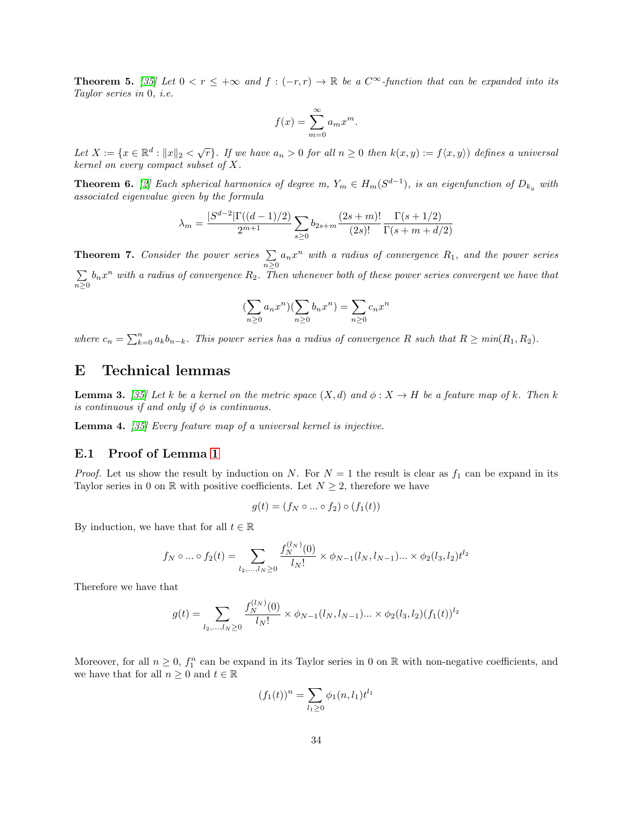<span id="page-33-2"></span>**Theorem 5.** [\[35\]](#page-14-17) Let  $0 < r \leq +\infty$  and  $f : (-r, r) \to \mathbb{R}$  be a  $C^{\infty}$ -function that can be expanded into its Taylor series in 0, i.e.

$$
f(x) = \sum_{m=0}^{\infty} a_m x^m.
$$

Let  $X := \{x \in \mathbb{R}^d : ||x||_2 < \sqrt{r}\}$ . If we have  $a_n > 0$  for all  $n \ge 0$  then  $k(x, y) := f\langle x, y \rangle$  defines a universal kernel on every compact subset of X.

<span id="page-33-5"></span>**Theorem 6.** [\[2\]](#page-13-19) Each spherical harmonics of degree m,  $Y_m \in H_m(S^{d-1})$ , is an eigenfunction of  $D_{k_g}$  with associated eigenvalue given by the formula

$$
\lambda_m = \frac{|S^{d-2}|\Gamma((d-1)/2)}{2^{m+1}} \sum_{s\geq 0} b_{2s+m} \frac{(2s+m)!}{(2s)!} \frac{\Gamma(s+1/2)}{\Gamma(s+m+d/2)}
$$

<span id="page-33-6"></span>**Theorem 7.** Consider the power series  $\sum$  $\sum_{n\geq 0} a_n x^n$  with a radius of convergence  $R_1$ , and the power series P  $\sum_{n\geq 0}b_nx^n$  with a radius of convergence  $R_2$ . Then whenever both of these power series convergent we have that

$$
(\sum_{n\geq 0}a_nx^n)(\sum_{n\geq 0}b_nx^n)=\sum_{n\geq 0}c_nx^n
$$

where  $c_n = \sum_{k=0}^n a_k b_{n-k}$ . This power series has a radius of convergence R such that  $R \geq min(R_1, R_2)$ .

### <span id="page-33-0"></span>E Technical lemmas

<span id="page-33-1"></span>**Lemma 3.** [\[35\]](#page-14-17) Let k be a kernel on the metric space  $(X,d)$  and  $\phi: X \to H$  be a feature map of k. Then k is continuous if and only if  $\phi$  is continuous.

<span id="page-33-3"></span>Lemma 4. [\[35\]](#page-14-17) Every feature map of a universal kernel is injective.

#### <span id="page-33-4"></span>E.1 Proof of Lemma [1](#page-20-2)

*Proof.* Let us show the result by induction on N. For  $N = 1$  the result is clear as  $f_1$  can be expand in its Taylor series in 0 on  $\mathbb R$  with positive coefficients. Let  $N \geq 2$ , therefore we have

$$
g(t) = (f_N \circ \dots \circ f_2) \circ (f_1(t))
$$

By induction, we have that for all  $t \in \mathbb{R}$ 

$$
f_N \circ \dots \circ f_2(t) = \sum_{l_2, \dots, l_N \ge 0} \frac{f_N^{(l_N)}(0)}{l_N!} \times \phi_{N-1}(l_N, l_{N-1}) \dots \times \phi_2(l_3, l_2) t^{l_2}
$$

Therefore we have that

$$
g(t) = \sum_{l_2,\dots,l_N \ge 0} \frac{f_N^{(l_N)}(0)}{l_N!} \times \phi_{N-1}(l_N, l_{N-1}) \dots \times \phi_2(l_3, l_2) (f_1(t))^{l_2}
$$

Moreover, for all  $n \geq 0$ ,  $f_1^n$  can be expand in its Taylor series in 0 on R with non-negative coefficients, and we have that for all  $n \geq 0$  and  $t \in \mathbb{R}$ 

$$
(f_1(t))^n = \sum_{l_1 \ge 0} \phi_1(n, l_1) t^{l_1}
$$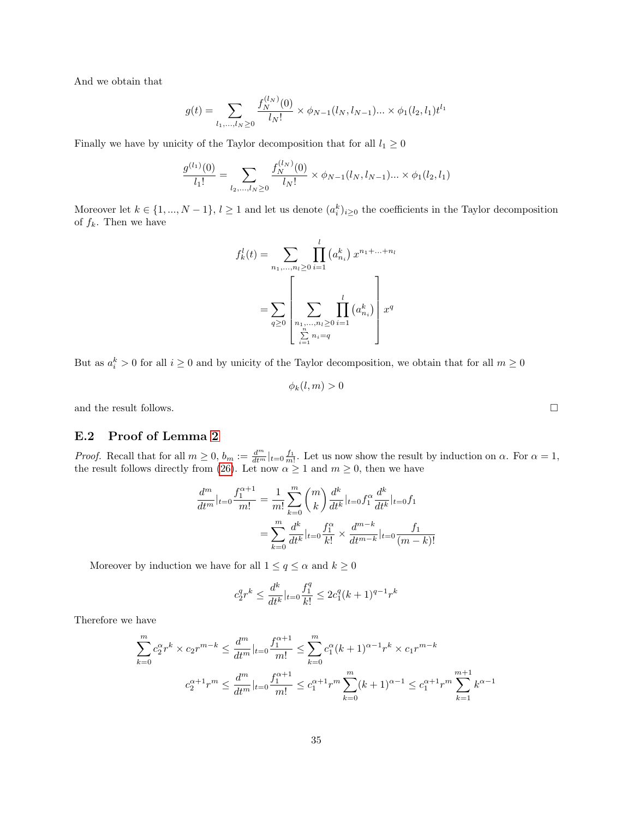And we obtain that

$$
g(t) = \sum_{l_1,\dots,l_N \ge 0} \frac{f_N^{(l_N)}(0)}{l_N!} \times \phi_{N-1}(l_N, l_{N-1}) \dots \times \phi_1(l_2, l_1) t^{l_1}
$$

Finally we have by unicity of the Taylor decomposition that for all  $l_1 \geq 0$ 

$$
\frac{g^{(l_1)}(0)}{l_1!} = \sum_{l_2,\dots,l_N \ge 0} \frac{f_N^{(l_N)}(0)}{l_N!} \times \phi_{N-1}(l_N, l_{N-1}) \dots \times \phi_1(l_2, l_1)
$$

Moreover let  $k \in \{1, ..., N-1\}, l \ge 1$  and let us denote  $(a_i^k)_{i \ge 0}$  the coefficients in the Taylor decomposition of  $f_k$ . Then we have

$$
f_k^l(t) = \sum_{n_1, ..., n_l \ge 0} \prod_{i=1}^l (a_{n_i}^k) x^{n_1 + ... + n_l}
$$

$$
= \sum_{q \ge 0} \left[ \sum_{\substack{n_1, ..., n_l \ge 0 \\ \sum_{i=1}^n n_i = q}} \prod_{i=1}^l (a_{n_i}^k) \right] x^q
$$

But as  $a_i^k > 0$  for all  $i \geq 0$  and by unicity of the Taylor decomposition, we obtain that for all  $m \geq 0$ 

$$
\phi_k(l,m) > 0
$$

and the result follows.  $\hfill \square$ 

#### <span id="page-34-0"></span>E.2 Proof of Lemma [2](#page-23-0)

*Proof.* Recall that for all  $m \geq 0$ ,  $b_m := \frac{d^m}{dt^m}|_{t=0} \frac{f_1}{m!}$ . Let us now show the result by induction on  $\alpha$ . For  $\alpha = 1$ , the result follows directly from [\(26\)](#page-23-1). Let now  $\alpha \geq 1$  and  $m \geq 0$ , then we have

$$
\frac{d^m}{dt^m}|_{t=0} \frac{f_1^{\alpha+1}}{m!} = \frac{1}{m!} \sum_{k=0}^m {m \choose k} \frac{d^k}{dt^k}|_{t=0} f_1^{\alpha} \frac{d^k}{dt^k}|_{t=0} f_1
$$

$$
= \sum_{k=0}^m \frac{d^k}{dt^k}|_{t=0} \frac{f_1^{\alpha}}{k!} \times \frac{d^{m-k}}{dt^{m-k}}|_{t=0} \frac{f_1}{(m-k)!}
$$

Moreover by induction we have for all  $1\leq q\leq \alpha$  and  $k\geq 0$ 

$$
c_2^q r^k \le \frac{d^k}{dt^k} |_{t=0} \frac{f_1^q}{k!} \le 2c_1^q (k+1)^{q-1} r^k
$$

Therefore we have

$$
\sum_{k=0}^{m} c_2^{\alpha} r^k \times c_2 r^{m-k} \le \frac{d^m}{dt^m} |_{t=0} \frac{f_1^{\alpha+1}}{m!} \le \sum_{k=0}^{m} c_1^{\alpha} (k+1)^{\alpha-1} r^k \times c_1 r^{m-k}
$$

$$
c_2^{\alpha+1} r^m \le \frac{d^m}{dt^m} |_{t=0} \frac{f_1^{\alpha+1}}{m!} \le c_1^{\alpha+1} r^m \sum_{k=0}^{m} (k+1)^{\alpha-1} \le c_1^{\alpha+1} r^m \sum_{k=1}^{m+1} k^{\alpha-1}
$$